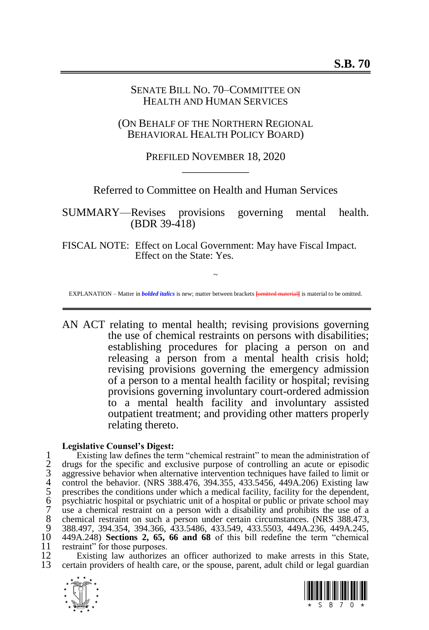## SENATE BILL NO. 70–COMMITTEE ON HEALTH AND HUMAN SERVICES

(ON BEHALF OF THE NORTHERN REGIONAL BEHAVIORAL HEALTH POLICY BOARD)

# PREFILED NOVEMBER 18, 2020 \_\_\_\_\_\_\_\_\_\_\_\_

Referred to Committee on Health and Human Services

SUMMARY—Revises provisions governing mental health. (BDR 39-418)

FISCAL NOTE: Effect on Local Government: May have Fiscal Impact. Effect on the State: Yes.

~ EXPLANATION – Matter in *bolded italics* is new; matter between brackets **[**omitted material**]** is material to be omitted.

AN ACT relating to mental health; revising provisions governing the use of chemical restraints on persons with disabilities; establishing procedures for placing a person on and releasing a person from a mental health crisis hold; revising provisions governing the emergency admission of a person to a mental health facility or hospital; revising provisions governing involuntary court-ordered admission to a mental health facility and involuntary assisted outpatient treatment; and providing other matters properly relating thereto.

### **Legislative Counsel's Digest:**

1 Existing law defines the term "chemical restraint" to mean the administration of<br>2 drugs for the specific and exclusive purpose of controlling an acute or episodic<br>3 aggressive behavior when alternative intervention tech 2 drugs for the specific and exclusive purpose of controlling an acute or episodic aggressive behavior when alternative intervention techniques have failed to limit or control the behavior. (NRS 388.476, 394.355, 433.5456, 449A.206) Existing law prescribes the conditions under which a medical facility, facility for the dependent, 6 psychiatric hospital or psychiatric unit of a hospital or public or private school may 7 use a chemical restraint on a person with a disability and prohibits the use of a 8 chemical restraint on such a person under certain circumstances. (NRS 388.473, 9 388.473, 9 388.497 394 354 394 366 433 5486 433 549 433 5503 449 423 449 424 245 9 388.497, 394.354, 394.366, 433.5486, 433.549, 433.5503, 449A.236, 449A.245, 449A.248) Sections 2. 65, 66 and 68 of this bill redefine the term "chemical 10 449A.248) **Sections [2,](#page-4-0) [65,](#page-57-0) [66](#page-57-1) and [68](#page-59-0)** of this bill redefine the term "chemical 11 restraint" for those purposes.<br>12 Existing law authorizes

12 Existing law authorizes an officer authorized to make arrests in this State,<br>13 certain providers of health care, or the spouse, parent, adult child or legal guardian 13 certain providers of health care, or the spouse, parent, adult child or legal guardian



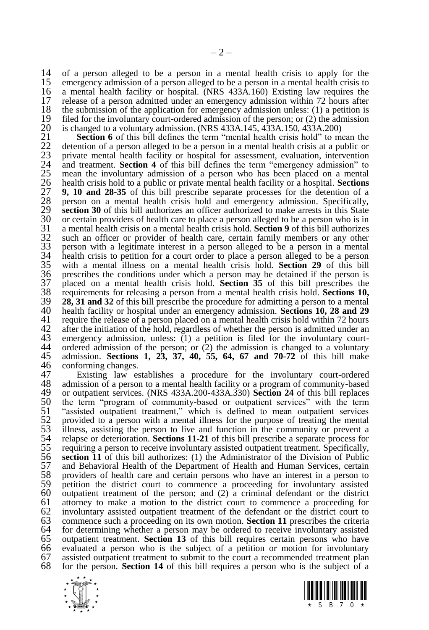14 of a person alleged to be a person in a mental health crisis to apply for the 15 emergency admission of a person alleged to be a person in a mental health crisis to 15 emergency admission of a person alleged to be a person in a mental health crisis to 16 a mental health facility or hospital. (NRS 433A.160) Existing law requires the 16 a mental health facility or hospital. (NRS  $433\text{\AA}$ .160) Existing law requires the 17 release of a person admitted under an emergency admission within 72 hours after 17 release of a person admitted under an emergency admission within 72 hours after 18 the submission of the application for emergency admission unless: (1) a petition is 18 the submission of the application for emergency admission unless: (1) a petition is  $19$  filed for the involuntary court-ordered admission of the person: or (2) the admission 19 filed for the involuntary court-ordered admission of the person; or (2) the admission 20 is changed to a voluntary admission. (NRS 433A.145, 433A.150, 433A.200) 20 is changed to a voluntary admission. (NRS 433A.145, 433A.150, 433A.200)<br>21 Section 6 of this bill defines the term "mental health crisis hold" to me

**Section [6](#page-5-0)** of this bill defines the term "mental health crisis hold" to mean the detention of a person alleged to be a person in a mental health crisis at a public or private mental health facility or hospital for asse detention of a person alleged to be a person in a mental health crisis at a public or private mental health facility or hospital for assessment, evaluation, intervention and treatment. **Section [4](#page-4-1)** of this bill defines the term "emergency admission" to 25 mean the involuntary admission of a person who has been placed on a mental 26 health crisis hold to a public or private mental health facility or a hospital. **Sections 27** 9, 10 and 28-35 of this bill prescribe separate health crisis hold to a public or private mental health facility or a hospital. **Sections [9,](#page-5-1) [10](#page-5-2) and [28-](#page-20-0)[35](#page-28-0)** of this bill prescribe separate processes for the detention of a person on a mental health crisis hold and emergency admission. Specifically, **section [30](#page-21-0)** of this bill authorizes an officer authorized to make arrests in this State 30 or certain providers of health care to place a person alleged to be a person who is in 30 or certain providers of health care to place a person alleged to be a person who is in  $31$  a mental health crisis on a mental health crisis hold. **Section 9** of this bill authorizes a mental health crisis on a mental health crisis hold. **Sectio[n 9](#page-5-1)** of this bill authorizes such an officer or provider of health care, certain family members or any other person with a legitimate interest in a person alleged to be a person in a mental 34 health crisis to petition for a court order to place a person alleged to be a person 35 with a mental illness on a mental health crisis hold. **Section 29** of this bill with a mental illness on a mental health crisis hold. **Section [29](#page-21-1)** of this bill prescribes the conditions under which a person may be detained if the person is  $37$  placed on a mental health crisis hold. **Section 35** of this bill prescribes the placed on a mental health crisis hold. **Section [35](#page-28-0)** of this bill prescribes the requirements for releasing a person from a mental health crisis hold. **Sections [10,](#page-5-2) [28,](#page-20-0) [31](#page-24-0) and [32](#page-26-0)** of this bill prescribe the procedure for admitting a person to a mental health facility or hospital under an emergency admission. **Sections [10,](#page-5-2) [28](#page-20-0) and [29](#page-21-1)** 41 require the release of a person placed on a mental health crisis hold within 72 hours<br>42 after the initiation of the hold, regardless of whether the person is admitted under an 42 after the initiation of the hold, regardless of whether the person is admitted under an 43 emergency admission, unless: (1) a petition is filed for the involuntary court-43 emergency admission, unless:  $(1)$  a petition is filed for the involuntary court-<br>44 ordered admission of the person: or  $(2)$  the admission is changed to a voluntary 44 ordered admission of the person; or  $(2)$  the admission is changed to a voluntary 45 admission. Sections 1, 23, 37, 40, 55, 64, 67 and 70-72 of this bill make admission. **Sections [1,](#page-2-0) [23,](#page-18-0) [37,](#page-29-0) [40,](#page-31-0) [55,](#page-45-0) [64,](#page-54-0) [67](#page-57-2) and [70](#page-60-0)[-72](#page-62-0)** of this bill make 46 conforming changes.<br>47 Existing law es

47 Existing law establishes a procedure for the involuntary court-ordered 48 admission of a person to a mental health facility or a program of community-based 48 admission of a person to a mental health facility or a program of community-based<br>49 or outpatient services. (NRS 433A.200-433A.330) Section 24 of this bill replaces 49 or outpatient services. (NRS 433A.200-433A.330) **Section [24](#page-18-1)** of this bill replaces 50 the term "program of community-based or outpatient services" with the term 51 "assisted outpatient treatment," which is defined to mean outpatient services 52 provided to a person with a mental illness for the purpose of treating the mental illness, assisting the person to live and function in the community or prevent a 53 illness, assisting the person to live and function in the community or prevent a relanse or deterioration. **Sections 11-21** of this bill prescribe a separate process for 54 relapse or deterioration. **Sections [11-](#page-6-0)[21](#page-16-0)** of this bill prescribe a separate process for 55 requiring a person to receive involuntary assisted outpatient treatment. Specifically,  $56$  section 11 of this bill authorizes: (1) the Administrator of the Division of Public 56 **section [11](#page-6-0)** of this bill authorizes: (1) the Administrator of the Division of Public 57 and Behavioral Health of the Department of Health and Human Services, certain providers of health care and certain persons who have an interest in a person to petition the district court to commence a proceeding for inv 58 providers of health care and certain persons who have an interest in a person to 59 petition the district court to commence a proceeding for involuntary assisted 60 outpatient treatment of the person: and (2) a criminal defendant or the district 60 outpatient treatment of the person; and (2) a criminal defendant or the district 61 attorney to make a motion to the district court to commence a proceeding for 62 involuntary assisted outpatient treatment of the defendant or the district court to 63 commence such a proceeding on its own motion. **Section 11** prescribes the criteria 63 commence such a proceeding on its own motion. **Section [11](#page-6-0)** prescribes the criteria 64 for determining whether a person may be ordered to receive involuntary assisted 65 outpatient treatment. **Section 13** of this bill requires certain persons who have 65 outpatient treatment. **Section [13](#page-9-0)** of this bill requires certain persons who have 66 evaluated a person who is the subject of a petition or motion for involuntary  $67$  assisted outpatient treatment to submit to the court a recommended treatment plan  $68$  for the person. **Section 14** of this bill requires a person who is the subject of a 68 for the person. **Section [14](#page-11-0)** of this bill requires a person who is the subject of a



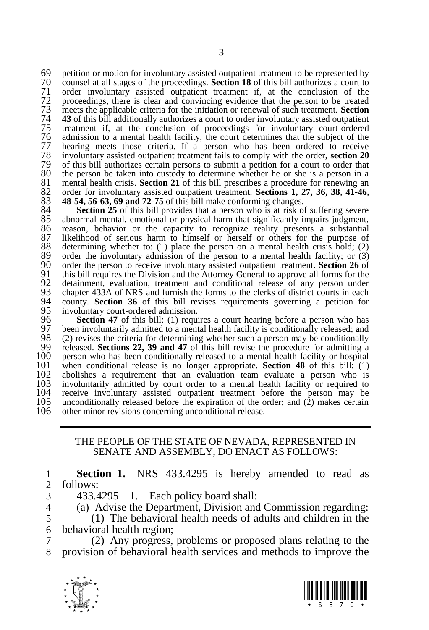69 petition or motion for involuntary assisted outpatient treatment to be represented by  $\overline{70}$  counsel at all stages of the proceedings. **Section 18** of this bill authorizes a court to counsel at all stages of the proceedings. **Sectio[n 18](#page-13-0)** of this bill authorizes a court to order involuntary assisted outpatient treatment if, at the conclusion of the 72 proceedings, there is clear and convincing evidence that the person to be treated meets the applicable criteria for the initiation or renewal of such treatment. **Section**  meets the applicable criteria for the initiation or renewal of such treatment. **Section [43](#page-34-0)** of this bill additionally authorizes a court to order involuntary assisted outpatient treatment if, at the conclusion of proceedings for involuntary court-ordered admission to a mental health facility, the court de treatment if, at the conclusion of proceedings for involuntary court-ordered admission to a mental health facility, the court determines that the subject of the 77 hearing meets those criteria. If a person who has been ordered to receive 178 involuntary assisted outpatient treatment fails to comply with the order, **section 20**  involuntary assisted outpatient treatment fails to comply with the order, **section [20](#page-15-0)** of this bill authorizes certain persons to submit a petition for a court to order that 80 the person be taken into custody to determine whether he or she is a person in a 81 mental health crisis. Section 21 of this bill prescribes a procedure for renewing an 81 mental health crisis. **Section [21](#page-16-0)** of this bill prescribes a procedure for renewing an 82 order for involuntary assisted outpatient treatment. **Sections 1, 27, 36, 38, 41-46**, order for involuntary assisted outpatient treatment. **Sections [1,](#page-2-0) [27,](#page-19-0) [36,](#page-28-1) [38,](#page-30-0) [41](#page-33-0)[-46,](#page-37-0) [48](#page-41-0)[-54,](#page-45-1) [56](#page-45-2)[-63,](#page-53-0) [69](#page-59-1) an[d 72](#page-62-0)[-75](#page-65-0)** of this bill make conforming changes.

84 **Section [25](#page-19-1)** of this bill provides that a person who is at risk of suffering severe 85 abnormal mental, emotional or physical harm that significantly impairs judgment, 85 abnormal mental, emotional or physical harm that significantly impairs judgment, 86 reason, behavior or the capacity to recognize reality presents a substantial 87 likelihood of serious harm to himself or herself or others for the purpose of 87 likelihood of serious harm to himself or herself or others for the purpose of 88 determining whether to: (1) place the person on a mental health crisis hold; (2) 88 determining whether to: (1) place the person on a mental health crisis hold; (2) order the involuntary admission of the person to a mental health facility: or (3) 89 order the involuntary admission of the person to a mental health facility; or  $(3)$ <br>90 order the person to receive involuntary assisted outpatient treatment. **Section 26** of 90 order the person to receive involuntary assisted outpatient treatment. **Section [26](#page-19-2)** of 91 this bill requires the Division and the Attorney General to approve all forms for the 92 detainment, evaluation, treatment and conditional release of any person under 92 detainment, evaluation, treatment and conditional release of any person under chapter 433A of NRS and furnish the forms to the clerks of district courts in each 94 county. **Section 36** of this bill revises requirements 93 chapter 433A of NRS and furnish the forms to the clerks of district courts in each 94 county. **Section [36](#page-28-1)** of this bill revises requirements governing a petition for 95 involuntary court-ordered admission.<br>96 **Section 47** of this bill: (1) required

**96 Section [47](#page-39-0)** of this bill: (1) requires a court hearing before a person who has 97 been involuntarily admitted to a mental health facility is conditionally released; and 97 been involuntarily admitted to a mental health facility is conditionally released; and 98 (2) revises the criteria for determining whether such a person may be conditionally 98 (2) revises the criteria for determining whether such a person may be conditionally released. Sections 22, 39 and 47 of this bill revise the procedure for admitting a 99 released. **Sections [22,](#page-17-0) [39](#page-30-1) and [47](#page-39-0)** of this bill revise the procedure for admitting a 100 person who has been conditionally released to a mental health facility or hospital  $101$  when conditional release is no longer appropriate. **Section 48** of this bill: (1) 101 when conditional release is no longer appropriate. **Section [48](#page-41-0)** of this bill: (1) 102 abolishes a requirement that an evaluation team evaluate a person who is 103 involuntarily admitted by court order to a mental health facility or required to 103 involuntarily admitted by court order to a mental health facility or required to 104 receive involuntary assisted outpatient treatment before the person may be 104 receive involuntary assisted outpatient treatment before the person may be 105 unconditionally released before the expiration of the order: and (2) makes certain 105 unconditionally released before the expiration of the order; and  $(2)$  makes certain 106 other minor revisions concerning unconditional release. other minor revisions concerning unconditional release.

### <span id="page-2-0"></span>THE PEOPLE OF THE STATE OF NEVADA, REPRESENTED IN SENATE AND ASSEMBLY, DO ENACT AS FOLLOWS:

1 **Section 1.** NRS 433.4295 is hereby amended to read as 2 follows:

- 3 433.4295 1. Each policy board shall:
- 4 (a) Advise the Department, Division and Commission regarding:<br>5 (1) The behavioral health needs of adults and children in the

5 (1) The behavioral health needs of adults and children in the 6 behavioral health region;

7 (2) Any progress, problems or proposed plans relating to the 8 provision of behavioral health services and methods to improve the



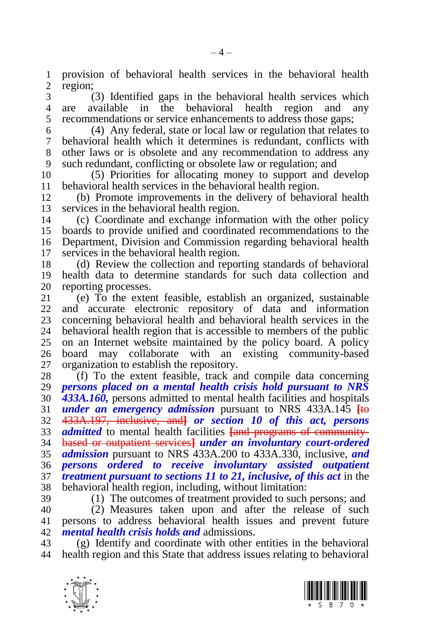provision of behavioral health services in the behavioral health region;

 (3) Identified gaps in the behavioral health services which are available in the behavioral health region and any recommendations or service enhancements to address those gaps;

 (4) Any federal, state or local law or regulation that relates to behavioral health which it determines is redundant, conflicts with other laws or is obsolete and any recommendation to address any such redundant, conflicting or obsolete law or regulation; and

 (5) Priorities for allocating money to support and develop 11 behavioral health services in the behavioral health region.<br>12 (b) Promote improvements in the delivery of behavi

 (b) Promote improvements in the delivery of behavioral health services in the behavioral health region.

 (c) Coordinate and exchange information with the other policy boards to provide unified and coordinated recommendations to the Department, Division and Commission regarding behavioral health services in the behavioral health region.

 (d) Review the collection and reporting standards of behavioral health data to determine standards for such data collection and 20 reporting processes.<br>21 (e) To the exter

 (e) To the extent feasible, establish an organized, sustainable and accurate electronic repository of data and information 23 concerning behavioral health and behavioral health services in the 24 behavioral health region that is accessible to members of the public behavioral health region that is accessible to members of the public on an Internet website maintained by the policy board. A policy board may collaborate with an existing community-based organization to establish the repository.

 (f) To the extent feasible, track and compile data concerning *persons placed on a mental health crisis hold pursuant to NRS 433A.160,* persons admitted to mental health facilities and hospitals *under an emergency admission* pursuant to NRS 433A.145 **[**to 433A.197, inclusive, and**]** *or section [10](#page-5-2) of this act, persons admitted* to mental health facilities **[**and programs of community- based or outpatient services**]** *under an involuntary court-ordered admission* pursuant to NRS 433A.200 to 433A.330, inclusive, *and persons ordered to receive involuntary assisted outpatient treatment pursuant to sections [11](#page-6-0) to [21,](#page-16-0) inclusive, of this act* in the behavioral health region, including, without limitation:

(1) The outcomes of treatment provided to such persons; and

 (2) Measures taken upon and after the release of such persons to address behavioral health issues and prevent future *mental health crisis holds and* admissions.

 (g) Identify and coordinate with other entities in the behavioral health region and this State that address issues relating to behavioral



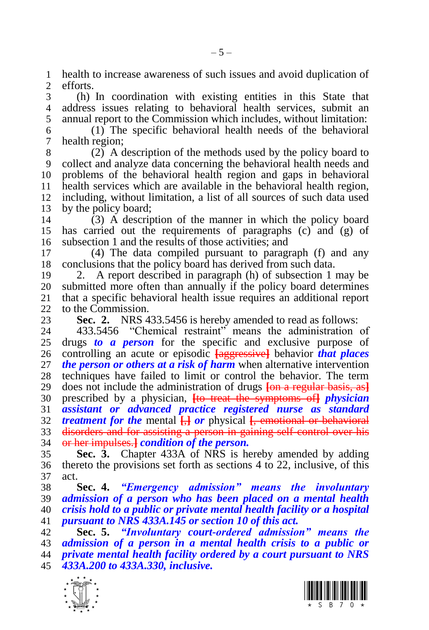1 health to increase awareness of such issues and avoid duplication of  $\sigma$  efforts. efforts.

 (h) In coordination with existing entities in this State that address issues relating to behavioral health services, submit an annual report to the Commission which includes, without limitation:

 (1) The specific behavioral health needs of the behavioral health region;

 (2) A description of the methods used by the policy board to collect and analyze data concerning the behavioral health needs and problems of the behavioral health region and gaps in behavioral 11 health services which are available in the behavioral health region,<br>12 including, without limitation, a list of all sources of such data used including, without limitation, a list of all sources of such data used by the policy board;

 (3) A description of the manner in which the policy board has carried out the requirements of paragraphs (c) and (g) of subsection 1 and the results of those activities; and

 (4) The data compiled pursuant to paragraph (f) and any conclusions that the policy board has derived from such data.

 2. A report described in paragraph (h) of subsection 1 may be 20 submitted more often than annually if the policy board determines<br>21 that a specific behavioral health issue requires an additional report that a specific behavioral health issue requires an additional report to the Commission.

<span id="page-4-0"></span>

**Sec. 2.** NRS 433.5456 is hereby amended to read as follows:<br>24 433.5456 "Chemical restraint" means the administration 433.5456 "Chemical restraint" means the administration of drugs *to a person* for the specific and exclusive purpose of controlling an acute or episodic **[**aggressive**]** behavior *that places the person or others at a risk of harm* when alternative intervention techniques have failed to limit or control the behavior. The term does not include the administration of drugs **[**on a regular basis, as**]** prescribed by a physician, **[**to treat the symptoms of**]** *physician assistant or advanced practice registered nurse as standard treatment for the* mental **[**,**]** *or* physical **[**, emotional or behavioral disorders and for assisting a person in gaining self-control over his or her impulses.**]** *condition of the person.*

 **Sec. 3.** Chapter 433A of NRS is hereby amended by adding thereto the provisions set forth as sections [4](#page-4-1) to [22,](#page-17-0) inclusive, of this act.

<span id="page-4-1"></span> **Sec. 4.** *"Emergency admission" means the involuntary admission of a person who has been placed on a mental health crisis hold to a public or private mental health facility or a hospital pursuant to NRS 433A.145 or section [10](#page-5-2) of this act.*

 **Sec. 5.** *"Involuntary court-ordered admission" means the admission of a person in a mental health crisis to a public or private mental health facility ordered by a court pursuant to NRS 433A.200 to 433A.330, inclusive.*



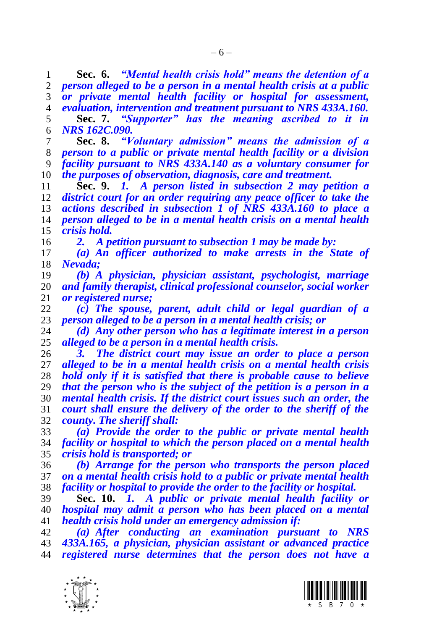<span id="page-5-0"></span> **Sec. 6.** *"Mental health crisis hold" means the detention of a person alleged to be a person in a mental health crisis at a public or private mental health facility or hospital for assessment, evaluation, intervention and treatment pursuant to NRS 433A.160.* **Sec. 7.** *"Supporter" has the meaning ascribed to it in NRS 162C.090.*

<span id="page-5-3"></span> **Sec. 8.** *"Voluntary admission" means the admission of a person to a public or private mental health facility or a division facility pursuant to NRS 433A.140 as a voluntary consumer for the purposes of observation, diagnosis, care and treatment.*

<span id="page-5-1"></span> **Sec. 9.** *1. A person listed in subsection 2 may petition a district court for an order requiring any peace officer to take the actions described in subsection 1 of NRS 433A.160 to place a person alleged to be in a mental health crisis on a mental health crisis hold.*

*2. A petition pursuant to subsection 1 may be made by:*

 *(a) An officer authorized to make arrests in the State of Nevada;*

 *(b) A physician, physician assistant, psychologist, marriage and family therapist, clinical professional counselor, social worker or registered nurse;*

 *(c) The spouse, parent, adult child or legal guardian of a person alleged to be a person in a mental health crisis; or*

 *(d) Any other person who has a legitimate interest in a person alleged to be a person in a mental health crisis.* 

 *3. The district court may issue an order to place a person alleged to be in a mental health crisis on a mental health crisis hold only if it is satisfied that there is probable cause to believe that the person who is the subject of the petition is a person in a mental health crisis. If the district court issues such an order, the court shall ensure the delivery of the order to the sheriff of the county. The sheriff shall:*

 *(a) Provide the order to the public or private mental health facility or hospital to which the person placed on a mental health crisis hold is transported; or* 

 *(b) Arrange for the person who transports the person placed on a mental health crisis hold to a public or private mental health facility or hospital to provide the order to the facility or hospital.*

<span id="page-5-2"></span> **Sec. 10.** *1. A public or private mental health facility or hospital may admit a person who has been placed on a mental health crisis hold under an emergency admission if:*

 *(a) After conducting an examination pursuant to NRS 433A.165, a physician, physician assistant or advanced practice registered nurse determines that the person does not have a* 



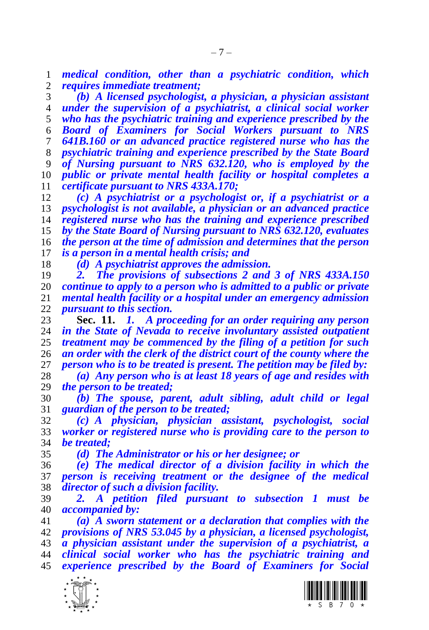*medical condition, other than a psychiatric condition, which requires immediate treatment;*

 *(b) A licensed psychologist, a physician, a physician assistant under the supervision of a psychiatrist, a clinical social worker who has the psychiatric training and experience prescribed by the Board of Examiners for Social Workers pursuant to NRS 641B.160 or an advanced practice registered nurse who has the psychiatric training and experience prescribed by the State Board of Nursing pursuant to NRS 632.120, who is employed by the public or private mental health facility or hospital completes a certificate pursuant to NRS 433A.170;*

 *(c) A psychiatrist or a psychologist or, if a psychiatrist or a psychologist is not available, a physician or an advanced practice registered nurse who has the training and experience prescribed by the State Board of Nursing pursuant to NRS 632.120, evaluates the person at the time of admission and determines that the person is a person in a mental health crisis; and*

*(d) A psychiatrist approves the admission.*

 *2. The provisions of subsections 2 and 3 of NRS 433A.150 continue to apply to a person who is admitted to a public or private mental health facility or a hospital under an emergency admission pursuant to this section.*

<span id="page-6-0"></span> **Sec. 11.** *1. A proceeding for an order requiring any person in the State of Nevada to receive involuntary assisted outpatient treatment may be commenced by the filing of a petition for such an order with the clerk of the district court of the county where the person who is to be treated is present. The petition may be filed by:*

 *(a) Any person who is at least 18 years of age and resides with the person to be treated;*

 *(b) The spouse, parent, adult sibling, adult child or legal guardian of the person to be treated;*

 *(c) A physician, physician assistant, psychologist, social worker or registered nurse who is providing care to the person to be treated;*

*(d) The Administrator or his or her designee; or*

 *(e) The medical director of a division facility in which the person is receiving treatment or the designee of the medical director of such a division facility.*

 *2. A petition filed pursuant to subsection 1 must be accompanied by:*

 *(a) A sworn statement or a declaration that complies with the provisions of NRS 53.045 by a physician, a licensed psychologist, a physician assistant under the supervision of a psychiatrist, a clinical social worker who has the psychiatric training and experience prescribed by the Board of Examiners for Social* 

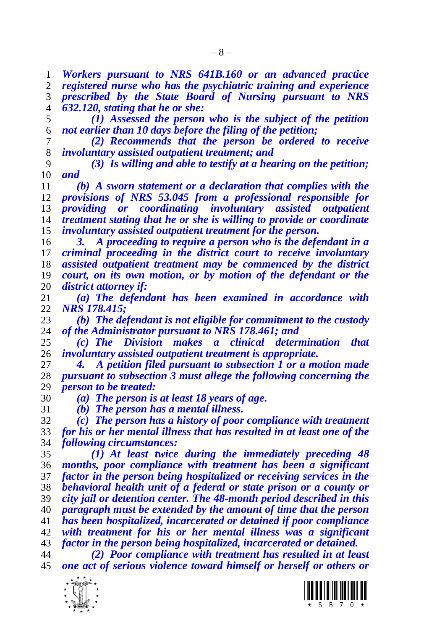– 8 –

*Workers pursuant to NRS 641B.160 or an advanced practice* 

 *registered nurse who has the psychiatric training and experience prescribed by the State Board of Nursing pursuant to NRS* 

*632.120, stating that he or she:*

 *(1) Assessed the person who is the subject of the petition not earlier than 10 days before the filing of the petition;*

 *(2) Recommends that the person be ordered to receive involuntary assisted outpatient treatment; and*

 *(3) Is willing and able to testify at a hearing on the petition; and*

 *(b) A sworn statement or a declaration that complies with the provisions of NRS 53.045 from a professional responsible for providing or coordinating involuntary assisted outpatient treatment stating that he or she is willing to provide or coordinate involuntary assisted outpatient treatment for the person.*

 *3. A proceeding to require a person who is the defendant in a criminal proceeding in the district court to receive involuntary assisted outpatient treatment may be commenced by the district court, on its own motion, or by motion of the defendant or the district attorney if:*

 *(a) The defendant has been examined in accordance with NRS 178.415;*

 *(b) The defendant is not eligible for commitment to the custody of the Administrator pursuant to NRS 178.461; and*

 *(c) The Division makes a clinical determination that involuntary assisted outpatient treatment is appropriate.*

 *4. A petition filed pursuant to subsection 1 or a motion made pursuant to subsection 3 must allege the following concerning the person to be treated:*

*(a) The person is at least 18 years of age.*

*(b) The person has a mental illness.*

 *(c) The person has a history of poor compliance with treatment for his or her mental illness that has resulted in at least one of the following circumstances:*

 *(1) At least twice during the immediately preceding 48 months, poor compliance with treatment has been a significant factor in the person being hospitalized or receiving services in the behavioral health unit of a federal or state prison or a county or city jail or detention center. The 48-month period described in this paragraph must be extended by the amount of time that the person has been hospitalized, incarcerated or detained if poor compliance with treatment for his or her mental illness was a significant factor in the person being hospitalized, incarcerated or detained.*

 *(2) Poor compliance with treatment has resulted in at least one act of serious violence toward himself or herself or others or* 



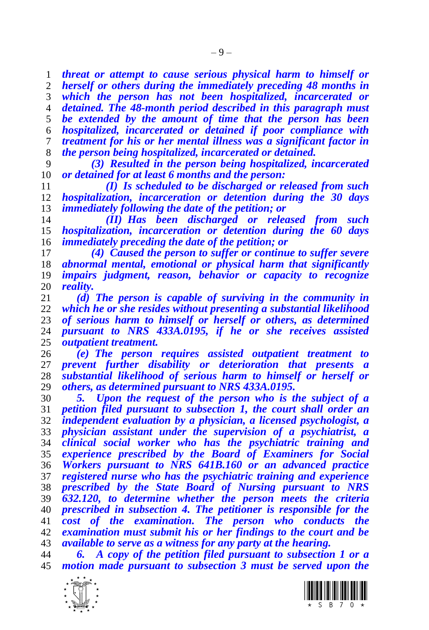*threat or attempt to cause serious physical harm to himself or herself or others during the immediately preceding 48 months in which the person has not been hospitalized, incarcerated or detained. The 48-month period described in this paragraph must be extended by the amount of time that the person has been hospitalized, incarcerated or detained if poor compliance with treatment for his or her mental illness was a significant factor in the person being hospitalized, incarcerated or detained.*

 *(3) Resulted in the person being hospitalized, incarcerated or detained for at least 6 months and the person:*

 *(I) Is scheduled to be discharged or released from such hospitalization, incarceration or detention during the 30 days immediately following the date of the petition; or*

 *(II) Has been discharged or released from such hospitalization, incarceration or detention during the 60 days immediately preceding the date of the petition; or*

 *(4) Caused the person to suffer or continue to suffer severe abnormal mental, emotional or physical harm that significantly impairs judgment, reason, behavior or capacity to recognize reality.*

 *(d) The person is capable of surviving in the community in which he or she resides without presenting a substantial likelihood of serious harm to himself or herself or others, as determined pursuant to NRS 433A.0195, if he or she receives assisted outpatient treatment.*

 *(e) The person requires assisted outpatient treatment to prevent further disability or deterioration that presents a substantial likelihood of serious harm to himself or herself or others, as determined pursuant to NRS 433A.0195.*

 *5. Upon the request of the person who is the subject of a petition filed pursuant to subsection 1, the court shall order an independent evaluation by a physician, a licensed psychologist, a physician assistant under the supervision of a psychiatrist, a clinical social worker who has the psychiatric training and experience prescribed by the Board of Examiners for Social Workers pursuant to NRS 641B.160 or an advanced practice registered nurse who has the psychiatric training and experience prescribed by the State Board of Nursing pursuant to NRS 632.120, to determine whether the person meets the criteria prescribed in subsection 4. The petitioner is responsible for the cost of the examination. The person who conducts the examination must submit his or her findings to the court and be available to serve as a witness for any party at the hearing.* 

 *6. A copy of the petition filed pursuant to subsection 1 or a motion made pursuant to subsection 3 must be served upon the* 



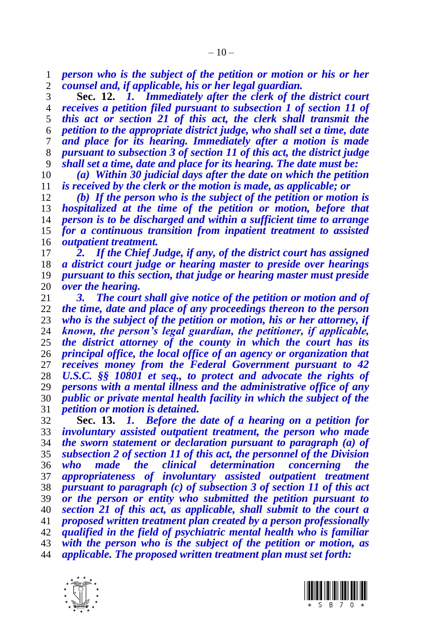*person who is the subject of the petition or motion or his or her counsel and, if applicable, his or her legal guardian.*

<span id="page-9-1"></span> **Sec. 12.** *1. Immediately after the clerk of the district court receives a petition filed pursuant to subsection 1 of section [11](#page-6-0) of this act or section [21](#page-16-0) of this act, the clerk shall transmit the petition to the appropriate district judge, who shall set a time, date and place for its hearing. Immediately after a motion is made pursuant to subsection 3 of section [11](#page-6-0) of this act, the district judge shall set a time, date and place for its hearing. The date must be:*

 *(a) Within 30 judicial days after the date on which the petition is received by the clerk or the motion is made, as applicable; or*

 *(b) If the person who is the subject of the petition or motion is hospitalized at the time of the petition or motion, before that person is to be discharged and within a sufficient time to arrange for a continuous transition from inpatient treatment to assisted outpatient treatment.*

 *2. If the Chief Judge, if any, of the district court has assigned a district court judge or hearing master to preside over hearings pursuant to this section, that judge or hearing master must preside over the hearing.*

 *3. The court shall give notice of the petition or motion and of the time, date and place of any proceedings thereon to the person who is the subject of the petition or motion, his or her attorney, if known, the person's legal guardian, the petitioner, if applicable, the district attorney of the county in which the court has its principal office, the local office of an agency or organization that receives money from the Federal Government pursuant to 42 U.S.C. §§ 10801 et seq., to protect and advocate the rights of persons with a mental illness and the administrative office of any public or private mental health facility in which the subject of the petition or motion is detained.*

<span id="page-9-0"></span> **Sec. 13.** *1. Before the date of a hearing on a petition for involuntary assisted outpatient treatment, the person who made the sworn statement or declaration pursuant to paragraph (a) of subsection 2 of section [11](#page-6-0) of this act, the personnel of the Division who made the clinical determination concerning the appropriateness of involuntary assisted outpatient treatment pursuant to paragraph (c) of subsection 3 of section [11](#page-6-0) of this act or the person or entity who submitted the petition pursuant to section [21](#page-16-0) of this act, as applicable, shall submit to the court a proposed written treatment plan created by a person professionally qualified in the field of psychiatric mental health who is familiar with the person who is the subject of the petition or motion, as applicable. The proposed written treatment plan must set forth:* 



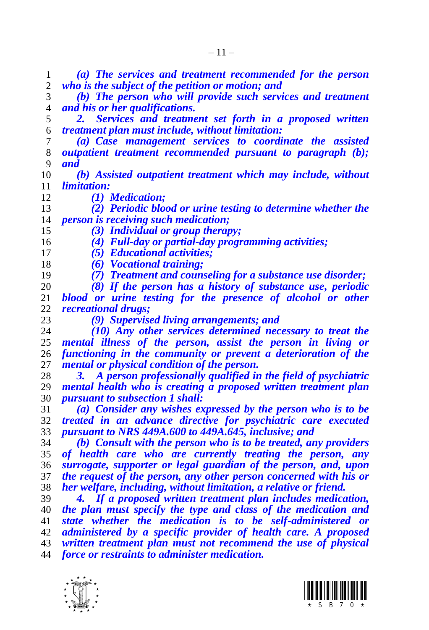*(a) The services and treatment recommended for the person who is the subject of the petition or motion; and (b) The person who will provide such services and treatment and his or her qualifications. 2. Services and treatment set forth in a proposed written treatment plan must include, without limitation: (a) Case management services to coordinate the assisted outpatient treatment recommended pursuant to paragraph (b); and (b) Assisted outpatient treatment which may include, without limitation: (1) Medication; (2) Periodic blood or urine testing to determine whether the person is receiving such medication; (3) Individual or group therapy; (4) Full-day or partial-day programming activities; (5) Educational activities; (6) Vocational training; (7) Treatment and counseling for a substance use disorder; (8) If the person has a history of substance use, periodic blood or urine testing for the presence of alcohol or other recreational drugs; (9) Supervised living arrangements; and (10) Any other services determined necessary to treat the mental illness of the person, assist the person in living or functioning in the community or prevent a deterioration of the mental or physical condition of the person. 3. A person professionally qualified in the field of psychiatric mental health who is creating a proposed written treatment plan pursuant to subsection 1 shall: (a) Consider any wishes expressed by the person who is to be treated in an advance directive for psychiatric care executed pursuant to NRS 449A.600 to 449A.645, inclusive; and (b) Consult with the person who is to be treated, any providers of health care who are currently treating the person, any surrogate, supporter or legal guardian of the person, and, upon the request of the person, any other person concerned with his or her welfare, including, without limitation, a relative or friend. 4. If a proposed written treatment plan includes medication, the plan must specify the type and class of the medication and state whether the medication is to be self-administered or administered by a specific provider of health care. A proposed written treatment plan must not recommend the use of physical force or restraints to administer medication.*



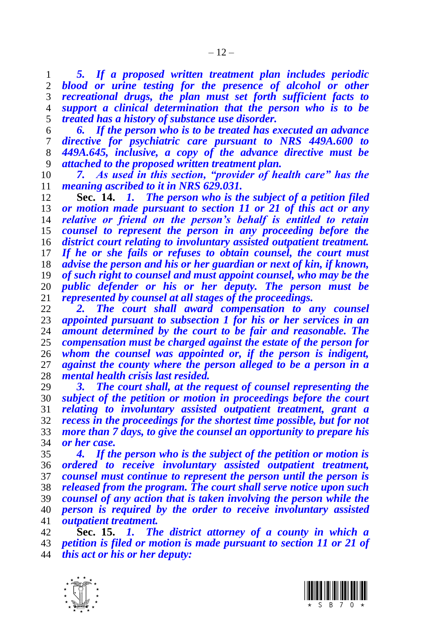*5. If a proposed written treatment plan includes periodic blood or urine testing for the presence of alcohol or other recreational drugs, the plan must set forth sufficient facts to support a clinical determination that the person who is to be treated has a history of substance use disorder.*

 *6. If the person who is to be treated has executed an advance directive for psychiatric care pursuant to NRS 449A.600 to 449A.645, inclusive, a copy of the advance directive must be attached to the proposed written treatment plan.* 

 *7. As used in this section, "provider of health care" has the meaning ascribed to it in NRS 629.031.*

<span id="page-11-0"></span> **Sec. 14.** *1. The person who is the subject of a petition filed or motion made pursuant to section [11](#page-6-0) or [21](#page-16-0) of this act or any relative or friend on the person's behalf is entitled to retain counsel to represent the person in any proceeding before the district court relating to involuntary assisted outpatient treatment. If he or she fails or refuses to obtain counsel, the court must advise the person and his or her guardian or next of kin, if known, of such right to counsel and must appoint counsel, who may be the public defender or his or her deputy. The person must be represented by counsel at all stages of the proceedings.*

 *2. The court shall award compensation to any counsel appointed pursuant to subsection 1 for his or her services in an amount determined by the court to be fair and reasonable. The compensation must be charged against the estate of the person for whom the counsel was appointed or, if the person is indigent, against the county where the person alleged to be a person in a mental health crisis last resided.*

 *3. The court shall, at the request of counsel representing the subject of the petition or motion in proceedings before the court relating to involuntary assisted outpatient treatment, grant a recess in the proceedings for the shortest time possible, but for not more than 7 days, to give the counsel an opportunity to prepare his or her case.*

 *4. If the person who is the subject of the petition or motion is ordered to receive involuntary assisted outpatient treatment, counsel must continue to represent the person until the person is released from the program. The court shall serve notice upon such counsel of any action that is taken involving the person while the person is required by the order to receive involuntary assisted outpatient treatment.*

 **Sec. 15.** *1. The district attorney of a county in which a petition is filed or motion is made pursuant to section [11](#page-6-0) or [21](#page-16-0) of this act or his or her deputy:*



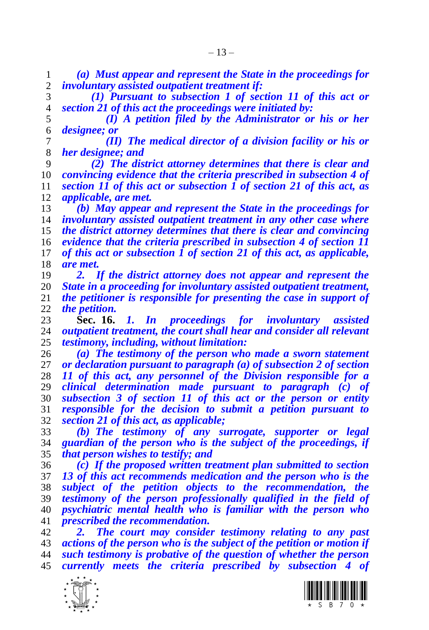*(a) Must appear and represent the State in the proceedings for involuntary assisted outpatient treatment if:*

 *(1) Pursuant to subsection 1 of section [11](#page-6-0) of this act or sectio[n 21](#page-16-0) of this act the proceedings were initiated by:*

 *(I) A petition filed by the Administrator or his or her designee; or*

 *(II) The medical director of a division facility or his or her designee; and*

 *(2) The district attorney determines that there is clear and convincing evidence that the criteria prescribed in subsection 4 of section [11](#page-6-0) of this act or subsection 1 of section [21](#page-16-0) of this act, as applicable, are met.*

 *(b) May appear and represent the State in the proceedings for involuntary assisted outpatient treatment in any other case where the district attorney determines that there is clear and convincing evidence that the criteria prescribed in subsection 4 of section [11](#page-6-0) of this act or subsection 1 of section [21](#page-16-0) of this act, as applicable, are met.*

 *2. If the district attorney does not appear and represent the State in a proceeding for involuntary assisted outpatient treatment, the petitioner is responsible for presenting the case in support of the petition.*

 **Sec. 16.** *1. In proceedings for involuntary assisted outpatient treatment, the court shall hear and consider all relevant testimony, including, without limitation:*

 *(a) The testimony of the person who made a sworn statement or declaration pursuant to paragraph (a) of subsection 2 of section [11](#page-6-0) of this act, any personnel of the Division responsible for a clinical determination made pursuant to paragraph (c) of subsection 3 of section [11](#page-6-0) of this act or the person or entity responsible for the decision to submit a petition pursuant to sectio[n 21](#page-16-0) of this act, as applicable;*

 *(b) The testimony of any surrogate, supporter or legal guardian of the person who is the subject of the proceedings, if that person wishes to testify; and*

 *(c) If the proposed written treatment plan submitted to section [13](#page-9-0) of this act recommends medication and the person who is the subject of the petition objects to the recommendation, the testimony of the person professionally qualified in the field of psychiatric mental health who is familiar with the person who prescribed the recommendation.*

 *2. The court may consider testimony relating to any past actions of the person who is the subject of the petition or motion if such testimony is probative of the question of whether the person currently meets the criteria prescribed by subsection 4 of* 



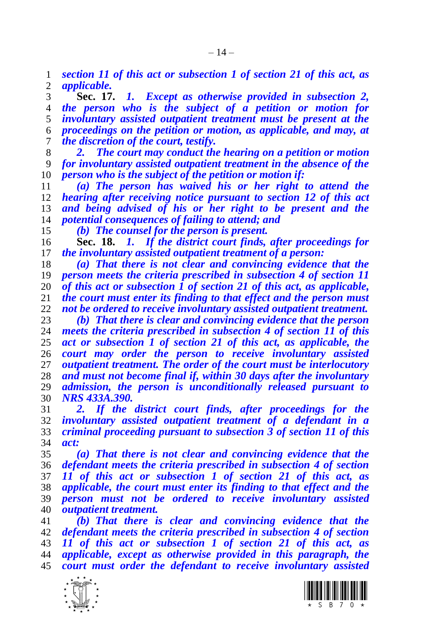*section [11](#page-6-0) of this act or subsection 1 of section [21](#page-16-0) of this act, as applicable.*

 **Sec. 17.** *1. Except as otherwise provided in subsection 2, the person who is the subject of a petition or motion for involuntary assisted outpatient treatment must be present at the proceedings on the petition or motion, as applicable, and may, at the discretion of the court, testify.*

 *2. The court may conduct the hearing on a petition or motion for involuntary assisted outpatient treatment in the absence of the person who is the subject of the petition or motion if:*

 *(a) The person has waived his or her right to attend the hearing after receiving notice pursuant to section [12](#page-9-1) of this act and being advised of his or her right to be present and the potential consequences of failing to attend; and*

*(b) The counsel for the person is present.*

<span id="page-13-0"></span> **Sec. 18.** *1. If the district court finds, after proceedings for the involuntary assisted outpatient treatment of a person:*

 *(a) That there is not clear and convincing evidence that the person meets the criteria prescribed in subsection 4 of section [11](#page-6-0) of this act or subsection 1 of section [21](#page-16-0) of this act, as applicable, the court must enter its finding to that effect and the person must not be ordered to receive involuntary assisted outpatient treatment.*

 *(b) That there is clear and convincing evidence that the person meets the criteria prescribed in subsection 4 of section [11](#page-6-0) of this act or subsection 1 of section [21](#page-16-0) of this act, as applicable, the court may order the person to receive involuntary assisted outpatient treatment. The order of the court must be interlocutory and must not become final if, within 30 days after the involuntary admission, the person is unconditionally released pursuant to NRS 433A.390.* 

 *2. If the district court finds, after proceedings for the involuntary assisted outpatient treatment of a defendant in a criminal proceeding pursuant to subsection 3 of section [11](#page-6-0) of this act:*

 *(a) That there is not clear and convincing evidence that the defendant meets the criteria prescribed in subsection 4 of section [11](#page-6-0) of this act or subsection 1 of section [21](#page-16-0) of this act, as applicable, the court must enter its finding to that effect and the person must not be ordered to receive involuntary assisted outpatient treatment.* 

 *(b) That there is clear and convincing evidence that the defendant meets the criteria prescribed in subsection 4 of section [11](#page-6-0) of this act or subsection 1 of section [21](#page-16-0) of this act, as applicable, except as otherwise provided in this paragraph, the court must order the defendant to receive involuntary assisted* 



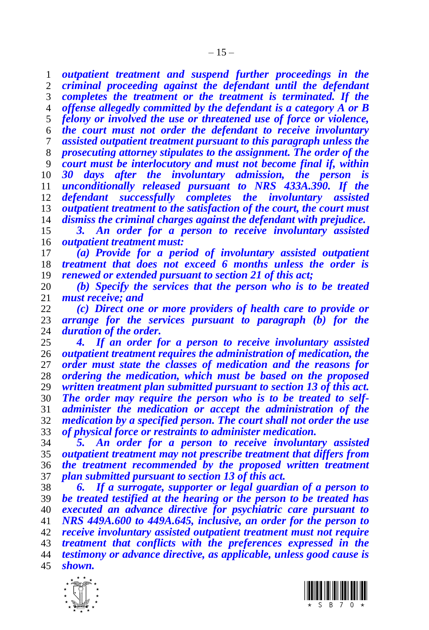*outpatient treatment and suspend further proceedings in the criminal proceeding against the defendant until the defendant completes the treatment or the treatment is terminated. If the offense allegedly committed by the defendant is a category A or B felony or involved the use or threatened use of force or violence, the court must not order the defendant to receive involuntary assisted outpatient treatment pursuant to this paragraph unless the prosecuting attorney stipulates to the assignment. The order of the court must be interlocutory and must not become final if, within 30 days after the involuntary admission, the person is unconditionally released pursuant to NRS 433A.390. If the defendant successfully completes the involuntary assisted outpatient treatment to the satisfaction of the court, the court must dismiss the criminal charges against the defendant with prejudice.*

 *3. An order for a person to receive involuntary assisted outpatient treatment must:*

 *(a) Provide for a period of involuntary assisted outpatient treatment that does not exceed 6 months unless the order is renewed or extended pursuant to section [21](#page-16-0) of this act;*

 *(b) Specify the services that the person who is to be treated must receive; and* 

 *(c) Direct one or more providers of health care to provide or arrange for the services pursuant to paragraph (b) for the*  duration of the order.

 *4. If an order for a person to receive involuntary assisted outpatient treatment requires the administration of medication, the order must state the classes of medication and the reasons for ordering the medication, which must be based on the proposed written treatment plan submitted pursuant to section [13](#page-9-0) of this act. The order may require the person who is to be treated to self- administer the medication or accept the administration of the medication by a specified person. The court shall not order the use of physical force or restraints to administer medication.*

 *5. An order for a person to receive involuntary assisted outpatient treatment may not prescribe treatment that differs from the treatment recommended by the proposed written treatment plan submitted pursuant to section [13](#page-9-0) of this act.*

 *6. If a surrogate, supporter or legal guardian of a person to be treated testified at the hearing or the person to be treated has executed an advance directive for psychiatric care pursuant to NRS 449A.600 to 449A.645, inclusive, an order for the person to receive involuntary assisted outpatient treatment must not require treatment that conflicts with the preferences expressed in the testimony or advance directive, as applicable, unless good cause is shown.*



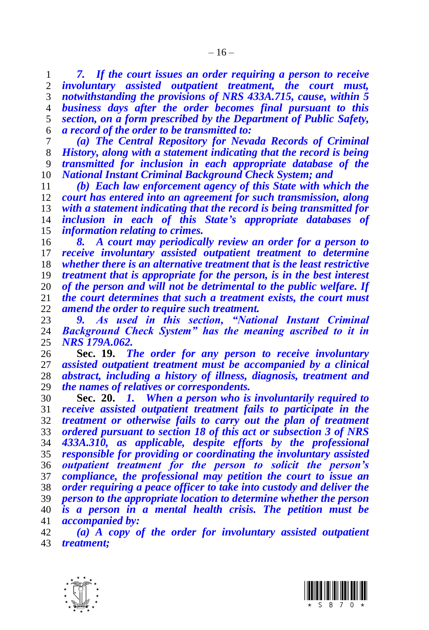*7. If the court issues an order requiring a person to receive involuntary assisted outpatient treatment, the court must, notwithstanding the provisions of NRS 433A.715, cause, within 5 business days after the order becomes final pursuant to this section, on a form prescribed by the Department of Public Safety, a record of the order to be transmitted to:*

 *(a) The Central Repository for Nevada Records of Criminal History, along with a statement indicating that the record is being transmitted for inclusion in each appropriate database of the National Instant Criminal Background Check System; and*

 *(b) Each law enforcement agency of this State with which the court has entered into an agreement for such transmission, along with a statement indicating that the record is being transmitted for inclusion in each of this State's appropriate databases of information relating to crimes.*

 *8. A court may periodically review an order for a person to receive involuntary assisted outpatient treatment to determine whether there is an alternative treatment that is the least restrictive treatment that is appropriate for the person, is in the best interest of the person and will not be detrimental to the public welfare. If the court determines that such a treatment exists, the court must amend the order to require such treatment.*

 *9. As used in this section, "National Instant Criminal Background Check System" has the meaning ascribed to it in NRS 179A.062.*

 **Sec. 19.** *The order for any person to receive involuntary assisted outpatient treatment must be accompanied by a clinical abstract, including a history of illness, diagnosis, treatment and the names of relatives or correspondents.*

<span id="page-15-0"></span> **Sec. 20.** *1. When a person who is involuntarily required to receive assisted outpatient treatment fails to participate in the treatment or otherwise fails to carry out the plan of treatment ordered pursuant to section [18](#page-13-0) of this act or subsection 3 of NRS 433A.310, as applicable, despite efforts by the professional responsible for providing or coordinating the involuntary assisted outpatient treatment for the person to solicit the person's compliance, the professional may petition the court to issue an order requiring a peace officer to take into custody and deliver the person to the appropriate location to determine whether the person is a person in a mental health crisis. The petition must be accompanied by:*

 *(a) A copy of the order for involuntary assisted outpatient treatment;*



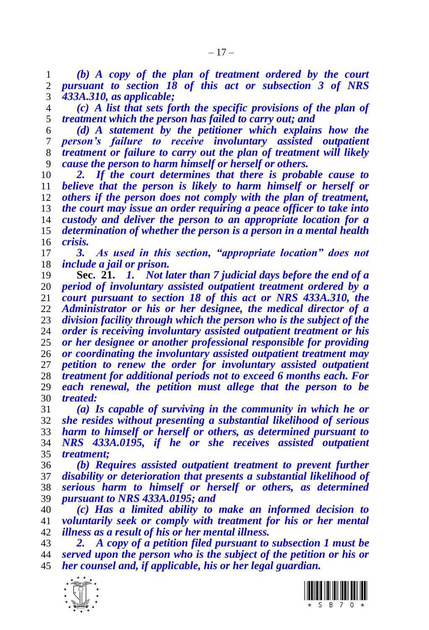*(b) A copy of the plan of treatment ordered by the court pursuant to section [18](#page-13-0) of this act or subsection 3 of NRS 433A.310, as applicable;*

 *(c) A list that sets forth the specific provisions of the plan of treatment which the person has failed to carry out; and*

 *(d) A statement by the petitioner which explains how the person's failure to receive involuntary assisted outpatient treatment or failure to carry out the plan of treatment will likely cause the person to harm himself or herself or others.*

 *2. If the court determines that there is probable cause to believe that the person is likely to harm himself or herself or others if the person does not comply with the plan of treatment, the court may issue an order requiring a peace officer to take into custody and deliver the person to an appropriate location for a determination of whether the person is a person in a mental health crisis.*

 *3. As used in this section, "appropriate location" does not include a jail or prison.*

<span id="page-16-0"></span> **Sec. 21.** *1. Not later than 7 judicial days before the end of a period of involuntary assisted outpatient treatment ordered by a court pursuant to section [18](#page-13-0) of this act or NRS 433A.310, the Administrator or his or her designee, the medical director of a division facility through which the person who is the subject of the order is receiving involuntary assisted outpatient treatment or his or her designee or another professional responsible for providing or coordinating the involuntary assisted outpatient treatment may petition to renew the order for involuntary assisted outpatient treatment for additional periods not to exceed 6 months each. For each renewal, the petition must allege that the person to be treated:*

 *(a) Is capable of surviving in the community in which he or she resides without presenting a substantial likelihood of serious harm to himself or herself or others, as determined pursuant to NRS 433A.0195, if he or she receives assisted outpatient treatment;* 

 *(b) Requires assisted outpatient treatment to prevent further disability or deterioration that presents a substantial likelihood of serious harm to himself or herself or others, as determined pursuant to NRS 433A.0195; and* 

 *(c) Has a limited ability to make an informed decision to voluntarily seek or comply with treatment for his or her mental illness as a result of his or her mental illness.*

 *2. A copy of a petition filed pursuant to subsection 1 must be served upon the person who is the subject of the petition or his or her counsel and, if applicable, his or her legal guardian.*



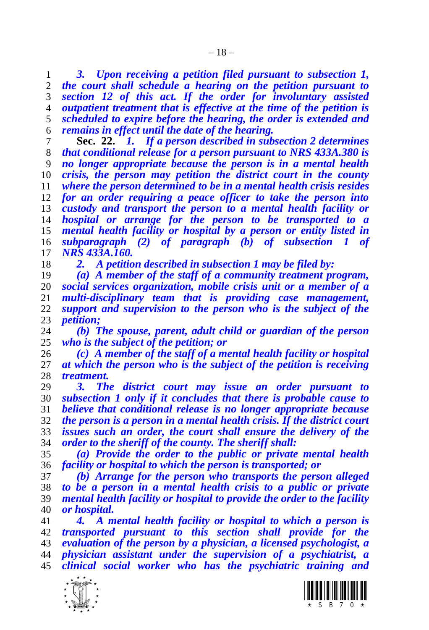*3. Upon receiving a petition filed pursuant to subsection 1, the court shall schedule a hearing on the petition pursuant to section [12](#page-9-1) of this act. If the order for involuntary assisted outpatient treatment that is effective at the time of the petition is scheduled to expire before the hearing, the order is extended and remains in effect until the date of the hearing.*

<span id="page-17-0"></span> **Sec. 22.** *1. If a person described in subsection 2 determines that conditional release for a person pursuant to NRS 433A.380 is no longer appropriate because the person is in a mental health crisis, the person may petition the district court in the county where the person determined to be in a mental health crisis resides for an order requiring a peace officer to take the person into custody and transport the person to a mental health facility or hospital or arrange for the person to be transported to a mental health facility or hospital by a person or entity listed in subparagraph (2) of paragraph (b) of subsection 1 of NRS 433A.160.*

*2. A petition described in subsection 1 may be filed by:*

 *(a) A member of the staff of a community treatment program, social services organization, mobile crisis unit or a member of a multi-disciplinary team that is providing case management, support and supervision to the person who is the subject of the petition;*

 *(b) The spouse, parent, adult child or guardian of the person who is the subject of the petition; or* 

 *(c) A member of the staff of a mental health facility or hospital at which the person who is the subject of the petition is receiving treatment.*

 *3. The district court may issue an order pursuant to subsection 1 only if it concludes that there is probable cause to believe that conditional release is no longer appropriate because the person is a person in a mental health crisis. If the district court issues such an order, the court shall ensure the delivery of the order to the sheriff of the county. The sheriff shall:*

 *(a) Provide the order to the public or private mental health facility or hospital to which the person is transported; or* 

 *(b) Arrange for the person who transports the person alleged to be a person in a mental health crisis to a public or private mental health facility or hospital to provide the order to the facility or hospital.*

 *4. A mental health facility or hospital to which a person is transported pursuant to this section shall provide for the evaluation of the person by a physician, a licensed psychologist, a physician assistant under the supervision of a psychiatrist, a clinical social worker who has the psychiatric training and* 



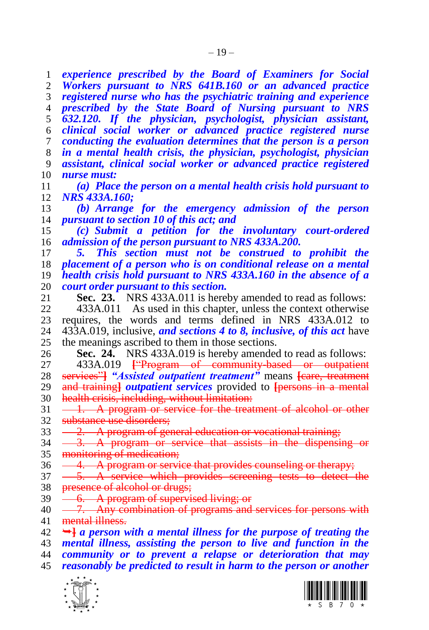<span id="page-18-0"></span> $\frac{1}{\sqrt{2}}$  *experience prescribed by the Board of Examiners for Social Workers pursuant to NRS 641B.160 or an advanced practice registered nurse who has the psychiatric training and experience prescribed by the State Board of Nursing pursuant to NRS 632.120. If the physician, psychologist, physician assistant, clinical social worker or advanced practice registered nurse conducting the evaluation determines that the person is a person in a mental health crisis, the physician, psychologist, physician assistant, clinical social worker or advanced practice registered nurse must: (a) Place the person on a mental health crisis hold pursuant to NRS 433A.160; (b) Arrange for the emergency admission of the person pursuant to sectio[n 10](#page-5-2) of this act; and (c) Submit a petition for the involuntary court-ordered admission of the person pursuant to NRS 433A.200. 5. This section must not be construed to prohibit the placement of a person who is on conditional release on a mental health crisis hold pursuant to NRS 433A.160 in the absence of a court order pursuant to this section.* **Sec. 23.** NRS 433A.011 is hereby amended to read as follows: 433A.011 As used in this chapter, unless the context otherwise 23 requires, the words and terms defined in NRS  $433A.012$  to  $24$   $433A.019$  inclusive, and sections 4 to 8, inclusive, of this act have 433A.019, inclusive, *and sections [4](#page-4-1) to [8,](#page-5-3) inclusive, of this act* have the meanings ascribed to them in those sections. **Sec. 24.** NRS 433A.019 is hereby amended to read as follows: 433A.019 **[**"Program of community-based or outpatient services"**]** *"Assisted outpatient treatment"* means **[**care, treatment and training**]** *outpatient services* provided to **[**persons in a mental health crisis, including, without limitation: 31 - 1. A program or service for the treatment of alcohol or other substance use disorders; 33 - 2. A program of general education or vocational training;  $34 \quad -3.$  A program or service that assists in the dispensing or monitoring of medication; 36 - 4. A program or service that provides counseling or therapy;  $37 - 5$ . A service which provides screening tests to detect the 38 presence of alcohol or drugs; 39 <del>- 6. A program of supervised living; or</del> 40 - 7. Any combination of programs and services for persons with mental illness. **]** *a person with a mental illness for the purpose of treating the mental illness, assisting the person to live and function in the community or to prevent a relapse or deterioration that may reasonably be predicted to result in harm to the person or another* 

<span id="page-18-1"></span>

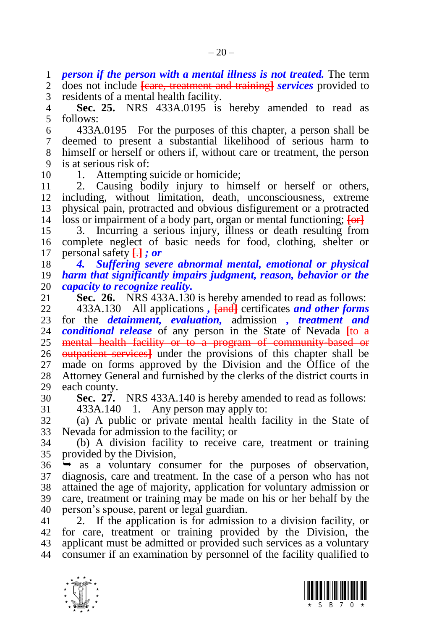*person if the person with a mental illness is not treated.* The term

 does not include **[**care, treatment and training**]** *services* provided to residents of a mental health facility.

<span id="page-19-1"></span> **Sec. 25.** NRS 433A.0195 is hereby amended to read as follows:

 433A.0195 For the purposes of this chapter, a person shall be deemed to present a substantial likelihood of serious harm to himself or herself or others if, without care or treatment, the person is at serious risk of:

10 1. Attempting suicide or homicide;

 2. Causing bodily injury to himself or herself or others, including, without limitation, death, unconsciousness, extreme physical pain, protracted and obvious disfigurement or a protracted loss or impairment of a body part, organ or mental functioning; **[**or**]**

 3. Incurring a serious injury, illness or death resulting from complete neglect of basic needs for food, clothing, shelter or personal safety **[**.**]** *; or*

 *4. Suffering severe abnormal mental, emotional or physical harm that significantly impairs judgment, reason, behavior or the capacity to recognize reality.*

<span id="page-19-2"></span>**Sec. 26.** NRS 433A.130 is hereby amended to read as follows:

 433A.130 All applications *,* **[**and**]** certificates *and other forms*  for the *detainment, evaluation,* admission *, treatment and conditional release* of any person in the State of Nevada  $[t\theta - \theta]$ 25 mental health facility or to a program of community-based or outpatient services**]** under the provisions of this chapter shall be made on forms approved by the Division and the Office of the Attorney General and furnished by the clerks of the district courts in each county.

**Sec. 27.** NRS 433A.140 is hereby amended to read as follows:

<span id="page-19-0"></span>

 433A.140 1. Any person may apply to: (a) A public or private mental health facility in the State of Nevada for admission to the facility; or

 (b) A division facility to receive care, treatment or training provided by the Division,

 $36 \rightarrow$  as a voluntary consumer for the purposes of observation, diagnosis, care and treatment. In the case of a person who has not attained the age of majority, application for voluntary admission or care, treatment or training may be made on his or her behalf by the person's spouse, parent or legal guardian.

 2. If the application is for admission to a division facility, or for care, treatment or training provided by the Division, the applicant must be admitted or provided such services as a voluntary consumer if an examination by personnel of the facility qualified to



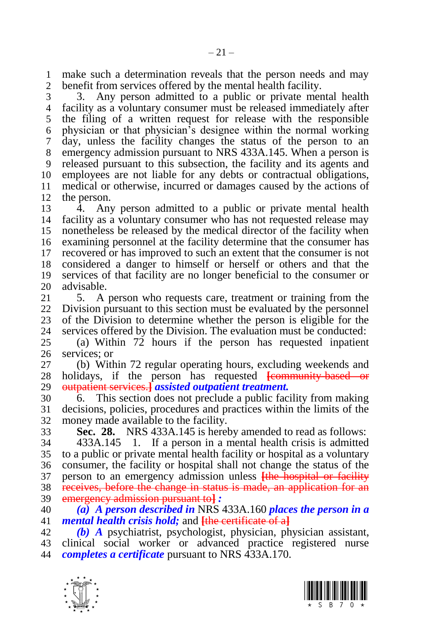make such a determination reveals that the person needs and may benefit from services offered by the mental health facility.

 3. Any person admitted to a public or private mental health facility as a voluntary consumer must be released immediately after the filing of a written request for release with the responsible physician or that physician's designee within the normal working day, unless the facility changes the status of the person to an emergency admission pursuant to NRS 433A.145. When a person is released pursuant to this subsection, the facility and its agents and employees are not liable for any debts or contractual obligations, medical or otherwise, incurred or damages caused by the actions of the person.

 $13 \overline{4}$ . Any person admitted to a public or private mental health facility as a voluntary consumer who has not requested release may nonetheless be released by the medical director of the facility when examining personnel at the facility determine that the consumer has recovered or has improved to such an extent that the consumer is not considered a danger to himself or herself or others and that the services of that facility are no longer beneficial to the consumer or 20 advisable.<br>21 5. A

5. A person who requests care, treatment or training from the Division pursuant to this section must be evaluated by the personnel 23 of the Division to determine whether the person is eligible for the 24 services offered by the Division. The evaluation must be conducted: services offered by the Division. The evaluation must be conducted:

 (a) Within 72 hours if the person has requested inpatient services; or

 (b) Within 72 regular operating hours, excluding weekends and holidays, if the person has requested **[**community-based or outpatient services.**]** *assisted outpatient treatment.*

 6. This section does not preclude a public facility from making decisions, policies, procedures and practices within the limits of the money made available to the facility.

<span id="page-20-0"></span>**Sec. 28.** NRS 433A.145 is hereby amended to read as follows:

 433A.145 1. If a person in a mental health crisis is admitted to a public or private mental health facility or hospital as a voluntary consumer, the facility or hospital shall not change the status of the person to an emergency admission unless **[**the hospital or facility receives, before the change in status is made, an application for an emergency admission pursuant to**]** *:*

 *(a) A person described in* NRS 433A.160 *places the person in a mental health crisis hold;* and **[**the certificate of a**]**

 *(b) A* psychiatrist, psychologist, physician, physician assistant, clinical social worker or advanced practice registered nurse *completes a certificate* pursuant to NRS 433A.170.



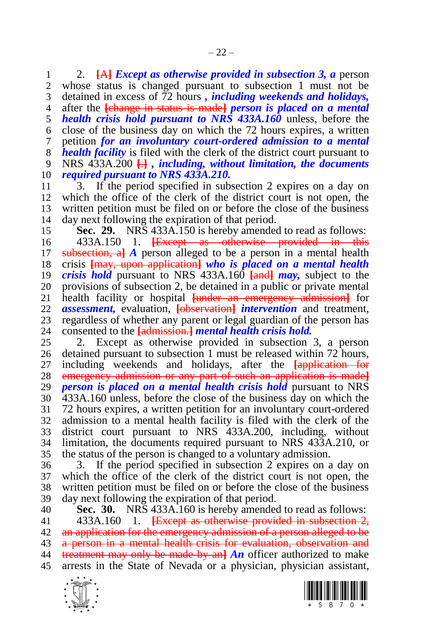2. **[**A**]** *Except as otherwise provided in subsection 3, a* person whose status is changed pursuant to subsection 1 must not be detained in excess of 72 hours *, including weekends and holidays,* after the **[**change in status is made**]** *person is placed on a mental health crisis hold pursuant to NRS 433A.160* unless, before the close of the business day on which the 72 hours expires, a written petition *for an involuntary court-ordered admission to a mental health facility* is filed with the clerk of the district court pursuant to NRS 433A.200 **[**.**]** *, including, without limitation, the documents required pursuant to NRS 433A.210.*

 3. If the period specified in subsection 2 expires on a day on which the office of the clerk of the district court is not open, the written petition must be filed on or before the close of the business day next following the expiration of that period.

<span id="page-21-1"></span>**Sec. 29.** NRS 433A.150 is hereby amended to read as follows:

 433A.150 1. **[**Except as otherwise provided in this subsection, a**]** *A* person alleged to be a person in a mental health crisis **[**may, upon application**]** *who is placed on a mental health crisis hold* pursuant to NRS 433A.160 **[**and**]** *may,* subject to the 20 provisions of subsection 2, be detained in a public or private mental 21 health facility or hospital funder an emergency admission for health facility or hospital **[**under an emergency admission**]** for *assessment,* evaluation, **[**observation**]** *intervention* and treatment, 23 regardless of whether any parent or legal guardian of the person has<br>24 consented to the **Ladmission-1** mental health crisis hold. consented to the **[**admission.**]** *mental health crisis hold.*

 2. Except as otherwise provided in subsection 3, a person detained pursuant to subsection 1 must be released within 72 hours, including weekends and holidays, after the **[**application for emergency admission or any part of such an application is made**]** *person is placed on a mental health crisis hold* pursuant to NRS 433A.160 unless, before the close of the business day on which the 72 hours expires, a written petition for an involuntary court-ordered admission to a mental health facility is filed with the clerk of the district court pursuant to NRS 433A.200, including, without limitation, the documents required pursuant to NRS 433A.210, or the status of the person is changed to a voluntary admission.

 3. If the period specified in subsection 2 expires on a day on which the office of the clerk of the district court is not open, the written petition must be filed on or before the close of the business day next following the expiration of that period.

<span id="page-21-0"></span> **Sec. 30.** NRS 433A.160 is hereby amended to read as follows: 433A.160 1. **[**Except as otherwise provided in subsection 2, an application for the emergency admission of a person alleged to be 43 a person in a mental health crisis for evaluation, observation and treatment may only be made by an**]** *An* officer authorized to make arrests in the State of Nevada or a physician, physician assistant,



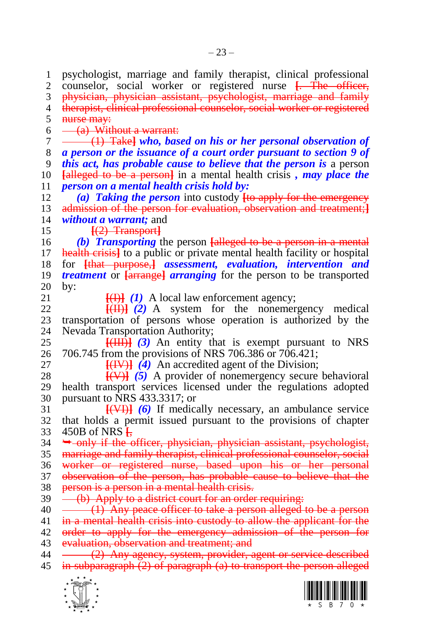psychologist, marriage and family therapist, clinical professional counselor, social worker or registered nurse **[**. The officer, physician, physician assistant, psychologist, marriage and family therapist, clinical professional counselor, social worker or registered 5 nurse may:  $6 \quad -$  (a) Without a warrant: (1) Take**]** *who, based on his or her personal observation of a person or the issuance of a court order pursuant to section [9](#page-5-1) of this act, has probable cause to believe that the person is* a person **[**alleged to be a person**]** in a mental health crisis *, may place the person on a mental health crisis hold by: (a) Taking the person* into custody **[**to apply for the emergency admission of the person for evaluation, observation and treatment;**]** *without a warrant;* and **[**(2) Transport**]** *(b) Transporting* the person **[**alleged to be a person in a mental health crisis**]** to a public or private mental health facility or hospital for **[**that purpose,**]** *assessment, evaluation, intervention and treatment* or *[arrange] arranging* for the person to be transported by:<br> $21$  $\frac{[H]}{[H]}$  *(1)* A local law enforcement agency;<br>22  $\frac{[H]}{[H]}$  *(2)* A system for the nonemer **[**(II)**]** *(2)* A system for the nonemergency medical 23 transportation of persons whose operation is authorized by the 24 Nevada Transportation Authority: Nevada Transportation Authority; **[**(III)**]** *(3)* An entity that is exempt pursuant to NRS 706.745 from the provisions of NRS 706.386 or 706.421; **[(IV)]**  $\overline{4}$  An accredited agent of the Division; **[**(V)**]** *(5)* A provider of nonemergency secure behavioral health transport services licensed under the regulations adopted pursuant to NRS 433.3317; or **[**(VI)**]** *(6)* If medically necessary, an ambulance service that holds a permit issued pursuant to the provisions of chapter 450B of NRS **[**,  $34 \rightarrow$ -only if the officer, physician, physician assistant, psychologist, marriage and family therapist, clinical professional counselor, social worker or registered nurse, based upon his or her personal observation of the person, has probable cause to believe that the person is a person in a mental health crisis. 39 (b) Apply to a district court for an order requiring: 40 (1) Any peace officer to take a person alleged to be a person 41 in a mental health crisis into custody to allow the applicant for the 42 order to apply for the emergency admission of the person for evaluation, observation and treatment; and 44 (2) Any agency, system, provider, agent or service described in subparagraph (2) of paragraph (a) to transport the person alleged



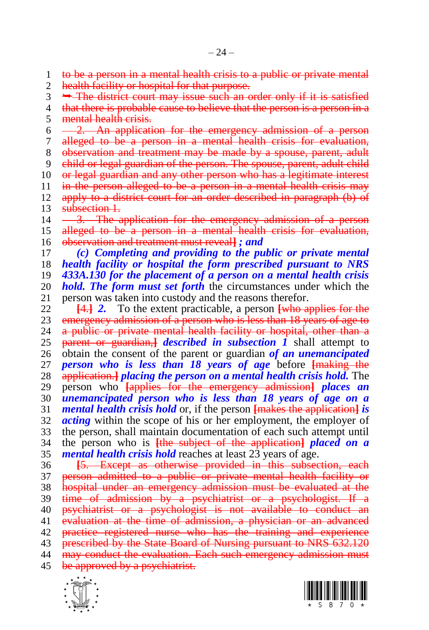2 health facility or hospital for that purpose.  $3 \rightarrow$  The district court may issue such an order only if it is satisfied 4 that there is probable cause to believe that the person is a person in a mental health crisis.  $6 \quad -2$ . An application for the emergency admission of a person alleged to be a person in a mental health crisis for evaluation, observation and treatment may be made by a spouse, parent, adult child or legal guardian of the person. The spouse, parent, adult child 10 or legal guardian and any other person who has a legitimate interest 11 in the person alleged to be a person in a mental health crisis may apply to a district court for an order described in paragraph (b) of 13 subsection 1.  $14 \longrightarrow$ . The application for the emergency admission of a person 15 alleged to be a person in a mental health crisis for evaluation, observation and treatment must reveal**]** *; and (c) Completing and providing to the public or private mental health facility or hospital the form prescribed pursuant to NRS 433A.130 for the placement of a person on a mental health crisis hold. The form must set forth* the circumstances under which the person was taken into custody and the reasons therefor. **[**4.**]** *2.* To the extent practicable, a person **[**who applies for the 23 emergency admission of a person who is less than 18 years of age to 24 a public or private mental health facility or hospital, other than a a public or private mental health facility or hospital, other than a **parent or guardian,** *described in subsection*  $\vec{l}$  shall attempt to obtain the consent of the parent or guardian *of an unemancipated person who is less than 18 years of age* before **[**making the application.**]** *placing the person on a mental health crisis hold.* The person who **[**applies for the emergency admission**]** *places an unemancipated person who is less than 18 years of age on a mental health crisis hold* or, if the person **[**makes the application**]** *is acting* within the scope of his or her employment, the employer of the person, shall maintain documentation of each such attempt until the person who is **[**the subject of the application**]** *placed on a mental health crisis hold* reaches at least 23 years of age. **[**5. Except as otherwise provided in this subsection, each person admitted to a public or private mental health facility or hospital under an emergency admission must be evaluated at the 39 time of admission by a psychiatrist or a psychologist. If a psychiatrist or a psychologist is not available to conduct an

 evaluation at the time of admission, a physician or an advanced practice registered nurse who has the training and experience 43 prescribed by the State Board of Nursing pursuant to NRS 632.120

may conduct the evaluation. Each such emergency admission must

45 be approved by a psychiatrist.





to be a person in a mental health crisis to a public or private mental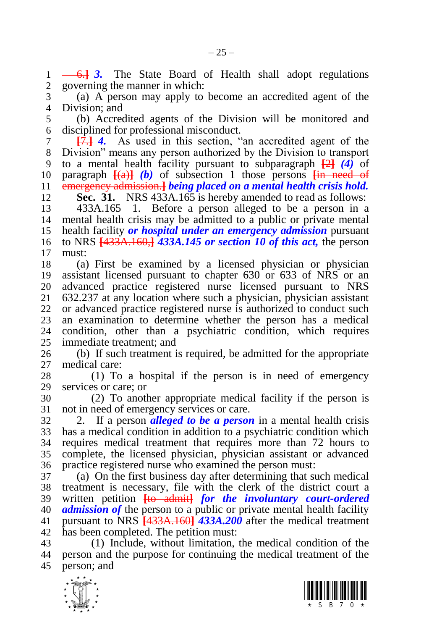6.**]** *3.* The State Board of Health shall adopt regulations governing the manner in which:

 (a) A person may apply to become an accredited agent of the Division; and

 (b) Accredited agents of the Division will be monitored and disciplined for professional misconduct.

 **[**7.**]** *4.* As used in this section, "an accredited agent of the Division" means any person authorized by the Division to transport to a mental health facility pursuant to subparagraph **[**2**]** *(4)* of 10 paragraph  $\frac{[a]}{[b]}$  *(b)* of subsection 1 those persons  $\frac{[a]}{[b]}$  need of emergency admission.**]** *being placed on a mental health crisis hold.* **Sec. 31.** NRS 433A.165 is hereby amended to read as follows:

<span id="page-24-0"></span> 433A.165 1. Before a person alleged to be a person in a mental health crisis may be admitted to a public or private mental health facility *or hospital under an emergency admission* pursuant to NRS **[**433A.160,**]** *433A.145 or section [10](#page-5-2) of this act,* the person  $\begin{bmatrix} 17 & \text{must:} \\ 18 & & (a) \end{bmatrix}$ 

 (a) First be examined by a licensed physician or physician assistant licensed pursuant to chapter 630 or 633 of NRS or an 20 advanced practice registered nurse licensed pursuant to NRS<br>21 632.237 at any location where such a physician, physician assistant 632.237 at any location where such a physician, physician assistant or advanced practice registered nurse is authorized to conduct such an examination to determine whether the person has a medical condition, other than a psychiatric condition, which requires immediate treatment; and

 (b) If such treatment is required, be admitted for the appropriate medical care:

 (1) To a hospital if the person is in need of emergency services or care; or

 (2) To another appropriate medical facility if the person is not in need of emergency services or care.

 2. If a person *alleged to be a person* in a mental health crisis has a medical condition in addition to a psychiatric condition which requires medical treatment that requires more than 72 hours to complete, the licensed physician, physician assistant or advanced practice registered nurse who examined the person must:

 (a) On the first business day after determining that such medical treatment is necessary, file with the clerk of the district court a written petition **[**to admit**]** *for the involuntary court-ordered admission of* the person to a public or private mental health facility pursuant to NRS **[**433A.160**]** *433A.200* after the medical treatment has been completed. The petition must:

 (1) Include, without limitation, the medical condition of the person and the purpose for continuing the medical treatment of the person; and



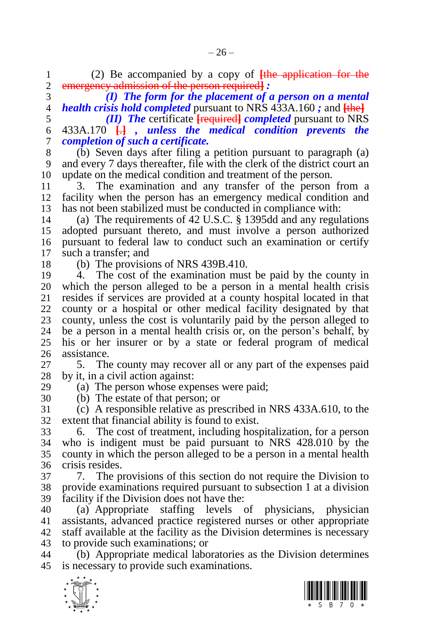(2) Be accompanied by a copy of **[**the application for the

emergency admission of the person required**]** *:*

 *(I) The form for the placement of a person on a mental health crisis hold completed* pursuant to NRS 433A.160 *;* and **[**the**]**

 *(II) The* certificate **[**required**]** *completed* pursuant to NRS 433A.170 **[**.**]** *, unless the medical condition prevents the completion of such a certificate.*

 (b) Seven days after filing a petition pursuant to paragraph (a) and every 7 days thereafter, file with the clerk of the district court an update on the medical condition and treatment of the person.

 3. The examination and any transfer of the person from a facility when the person has an emergency medical condition and has not been stabilized must be conducted in compliance with:

 (a) The requirements of 42 U.S.C. § 1395dd and any regulations adopted pursuant thereto, and must involve a person authorized pursuant to federal law to conduct such an examination or certify such a transfer; and

(b) The provisions of NRS 439B.410.

 4. The cost of the examination must be paid by the county in which the person alleged to be a person in a mental health crisis resides if services are provided at a county hospital located in that county or a hospital or other medical facility designated by that 23 county, unless the cost is voluntarily paid by the person alleged to 24 be a person in a mental health crisis or, on the person's behalf, by be a person in a mental health crisis or, on the person's behalf, by his or her insurer or by a state or federal program of medical assistance.

 5. The county may recover all or any part of the expenses paid by it, in a civil action against:

(a) The person whose expenses were paid;

(b) The estate of that person; or

 (c) A responsible relative as prescribed in NRS 433A.610, to the extent that financial ability is found to exist.

 6. The cost of treatment, including hospitalization, for a person who is indigent must be paid pursuant to NRS 428.010 by the county in which the person alleged to be a person in a mental health crisis resides.

 7. The provisions of this section do not require the Division to provide examinations required pursuant to subsection 1 at a division facility if the Division does not have the:

 (a) Appropriate staffing levels of physicians, physician assistants, advanced practice registered nurses or other appropriate staff available at the facility as the Division determines is necessary to provide such examinations; or

 (b) Appropriate medical laboratories as the Division determines is necessary to provide such examinations.



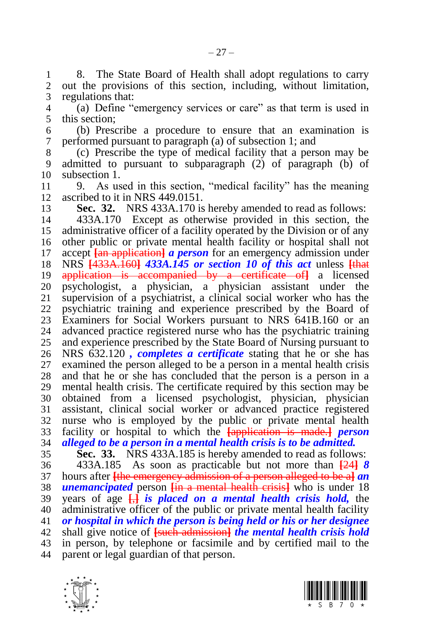1 8. The State Board of Health shall adopt regulations to carry<br>2 out the provisions of this section, including without limitation. out the provisions of this section, including, without limitation, regulations that:

 (a) Define "emergency services or care" as that term is used in this section;

 (b) Prescribe a procedure to ensure that an examination is performed pursuant to paragraph (a) of subsection 1; and

 (c) Prescribe the type of medical facility that a person may be admitted to pursuant to subparagraph (2) of paragraph (b) of subsection 1.

 9. As used in this section, "medical facility" has the meaning ascribed to it in NRS 449.0151.

<span id="page-26-0"></span> **Sec. 32.** NRS 433A.170 is hereby amended to read as follows: 433A.170 Except as otherwise provided in this section, the administrative officer of a facility operated by the Division or of any other public or private mental health facility or hospital shall not accept **[**an application**]** *a person* for an emergency admission under NRS **[**433A.160**]** *433A.145 or section [10](#page-5-2) of this act* unless **[**that application is accompanied by a certificate of**]** a licensed psychologist, a physician, a physician assistant under the supervision of a psychiatrist, a clinical social worker who has the psychiatric training and experience prescribed by the Board of 23 Examiners for Social Workers pursuant to NRS 641B.160 or an<br>24 advanced practice registered nurse who has the psychiatric training advanced practice registered nurse who has the psychiatric training and experience prescribed by the State Board of Nursing pursuant to NRS 632.120 *, completes a certificate* stating that he or she has examined the person alleged to be a person in a mental health crisis and that he or she has concluded that the person is a person in a mental health crisis. The certificate required by this section may be obtained from a licensed psychologist, physician, physician assistant, clinical social worker or advanced practice registered nurse who is employed by the public or private mental health facility or hospital to which the **[**application is made.**]** *person alleged to be a person in a mental health crisis is to be admitted.*

<span id="page-26-1"></span> **Sec. 33.** NRS 433A.185 is hereby amended to read as follows: 433A.185 As soon as practicable but not more than **[**24**]** *8*  hours after **[**the emergency admission of a person alleged to be a**]** *an unemancipated* person **[**in a mental health crisis**]** who is under 18 years of age **[**,**]** *is placed on a mental health crisis hold,* the administrative officer of the public or private mental health facility *or hospital in which the person is being held or his or her designee*  shall give notice of **[**such admission**]** *the mental health crisis hold*  in person, by telephone or facsimile and by certified mail to the parent or legal guardian of that person.



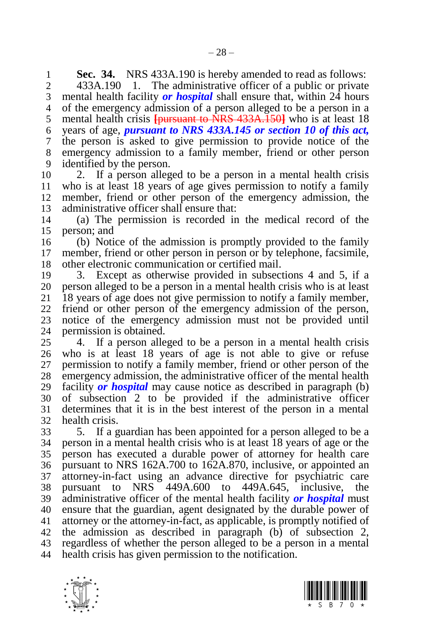**Sec. 34.** NRS 433A.190 is hereby amended to read as follows:<br>2 433A.190 1. The administrative officer of a public or private

 433A.190 1. The administrative officer of a public or private mental health facility *or hospital* shall ensure that, within 24 hours of the emergency admission of a person alleged to be a person in a mental health crisis **[**pursuant to NRS 433A.150**]** who is at least 18 years of age, *pursuant to NRS 433A.145 or section [10](#page-5-2) of this act,*  the person is asked to give permission to provide notice of the emergency admission to a family member, friend or other person identified by the person.

 2. If a person alleged to be a person in a mental health crisis who is at least 18 years of age gives permission to notify a family member, friend or other person of the emergency admission, the administrative officer shall ensure that:

 (a) The permission is recorded in the medical record of the person; and

 (b) Notice of the admission is promptly provided to the family member, friend or other person in person or by telephone, facsimile, other electronic communication or certified mail.

 3. Except as otherwise provided in subsections 4 and 5, if a 20 person alleged to be a person in a mental health crisis who is at least 21 18 years of age does not give permission to notify a family member. 18 years of age does not give permission to notify a family member, friend or other person of the emergency admission of the person, notice of the emergency admission must not be provided until permission is obtained.

 4. If a person alleged to be a person in a mental health crisis who is at least 18 years of age is not able to give or refuse permission to notify a family member, friend or other person of the emergency admission, the administrative officer of the mental health facility *or hospital* may cause notice as described in paragraph (b) of subsection 2 to be provided if the administrative officer determines that it is in the best interest of the person in a mental health crisis.

 5. If a guardian has been appointed for a person alleged to be a person in a mental health crisis who is at least 18 years of age or the person has executed a durable power of attorney for health care pursuant to NRS 162A.700 to 162A.870, inclusive, or appointed an attorney-in-fact using an advance directive for psychiatric care pursuant to NRS 449A.600 to 449A.645, inclusive, the administrative officer of the mental health facility *or hospital* must ensure that the guardian, agent designated by the durable power of attorney or the attorney-in-fact, as applicable, is promptly notified of the admission as described in paragraph (b) of subsection 2, regardless of whether the person alleged to be a person in a mental health crisis has given permission to the notification.



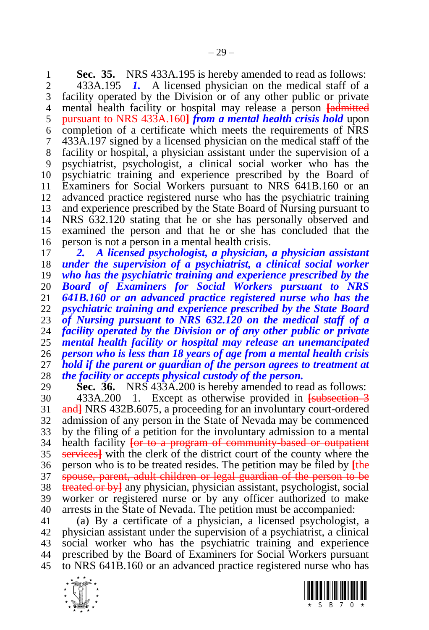<span id="page-28-0"></span>**Sec. 35.** NRS 433A.195 is hereby amended to read as follows:<br>2 433A.195 *I*. A licensed physician on the medical staff of a 433A.195 *1.* A licensed physician on the medical staff of a

 facility operated by the Division or of any other public or private mental health facility or hospital may release a person **[**admitted pursuant to NRS 433A.160**]** *from a mental health crisis hold* upon completion of a certificate which meets the requirements of NRS 433A.197 signed by a licensed physician on the medical staff of the facility or hospital, a physician assistant under the supervision of a psychiatrist, psychologist, a clinical social worker who has the psychiatric training and experience prescribed by the Board of Examiners for Social Workers pursuant to NRS 641B.160 or an advanced practice registered nurse who has the psychiatric training and experience prescribed by the State Board of Nursing pursuant to NRS 632.120 stating that he or she has personally observed and examined the person and that he or she has concluded that the person is not a person in a mental health crisis.

 *2. A licensed psychologist, a physician, a physician assistant under the supervision of a psychiatrist, a clinical social worker who has the psychiatric training and experience prescribed by the Board of Examiners for Social Workers pursuant to NRS 641B.160 or an advanced practice registered nurse who has the psychiatric training and experience prescribed by the State Board of Nursing pursuant to NRS 632.120 on the medical staff of a facility operated by the Division or of any other public or private mental health facility or hospital may release an unemancipated person who is less than 18 years of age from a mental health crisis hold if the parent or guardian of the person agrees to treatment at the facility or accepts physical custody of the person.* 

<span id="page-28-1"></span> **Sec. 36.** NRS 433A.200 is hereby amended to read as follows: 433A.200 1. Except as otherwise provided in **[**subsection 3 and**]** NRS 432B.6075, a proceeding for an involuntary court-ordered admission of any person in the State of Nevada may be commenced by the filing of a petition for the involuntary admission to a mental health facility **[**or to a program of community-based or outpatient services**]** with the clerk of the district court of the county where the person who is to be treated resides. The petition may be filed by **[**the spouse, parent, adult children or legal guardian of the person to be treated or by**]** any physician, physician assistant, psychologist, social worker or registered nurse or by any officer authorized to make arrests in the State of Nevada. The petition must be accompanied:

 (a) By a certificate of a physician, a licensed psychologist, a physician assistant under the supervision of a psychiatrist, a clinical social worker who has the psychiatric training and experience prescribed by the Board of Examiners for Social Workers pursuant to NRS 641B.160 or an advanced practice registered nurse who has



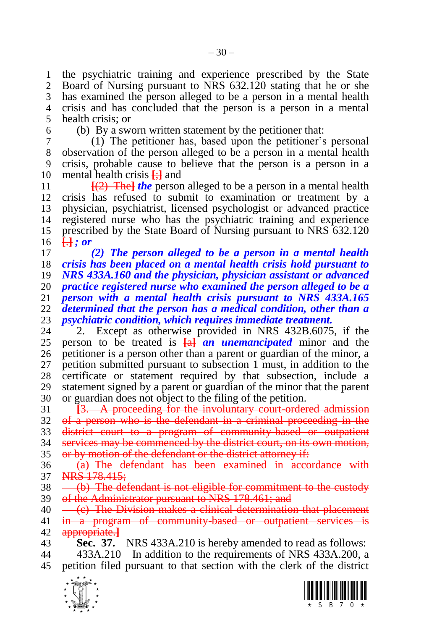the psychiatric training and experience prescribed by the State Board of Nursing pursuant to NRS 632.120 stating that he or she has examined the person alleged to be a person in a mental health crisis and has concluded that the person is a person in a mental health crisis; or

(b) By a sworn written statement by the petitioner that:

 (1) The petitioner has, based upon the petitioner's personal observation of the person alleged to be a person in a mental health crisis, probable cause to believe that the person is a person in a mental health crisis **[**;**]** and

 $\frac{[2]}{[2]}$  The *the* person alleged to be a person in a mental health crisis has refused to submit to examination or treatment by a physician, psychiatrist, licensed psychologist or advanced practice registered nurse who has the psychiatric training and experience 15 prescribed by the State Board of Nursing pursuant to NRS 632.120 **[**.**]** *; or*

 *(2) The person alleged to be a person in a mental health crisis has been placed on a mental health crisis hold pursuant to NRS 433A.160 and the physician, physician assistant or advanced practice registered nurse who examined the person alleged to be a person with a mental health crisis pursuant to NRS 433A.165 determined that the person has a medical condition, other than a psychiatric condition, which requires immediate treatment.*

2. Except as otherwise provided in NRS 432B.6075, if the person to be treated is **[**a**]** *an unemancipated* minor and the petitioner is a person other than a parent or guardian of the minor, a petition submitted pursuant to subsection 1 must, in addition to the certificate or statement required by that subsection, include a statement signed by a parent or guardian of the minor that the parent or guardian does not object to the filing of the petition.

 **[**3. A proceeding for the involuntary court-ordered admission of a person who is the defendant in a criminal proceeding in the district court to a program of community-based or outpatient services may be commenced by the district court, on its own motion, or by motion of the defendant or the district attorney if:

 $36 \overline{a}$  The defendant has been examined in accordance with 37 NRS 178.415;

 $38 \left( \frac{b}{b} \right)$  The defendant is not eligible for commitment to the custody 39 of the Administrator pursuant to NRS 178.461; and

 $40 \left( c \right)$  The Division makes a clinical determination that placement in a program of community-based or outpatient services is appropriate.**]**

 **Sec. 37.** NRS 433A.210 is hereby amended to read as follows: 433A.210 In addition to the requirements of NRS 433A.200, a petition filed pursuant to that section with the clerk of the district

<span id="page-29-0"></span>

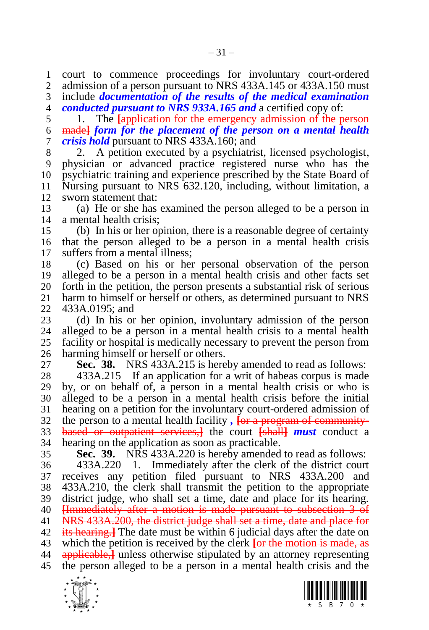court to commence proceedings for involuntary court-ordered admission of a person pursuant to NRS 433A.145 or 433A.150 must

 include *documentation of the results of the medical examination conducted pursuant to NRS 933A.165 and* a certified copy of:

 1. The **[**application for the emergency admission of the person made**]** *form for the placement of the person on a mental health crisis hold* pursuant to NRS 433A.160; and

 2. A petition executed by a psychiatrist, licensed psychologist, physician or advanced practice registered nurse who has the psychiatric training and experience prescribed by the State Board of Nursing pursuant to NRS 632.120, including, without limitation, a sworn statement that:

 (a) He or she has examined the person alleged to be a person in a mental health crisis;

 (b) In his or her opinion, there is a reasonable degree of certainty that the person alleged to be a person in a mental health crisis suffers from a mental illness;

 (c) Based on his or her personal observation of the person alleged to be a person in a mental health crisis and other facts set 20 forth in the petition, the person presents a substantial risk of serious 21 harm to himself or herself or others, as determined pursuant to NRS harm to himself or herself or others, as determined pursuant to NRS 433A.0195; and

 (d) In his or her opinion, involuntary admission of the person alleged to be a person in a mental health crisis to a mental health facility or hospital is medically necessary to prevent the person from harming himself or herself or others.

<span id="page-30-0"></span>**Sec. 38.** NRS 433A.215 is hereby amended to read as follows:

 433A.215 If an application for a writ of habeas corpus is made by, or on behalf of, a person in a mental health crisis or who is alleged to be a person in a mental health crisis before the initial hearing on a petition for the involuntary court-ordered admission of the person to a mental health facility *,* **[**or a program of community- based or outpatient services,**]** the court **[**shall**]** *must* conduct a hearing on the application as soon as practicable.

<span id="page-30-1"></span>**Sec. 39.** NRS 433A.220 is hereby amended to read as follows:

 433A.220 1. Immediately after the clerk of the district court receives any petition filed pursuant to NRS 433A.200 and 433A.210, the clerk shall transmit the petition to the appropriate district judge, who shall set a time, date and place for its hearing. **[**Immediately after a motion is made pursuant to subsection 3 of NRS 433A.200, the district judge shall set a time, date and place for its hearing.**]** The date must be within 6 judicial days after the date on which the petition is received by the clerk **[**or the motion is made, as applicable,**]** unless otherwise stipulated by an attorney representing the person alleged to be a person in a mental health crisis and the



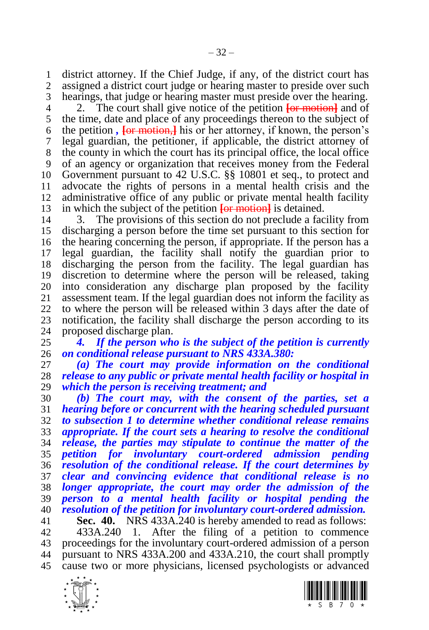district attorney. If the Chief Judge, if any, of the district court has assigned a district court judge or hearing master to preside over such hearings, that judge or hearing master must preside over the hearing.

 2. The court shall give notice of the petition **[**or motion**]** and of the time, date and place of any proceedings thereon to the subject of the petition *,* **[**or motion,**]** his or her attorney, if known, the person's legal guardian, the petitioner, if applicable, the district attorney of the county in which the court has its principal office, the local office of an agency or organization that receives money from the Federal Government pursuant to 42 U.S.C. §§ 10801 et seq., to protect and advocate the rights of persons in a mental health crisis and the administrative office of any public or private mental health facility in which the subject of the petition **[**or motion**]** is detained.

 3. The provisions of this section do not preclude a facility from discharging a person before the time set pursuant to this section for the hearing concerning the person, if appropriate. If the person has a legal guardian, the facility shall notify the guardian prior to discharging the person from the facility. The legal guardian has discretion to determine where the person will be released, taking 20 into consideration any discharge plan proposed by the facility assessment team. If the legal guardian does not inform the facility as assessment team. If the legal guardian does not inform the facility as to where the person will be released within 3 days after the date of 23 notification, the facility shall discharge the person according to its 24 proposed discharge plan. 24 proposed discharge plan.<br>25 4. If the person wh

 *4. If the person who is the subject of the petition is currently on conditional release pursuant to NRS 433A.380:*

 *(a) The court may provide information on the conditional release to any public or private mental health facility or hospital in which the person is receiving treatment; and*

 *(b) The court may, with the consent of the parties, set a hearing before or concurrent with the hearing scheduled pursuant to subsection 1 to determine whether conditional release remains appropriate. If the court sets a hearing to resolve the conditional release, the parties may stipulate to continue the matter of the petition for involuntary court-ordered admission pending resolution of the conditional release. If the court determines by clear and convincing evidence that conditional release is no longer appropriate, the court may order the admission of the person to a mental health facility or hospital pending the resolution of the petition for involuntary court-ordered admission.* **Sec. 40.** NRS 433A.240 is hereby amended to read as follows:

<span id="page-31-0"></span> 433A.240 1. After the filing of a petition to commence proceedings for the involuntary court-ordered admission of a person pursuant to NRS 433A.200 and 433A.210, the court shall promptly cause two or more physicians, licensed psychologists or advanced



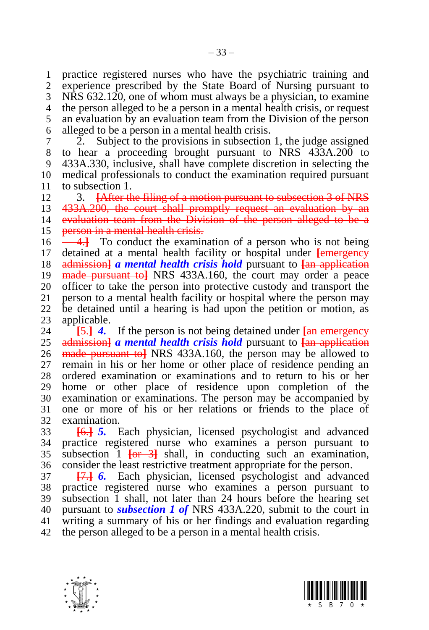practice registered nurses who have the psychiatric training and experience prescribed by the State Board of Nursing pursuant to NRS 632.120, one of whom must always be a physician, to examine the person alleged to be a person in a mental health crisis, or request an evaluation by an evaluation team from the Division of the person alleged to be a person in a mental health crisis.

 2. Subject to the provisions in subsection 1, the judge assigned to hear a proceeding brought pursuant to NRS 433A.200 to 433A.330, inclusive, shall have complete discretion in selecting the medical professionals to conduct the examination required pursuant to subsection 1.

 3. **[**After the filing of a motion pursuant to subsection 3 of NRS 13 433A.200, the court shall promptly request an evaluation by an evaluation team from the Division of the person alleged to be a 15 person in a mental health crisis.

 4.**]** To conduct the examination of a person who is not being detained at a mental health facility or hospital under **[**emergency admission**]** *a mental health crisis hold* pursuant to **[**an application made pursuant to**]** NRS 433A.160, the court may order a peace 20 officer to take the person into protective custody and transport the person to a mental health facility or hospital where the person may person to a mental health facility or hospital where the person may be detained until a hearing is had upon the petition or motion, as 23 applicable.<br>24 <del>15.1</del> 4.

 **[**5.**]** *4.* If the person is not being detained under **[**an emergency admission**]** *a mental health crisis hold* pursuant to **[**an application made pursuant to**]** NRS 433A.160, the person may be allowed to remain in his or her home or other place of residence pending an ordered examination or examinations and to return to his or her home or other place of residence upon completion of the examination or examinations. The person may be accompanied by one or more of his or her relations or friends to the place of examination.

 **[**6.**]** *5.* Each physician, licensed psychologist and advanced practice registered nurse who examines a person pursuant to subsection 1 **[**or 3**]** shall, in conducting such an examination, consider the least restrictive treatment appropriate for the person.

 **[**7.**]** *6.* Each physician, licensed psychologist and advanced practice registered nurse who examines a person pursuant to subsection 1 shall, not later than 24 hours before the hearing set pursuant to *subsection 1 of* NRS 433A.220, submit to the court in writing a summary of his or her findings and evaluation regarding the person alleged to be a person in a mental health crisis.



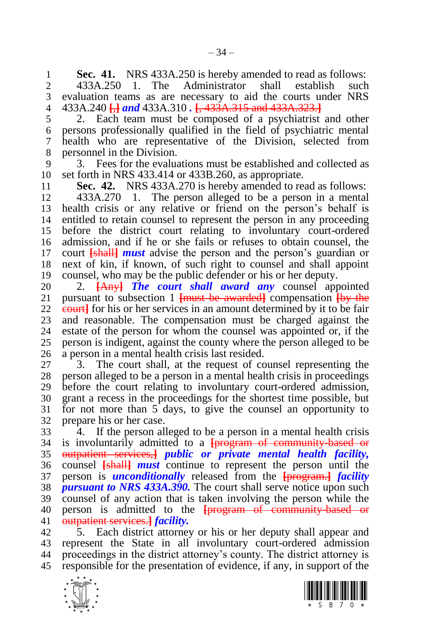<span id="page-33-0"></span>**1 Sec. 41.** NRS 433A.250 is hereby amended to read as follows:<br>2 433A.250 1. The Administrator shall establish such

 433A.250 1. The Administrator shall establish such evaluation teams as are necessary to aid the courts under NRS 433A.240 **[**,**]** *and* 433A.310 *.* **[**, 433A.315 and 433A.323.**]**

 2. Each team must be composed of a psychiatrist and other persons professionally qualified in the field of psychiatric mental health who are representative of the Division, selected from personnel in the Division.

 3. Fees for the evaluations must be established and collected as set forth in NRS 433.414 or 433B.260, as appropriate.

**Sec. 42.** NRS 433A.270 is hereby amended to read as follows:

 433A.270 1. The person alleged to be a person in a mental health crisis or any relative or friend on the person's behalf is entitled to retain counsel to represent the person in any proceeding before the district court relating to involuntary court-ordered admission, and if he or she fails or refuses to obtain counsel, the court **[**shall**]** *must* advise the person and the person's guardian or next of kin, if known, of such right to counsel and shall appoint counsel, who may be the public defender or his or her deputy.

 2. **[**Any**]** *The court shall award any* counsel appointed pursuant to subsection 1 **[**must be awarded**]** compensation **[**by the **court** for his or her services in an amount determined by it to be fair 23 and reasonable. The compensation must be charged against the estate of the person for whom the counsel was appointed or, if the estate of the person for whom the counsel was appointed or, if the person is indigent, against the county where the person alleged to be a person in a mental health crisis last resided.

 3. The court shall, at the request of counsel representing the person alleged to be a person in a mental health crisis in proceedings before the court relating to involuntary court-ordered admission, grant a recess in the proceedings for the shortest time possible, but for not more than 5 days, to give the counsel an opportunity to prepare his or her case.

 4. If the person alleged to be a person in a mental health crisis is involuntarily admitted to a **[**program of community-based or outpatient services,**]** *public or private mental health facility,*  counsel **[**shall**]** *must* continue to represent the person until the person is *unconditionally* released from the **[**program.**]** *facility pursuant to NRS 433A.390.* The court shall serve notice upon such counsel of any action that is taken involving the person while the person is admitted to the **[**program of community-based or outpatient services.**]** *facility.*

 5. Each district attorney or his or her deputy shall appear and represent the State in all involuntary court-ordered admission proceedings in the district attorney's county. The district attorney is responsible for the presentation of evidence, if any, in support of the



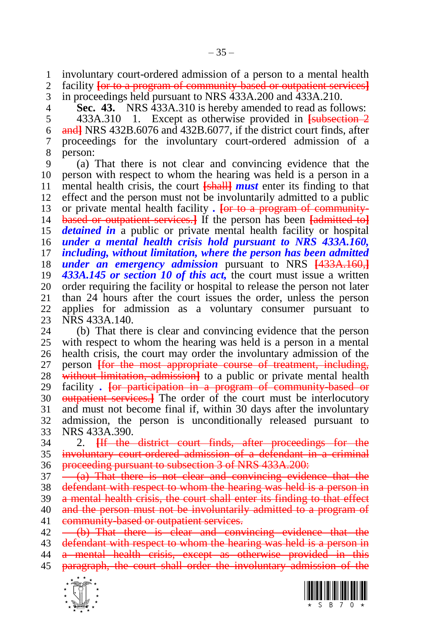involuntary court-ordered admission of a person to a mental health

- facility **[**or to a program of community-based or outpatient services**]**
- in proceedings held pursuant to NRS 433A.200 and 433A.210.

<span id="page-34-0"></span>**Sec. 43.** NRS 433A.310 is hereby amended to read as follows:

 433A.310 1. Except as otherwise provided in **[**subsection 2 and**]** NRS 432B.6076 and 432B.6077, if the district court finds, after proceedings for the involuntary court-ordered admission of a person:

 (a) That there is not clear and convincing evidence that the person with respect to whom the hearing was held is a person in a mental health crisis, the court **[**shall**]** *must* enter its finding to that effect and the person must not be involuntarily admitted to a public or private mental health facility *.* **[**or to a program of community- based or outpatient services.**]** If the person has been **[**admitted to**]** *detained in* a public or private mental health facility or hospital *under a mental health crisis hold pursuant to NRS 433A.160, including, without limitation, where the person has been admitted under an emergency admission* pursuant to NRS **[**433A.160,**]** *433A.145 or section [10](#page-5-2) of this act,* the court must issue a written 20 order requiring the facility or hospital to release the person not later 21 than 24 hours after the court issues the order, unless the person than 24 hours after the court issues the order, unless the person applies for admission as a voluntary consumer pursuant to 23 NRS 433A.140.<br>24 (b) That then

 (b) That there is clear and convincing evidence that the person with respect to whom the hearing was held is a person in a mental health crisis, the court may order the involuntary admission of the person **[**for the most appropriate course of treatment, including, without limitation, admission**]** to a public or private mental health facility *.* **[**or participation in a program of community-based or outpatient services.**]** The order of the court must be interlocutory and must not become final if, within 30 days after the involuntary admission, the person is unconditionally released pursuant to NRS 433A.390.

 2. **[**If the district court finds, after proceedings for the involuntary court-ordered admission of a defendant in a criminal 36 proceeding pursuant to subsection 3 of NRS 433A.200:

 $37 \left(4\right)$  That there is not clear and convincing evidence that the defendant with respect to whom the hearing was held is a person in a mental health crisis, the court shall enter its finding to that effect

40 and the person must not be involuntarily admitted to a program of 41 community-based or outpatient services.

 $42 \left(-\frac{b}{b}\right)$  That there is clear and convincing evidence that the 43 defendant with respect to whom the hearing was held is a person in a mental health crisis, except as otherwise provided in this paragraph, the court shall order the involuntary admission of the



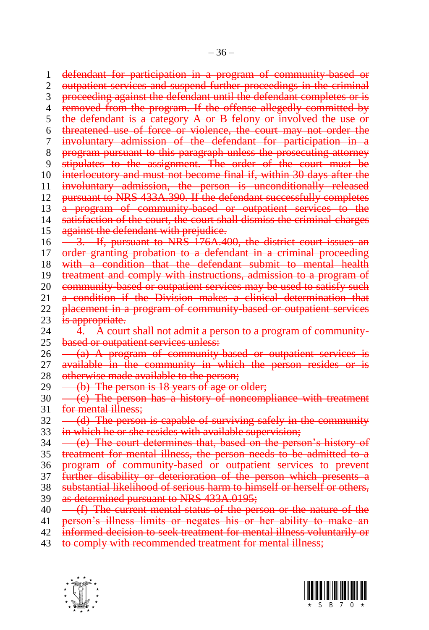1 defendant for participation in a program of community-based or 2 outpatient services and suspend further proceedings in the criminal 3 proceeding against the defendant until the defendant completes or is 4 removed from the program. If the offense allegedly committed by 5 the defendant is a category  $A$  or  $B$  felony or involved the use or 6 threatened use of force or violence, the court may not order the 7 involuntary admission of the defendant for participation in a 8 program pursuant to this paragraph unless the prosecuting attorney 9 stipulates to the assignment. The order of the court must be 10 interlocutory and must not become final if, within 30 days after the 11 involuntary admission, the person is unconditionally released 12 pursuant to NRS 433A.390. If the defendant successfully completes 13 a program of community-based or outpatient services to the 14 satisfaction of the court, the court shall dismiss the criminal charges 15 against the defendant with prejudice. 16 - 3. If, pursuant to NRS 176A.400, the district court issues an 17 order granting probation to a defendant in a criminal proceeding 18 with a condition that the defendant submit to mental health 19 treatment and comply with instructions, admission to a program of 20 community based or outpatient services may be used to satisfy such 21 a condition if the Division makes a clinical determination that 22 placement in a program of community-based or outpatient services 23 is appropriate.<br>24  $-4$  A cour  $\overline{4}$ . A court shall not admit a person to a program of community-25 based or outpatient services unless:  $26 -$ (a) A program of community-based or outpatient services 27 available in the community in which the person resides or is 28 otherwise made available to the person; 29  $-$  (b) The person is 18 years of age or older;  $30 \left( -\frac{1}{2} \right)$  The person has a history of noncompliance with treatment 31 for mental illness;

- $32 \left( d \right)$  The person is capable of surviving safely in the community
- 33 in which he or she resides with available supervision;
- $34 \left($   $\left($  e) The court determines that, based on the person's history of
- 35 treatment for mental illness, the person needs to be admitted to a
- 36 program of community-based or outpatient services to prevent
- 37 further disability or deterioration of the person which presents a
- 38 substantial likelihood of serious harm to himself or herself or others, 39 as determined pursuant to NRS 433A.0195;
- 40 (f) The current mental status of the person or the nature of the
- 41 person's illness limits or negates his or her ability to make an
- 42 informed decision to seek treatment for mental illness voluntarily or
- 43 to comply with recommended treatment for mental illness;



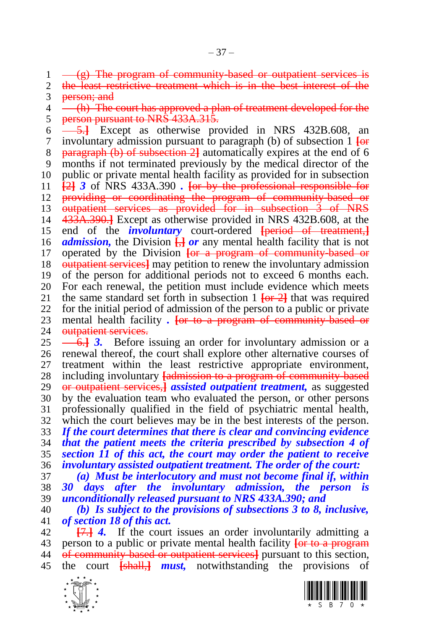$1 - \frac{g}{g}$  The program of community-based or outpatient services is  $2$  the least restrictive treatment which is in the best interest of the

the least restrictive treatment which is in the best interest of the 3 person; and

4 (h) The court has approved a plan of treatment developed for the 5 person pursuant to NRS 433A.315.

 5.**]** Except as otherwise provided in NRS 432B.608, an involuntary admission pursuant to paragraph (b) of subsection 1 **[**or paragraph (b) of subsection 2**]** automatically expires at the end of 6 months if not terminated previously by the medical director of the public or private mental health facility as provided for in subsection **[**2**]** *3* of NRS 433A.390 *.* **[**or by the professional responsible for 12 providing or coordinating the program of community-based or outpatient services as provided for in subsection 3 of NRS 433A.390.**]** Except as otherwise provided in NRS 432B.608, at the end of the *involuntary* court-ordered **[**period of treatment,**]** *admission,* the Division **[**,**]** *or* any mental health facility that is not operated by the Division **[**or a program of community-based or outpatient services**]** may petition to renew the involuntary admission of the person for additional periods not to exceed 6 months each. 20 For each renewal, the petition must include evidence which meets 21 the same standard set forth in subsection  $1 \text{ for } 21$  that was required the same standard set forth in subsection  $1 \overline{\text{for 2}}$  that was required for the initial period of admission of the person to a public or private 23 mental health facility *.* For to a program of community-based or outpatient services. outpatient services.

 6.**]** *3.* Before issuing an order for involuntary admission or a renewal thereof, the court shall explore other alternative courses of treatment within the least restrictive appropriate environment, including involuntary **[**admission to a program of community-based or outpatient services,**]** *assisted outpatient treatment,* as suggested by the evaluation team who evaluated the person, or other persons professionally qualified in the field of psychiatric mental health, which the court believes may be in the best interests of the person. *If the court determines that there is clear and convincing evidence that the patient meets the criteria prescribed by subsection 4 of section [11](#page-6-0) of this act, the court may order the patient to receive involuntary assisted outpatient treatment. The order of the court:*

 *(a) Must be interlocutory and must not become final if, within 30 days after the involuntary admission, the person is unconditionally released pursuant to NRS 433A.390; and*

 *(b) Is subject to the provisions of subsections 3 to 8, inclusive, of sectio[n 18](#page-13-0) of this act.*

 **[**7.**]** *4.* If the court issues an order involuntarily admitting a person to a public or private mental health facility **[**or to a program of community-based or outpatient services**]** pursuant to this section, the court **[**shall,**]** *must,* notwithstanding the provisions of



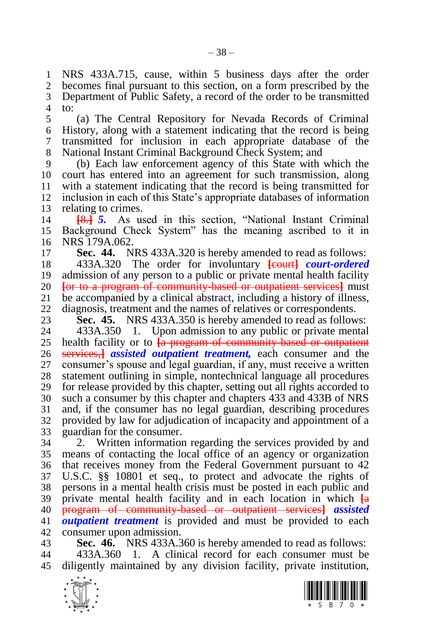NRS 433A.715, cause, within 5 business days after the order becomes final pursuant to this section, on a form prescribed by the Department of Public Safety, a record of the order to be transmitted to:

 (a) The Central Repository for Nevada Records of Criminal History, along with a statement indicating that the record is being transmitted for inclusion in each appropriate database of the National Instant Criminal Background Check System; and

 (b) Each law enforcement agency of this State with which the court has entered into an agreement for such transmission, along with a statement indicating that the record is being transmitted for inclusion in each of this State's appropriate databases of information relating to crimes.

 **[**8.**]** *5.* As used in this section, "National Instant Criminal Background Check System" has the meaning ascribed to it in NRS 179A.062.

**Sec. 44.** NRS 433A.320 is hereby amended to read as follows:

18 433A.320 The order for involuntary **Formarish** *court-ordered*  admission of any person to a public or private mental health facility **[**or to a program of community-based or outpatient services**]** must be accompanied by a clinical abstract, including a history of illness, diagnosis, treatment and the names of relatives or correspondents.

**Sec. 45.** NRS 433A.350 is hereby amended to read as follows:<br>24 433A.350 1. Upon admission to any public or private mental

 433A.350 1. Upon admission to any public or private mental health facility or to **[**a program of community-based or outpatient services,**]** *assisted outpatient treatment,* each consumer and the consumer's spouse and legal guardian, if any, must receive a written statement outlining in simple, nontechnical language all procedures for release provided by this chapter, setting out all rights accorded to such a consumer by this chapter and chapters 433 and 433B of NRS and, if the consumer has no legal guardian, describing procedures provided by law for adjudication of incapacity and appointment of a guardian for the consumer.

 2. Written information regarding the services provided by and means of contacting the local office of an agency or organization that receives money from the Federal Government pursuant to 42 U.S.C. §§ 10801 et seq., to protect and advocate the rights of persons in a mental health crisis must be posted in each public and private mental health facility and in each location in which **[**a program of community-based or outpatient services**]** *assisted outpatient treatment* is provided and must be provided to each consumer upon admission.

 **Sec. 46.** NRS 433A.360 is hereby amended to read as follows: 433A.360 1. A clinical record for each consumer must be diligently maintained by any division facility, private institution,

<span id="page-37-0"></span>

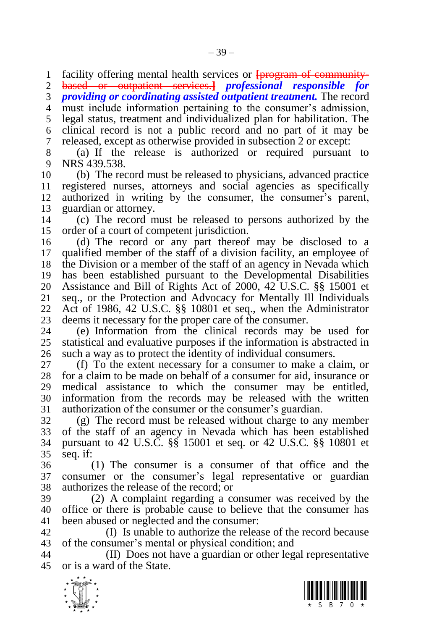facility offering mental health services or **[**program of community-

based or outpatient services.**]** *professional responsible for* 

*providing or coordinating assisted outpatient treatment.* The record

must include information pertaining to the consumer's admission,

legal status, treatment and individualized plan for habilitation. The

clinical record is not a public record and no part of it may be

released, except as otherwise provided in subsection 2 or except:

 (a) If the release is authorized or required pursuant to NRS 439.538.

 (b) The record must be released to physicians, advanced practice registered nurses, attorneys and social agencies as specifically authorized in writing by the consumer, the consumer's parent, guardian or attorney.

 (c) The record must be released to persons authorized by the order of a court of competent jurisdiction.

 (d) The record or any part thereof may be disclosed to a qualified member of the staff of a division facility, an employee of the Division or a member of the staff of an agency in Nevada which has been established pursuant to the Developmental Disabilities Assistance and Bill of Rights Act of 2000, 42 U.S.C. §§ 15001 et seq., or the Protection and Advocacy for Mentally Ill Individuals Act of 1986, 42 U.S.C. §§ 10801 et seq., when the Administrator 23 deems it necessary for the proper care of the consumer.<br>24 (e) Information from the clinical records may

 (e) Information from the clinical records may be used for statistical and evaluative purposes if the information is abstracted in such a way as to protect the identity of individual consumers.

 (f) To the extent necessary for a consumer to make a claim, or for a claim to be made on behalf of a consumer for aid, insurance or medical assistance to which the consumer may be entitled, information from the records may be released with the written authorization of the consumer or the consumer's guardian.

 (g) The record must be released without charge to any member of the staff of an agency in Nevada which has been established pursuant to 42 U.S.C. §§ 15001 et seq. or 42 U.S.C. §§ 10801 et seq. if:

 (1) The consumer is a consumer of that office and the consumer or the consumer's legal representative or guardian authorizes the release of the record; or

 (2) A complaint regarding a consumer was received by the office or there is probable cause to believe that the consumer has been abused or neglected and the consumer:

 (I) Is unable to authorize the release of the record because of the consumer's mental or physical condition; and

 (II) Does not have a guardian or other legal representative or is a ward of the State.



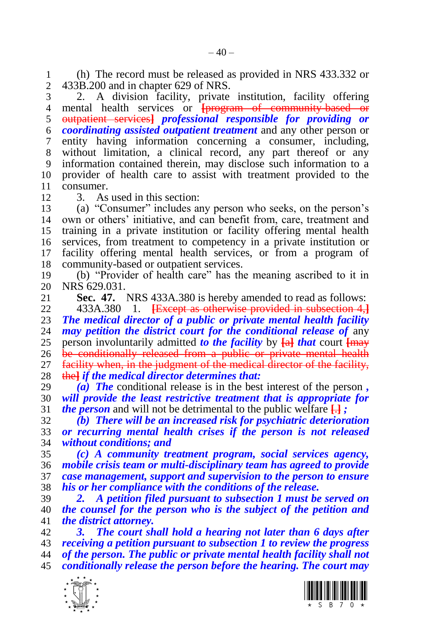1 (h) The record must be released as provided in NRS 433.332 or 433.200 and in chapter 629 of NRS. 433B.200 and in chapter 629 of NRS.

 2. A division facility, private institution, facility offering 4 mental health services or **[program of community-based or**  outpatient services**]** *professional responsible for providing or coordinating assisted outpatient treatment* and any other person or entity having information concerning a consumer, including, without limitation, a clinical record, any part thereof or any information contained therein, may disclose such information to a provider of health care to assist with treatment provided to the consumer.

3. As used in this section:

 (a) "Consumer" includes any person who seeks, on the person's own or others' initiative, and can benefit from, care, treatment and training in a private institution or facility offering mental health services, from treatment to competency in a private institution or facility offering mental health services, or from a program of community-based or outpatient services.

 (b) "Provider of health care" has the meaning ascribed to it in 20 NRS 629.031.<br>21 **Sec. 47.** 

<span id="page-39-0"></span>**Sec. 47.** NRS 433A.380 is hereby amended to read as follows:

 433A.380 1. **[**Except as otherwise provided in subsection 4,**]** *The medical director of a public or private mental health facility may petition the district court for the conditional release of any*  person involuntarily admitted *to the facility* by **[**a**]** *that* court **[**may be conditionally released from a public or private mental health 27 facility when, in the judgment of the medical director of the facility, the**]** *if the medical director determines that:*

 *(a) The* conditional release is in the best interest of the person *, will provide the least restrictive treatment that is appropriate for the person* and will not be detrimental to the public welfare **[**.**]** *;*

 *(b) There will be an increased risk for psychiatric deterioration or recurring mental health crises if the person is not released without conditions; and*

 *(c) A community treatment program, social services agency, mobile crisis team or multi-disciplinary team has agreed to provide case management, support and supervision to the person to ensure his or her compliance with the conditions of the release.* 

 *2. A petition filed pursuant to subsection 1 must be served on the counsel for the person who is the subject of the petition and the district attorney.*

 *3. The court shall hold a hearing not later than 6 days after receiving a petition pursuant to subsection 1 to review the progress of the person. The public or private mental health facility shall not conditionally release the person before the hearing. The court may* 



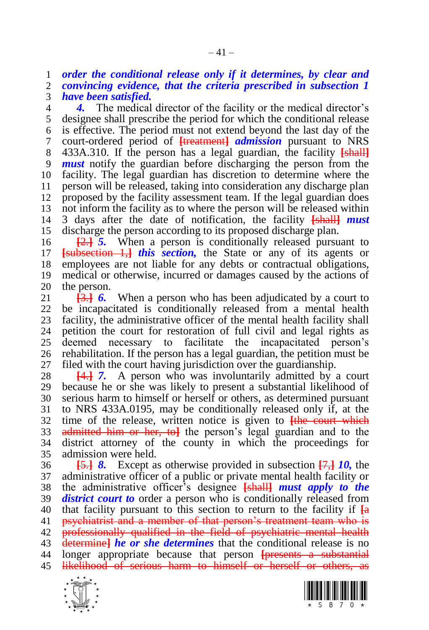*order the conditional release only if it determines, by clear and convincing evidence, that the criteria prescribed in subsection 1* 

*have been satisfied.*

**4.** The medical director of the facility or the medical director's designee shall prescribe the period for which the conditional release is effective. The period must not extend beyond the last day of the court-ordered period of **[**treatment**]** *admission* pursuant to NRS 433A.310. If the person has a legal guardian, the facility **[**shall**]** *must* notify the guardian before discharging the person from the facility. The legal guardian has discretion to determine where the person will be released, taking into consideration any discharge plan proposed by the facility assessment team. If the legal guardian does not inform the facility as to where the person will be released within 3 days after the date of notification, the facility **[**shall**]** *must*  discharge the person according to its proposed discharge plan.

 **[**2.**]** *5.* When a person is conditionally released pursuant to **[**subsection 1,**]** *this section,* the State or any of its agents or employees are not liable for any debts or contractual obligations, medical or otherwise, incurred or damages caused by the actions of 20 the person.<br>21  $\overline{3}$   $\overline{4}$   $\overline{6}$ .

**[3.] 6.** When a person who has been adjudicated by a court to be incapacitated is conditionally released from a mental health 23 facility, the administrative officer of the mental health facility shall<br>24 petition the court for restoration of full civil and legal rights as petition the court for restoration of full civil and legal rights as deemed necessary to facilitate the incapacitated person's rehabilitation. If the person has a legal guardian, the petition must be filed with the court having jurisdiction over the guardianship.

 **[**4.**]** *7.* A person who was involuntarily admitted by a court because he or she was likely to present a substantial likelihood of serious harm to himself or herself or others, as determined pursuant to NRS 433A.0195, may be conditionally released only if, at the time of the release, written notice is given to **[**the court which admitted him or her, to**]** the person's legal guardian and to the district attorney of the county in which the proceedings for admission were held.

 **[**5.**]** *8.* Except as otherwise provided in subsection **[**7,**]** *10,* the administrative officer of a public or private mental health facility or the administrative officer's designee **[**shall**]** *must apply to the district court to* order a person who is conditionally released from that facility pursuant to this section to return to the facility if **[**a psychiatrist and a member of that person's treatment team who is 42 professionally qualified in the field of psychiatric mental health determine**]** *he or she determines* that the conditional release is no longer appropriate because that person **[**presents a substantial likelihood of serious harm to himself or herself or others, as



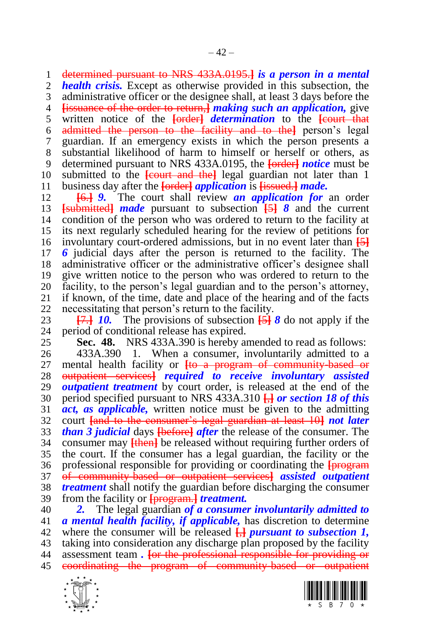determined pursuant to NRS 433A.0195.**]** *is a person in a mental* 

*health crisis.* Except as otherwise provided in this subsection, the

 administrative officer or the designee shall, at least 3 days before the **[**issuance of the order to return,**]** *making such an application,* give

 written notice of the **[**order**]** *determination* to the **[**court that admitted the person to the facility and to the**]** person's legal guardian. If an emergency exists in which the person presents a substantial likelihood of harm to himself or herself or others, as determined pursuant to NRS 433A.0195, the **[**order**]** *notice* must be submitted to the **[**court and the**]** legal guardian not later than 1

business day after the **[**order**]** *application* is **[**issued.**]** *made.*

 **[**6.**]** *9.* The court shall review *an application for* an order **[**submitted**]** *made* pursuant to subsection **[**5**]** *8* and the current condition of the person who was ordered to return to the facility at its next regularly scheduled hearing for the review of petitions for involuntary court-ordered admissions, but in no event later than **[**5**]** *6* judicial days after the person is returned to the facility. The administrative officer or the administrative officer's designee shall give written notice to the person who was ordered to return to the 20 facility, to the person's legal guardian and to the person's attorney,<br>21 if known, of the time, date and place of the hearing and of the facts if known, of the time, date and place of the hearing and of the facts necessitating that person's return to the facility.

23 **[7.] 10.** The provisions of subsection  $\overline{5}$   $\overline{6}$  **3** do not apply if the 24 period of conditional release has expired. period of conditional release has expired.

<span id="page-41-0"></span>

**Sec. 48.** NRS 433A.390 is hereby amended to read as follows:

 433A.390 1. When a consumer, involuntarily admitted to a mental health facility or **[**to a program of community-based or outpatient services**]** *required to receive involuntary assisted outpatient treatment* by court order, is released at the end of the period specified pursuant to NRS 433A.310 **[**,**]** *or section [18](#page-13-0) of this act, as applicable,* written notice must be given to the admitting court **[**and to the consumer's legal guardian at least 10**]** *not later than 3 judicial* days **[**before**]** *after* the release of the consumer. The consumer may **[**then**]** be released without requiring further orders of the court. If the consumer has a legal guardian, the facility or the professional responsible for providing or coordinating the **[**program of community-based or outpatient services**]** *assisted outpatient treatment* shall notify the guardian before discharging the consumer from the facility or **[**program.**]** *treatment.*

 *2.* The legal guardian *of a consumer involuntarily admitted to a mental health facility, if applicable,* has discretion to determine where the consumer will be released **[**,**]** *pursuant to subsection 1,*  taking into consideration any discharge plan proposed by the facility assessment team *.* **[**or the professional responsible for providing or coordinating the program of community-based or outpatient



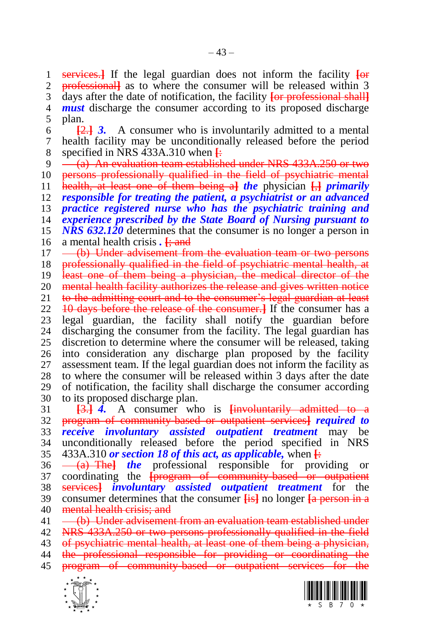services.**]** If the legal guardian does not inform the facility **[**or professional**]** as to where the consumer will be released within 3 days after the date of notification, the facility **[**or professional shall**]** *must* discharge the consumer according to its proposed discharge plan. **[**2.**]** *3.* A consumer who is involuntarily admitted to a mental health facility may be unconditionally released before the period 8 specified in NRS 433A.310 when  $\frac{1}{12}$ <br>9 <del>(a) An evaluation team establish</del> (a) An evaluation team established under NRS 433A.250 or two 10 persons professionally qualified in the field of psychiatric mental health, at least one of them being a**]** *the* physician **[**,**]** *primarily responsible for treating the patient, a psychiatrist or an advanced practice registered nurse who has the psychiatric training and experience prescribed by the State Board of Nursing pursuant to NRS 632.120* determines that the consumer is no longer a person in a mental health crisis *.* **[**; and 17 – (b) Under advisement from the evaluation team or two persons 18 professionally qualified in the field of psychiatric mental health, at least one of them being a physician, the medical director of the 20 mental health facility authorizes the release and gives written notice<br>21 to the admitting court and to the consumer's legal guardian at least to the admitting court and to the consumer's legal guardian at least 10 days before the release of the consumer.**]** If the consumer has a 23 legal guardian, the facility shall notify the guardian before<br>24 discharging the consumer from the facility. The legal guardian has discharging the consumer from the facility. The legal guardian has discretion to determine where the consumer will be released, taking into consideration any discharge plan proposed by the facility assessment team. If the legal guardian does not inform the facility as to where the consumer will be released within 3 days after the date

 of notification, the facility shall discharge the consumer according to its proposed discharge plan.

 **[**3.**]** *4.* A consumer who is **[**involuntarily admitted to a program of community-based or outpatient services**]** *required to receive involuntary assisted outpatient treatment* may be unconditionally released before the period specified in NRS 433A.310 *or sectio[n 18](#page-13-0) of this act, as applicable,* when **[**:

 (a) The**]** *the* professional responsible for providing or coordinating the **[**program of community-based or outpatient services**]** *involuntary assisted outpatient treatment* for the consumer determines that the consumer **[**is**]** no longer **[**a person in a mental health crisis; and

41 (b) Under advisement from an evaluation team established under

NRS 433A.250 or two persons professionally qualified in the field

43 of psychiatric mental health, at least one of them being a physician,

the professional responsible for providing or coordinating the

program of community-based or outpatient services for the



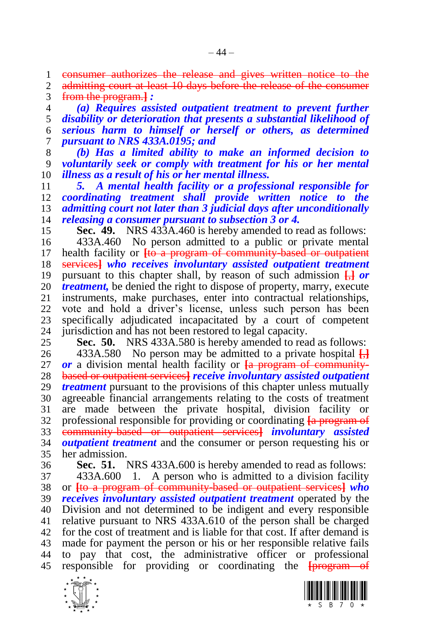consumer authorizes the release and gives written notice to the

2 admitting court at least 10 days before the release of the consumer from the program.**]** *:*

 *(a) Requires assisted outpatient treatment to prevent further disability or deterioration that presents a substantial likelihood of serious harm to himself or herself or others, as determined pursuant to NRS 433A.0195; and* 

 *(b) Has a limited ability to make an informed decision to voluntarily seek or comply with treatment for his or her mental illness as a result of his or her mental illness.*

 *5. A mental health facility or a professional responsible for coordinating treatment shall provide written notice to the admitting court not later than 3 judicial days after unconditionally releasing a consumer pursuant to subsection 3 or 4.*

**Sec. 49.** NRS 433A.460 is hereby amended to read as follows:

 433A.460 No person admitted to a public or private mental health facility or **[**to a program of community-based or outpatient services**]** *who receives involuntary assisted outpatient treatment*  pursuant to this chapter shall, by reason of such admission **[**,**]** *or treatment*, be denied the right to dispose of property, marry, execute 21 instruments, make purchases, enter into contractual relationships. instruments, make purchases, enter into contractual relationships, vote and hold a driver's license, unless such person has been 23 specifically adjudicated incapacitated by a court of competent 24 iurisdiction and has not been restored to legal capacity. 24 jurisdiction and has not been restored to legal capacity.<br>25 **Sec. 50.** NRS 433A.580 is hereby amended to rea

**Sec. 50.** NRS 433A.580 is hereby amended to read as follows:

 433A.580 No person may be admitted to a private hospital **[**,**]** *or* a division mental health facility or **[**a program of community- based or outpatient services**]** *receive involuntary assisted outpatient treatment* pursuant to the provisions of this chapter unless mutually agreeable financial arrangements relating to the costs of treatment are made between the private hospital, division facility or professional responsible for providing or coordinating **[**a program of community-based or outpatient services**]** *involuntary assisted outpatient treatment* and the consumer or person requesting his or her admission.

 **Sec. 51.** NRS 433A.600 is hereby amended to read as follows: 433A.600 1. A person who is admitted to a division facility

 or **[**to a program of community-based or outpatient services**]** *who receives involuntary assisted outpatient treatment* operated by the Division and not determined to be indigent and every responsible relative pursuant to NRS 433A.610 of the person shall be charged for the cost of treatment and is liable for that cost. If after demand is made for payment the person or his or her responsible relative fails to pay that cost, the administrative officer or professional responsible for providing or coordinating the **[**program of



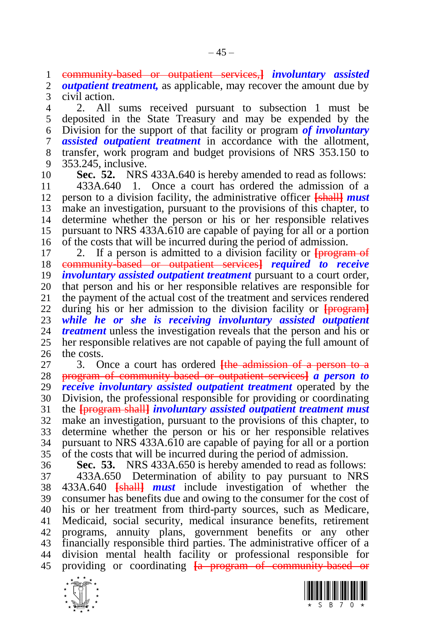community-based or outpatient services,**]** *involuntary assisted* 

*outpatient treatment*, as applicable, may recover the amount due by civil action.

 2. All sums received pursuant to subsection 1 must be deposited in the State Treasury and may be expended by the Division for the support of that facility or program *of involuntary assisted outpatient treatment* in accordance with the allotment, transfer, work program and budget provisions of NRS 353.150 to 353.245, inclusive.

**Sec. 52.** NRS 433A.640 is hereby amended to read as follows:

 433A.640 1. Once a court has ordered the admission of a person to a division facility, the administrative officer **[**shall**]** *must*  make an investigation, pursuant to the provisions of this chapter, to determine whether the person or his or her responsible relatives pursuant to NRS 433A.610 are capable of paying for all or a portion of the costs that will be incurred during the period of admission.

 2. If a person is admitted to a division facility or **[**program of community-based or outpatient services**]** *required to receive involuntary assisted outpatient treatment* pursuant to a court order, 20 that person and his or her responsible relatives are responsible for 21 the payment of the actual cost of the treatment and services rendered the payment of the actual cost of the treatment and services rendered during his or her admission to the division facility or **[**program**]** *while he or she is receiving involuntary assisted outpatient treatment* unless the investigation reveals that the person and his or her responsible relatives are not capable of paying the full amount of the costs.

 3. Once a court has ordered **[**the admission of a person to a program of community-based or outpatient services**]** *a person to receive involuntary assisted outpatient treatment* operated by the Division, the professional responsible for providing or coordinating the **[**program shall**]** *involuntary assisted outpatient treatment must*  make an investigation, pursuant to the provisions of this chapter, to determine whether the person or his or her responsible relatives pursuant to NRS 433A.610 are capable of paying for all or a portion of the costs that will be incurred during the period of admission.

 **Sec. 53.** NRS 433A.650 is hereby amended to read as follows: 433A.650 Determination of ability to pay pursuant to NRS 433A.640 **[**shall**]** *must* include investigation of whether the consumer has benefits due and owing to the consumer for the cost of his or her treatment from third-party sources, such as Medicare, Medicaid, social security, medical insurance benefits, retirement programs, annuity plans, government benefits or any other financially responsible third parties. The administrative officer of a division mental health facility or professional responsible for providing or coordinating **[**a program of community-based or



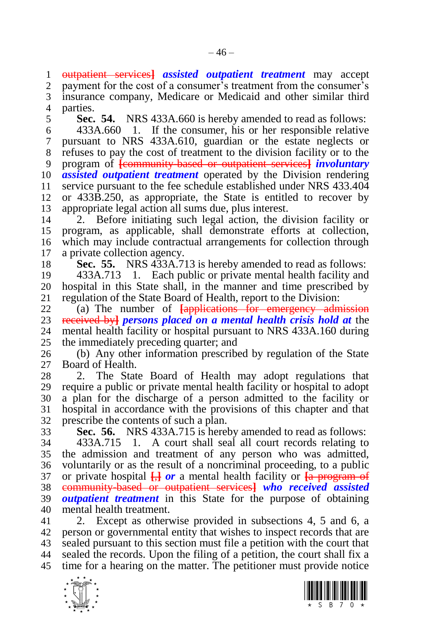outpatient services**]** *assisted outpatient treatment* may accept

 payment for the cost of a consumer's treatment from the consumer's insurance company, Medicare or Medicaid and other similar third

parties.

<span id="page-45-1"></span>**Sec. 54.** NRS 433A.660 is hereby amended to read as follows:

 433A.660 1. If the consumer, his or her responsible relative pursuant to NRS 433A.610, guardian or the estate neglects or refuses to pay the cost of treatment to the division facility or to the program of **[**community-based or outpatient services**]** *involuntary assisted outpatient treatment* operated by the Division rendering service pursuant to the fee schedule established under NRS 433.404 or 433B.250, as appropriate, the State is entitled to recover by appropriate legal action all sums due, plus interest.

 2. Before initiating such legal action, the division facility or program, as applicable, shall demonstrate efforts at collection, which may include contractual arrangements for collection through a private collection agency.

<span id="page-45-0"></span>**Sec. 55.** NRS 433A.713 is hereby amended to read as follows:

 433A.713 1. Each public or private mental health facility and 20 hospital in this State shall, in the manner and time prescribed by regulation of the State Board of Health, report to the Division: regulation of the State Board of Health, report to the Division:

 (a) The number of **[**applications for emergency admission received by**]** *persons placed on a mental health crisis hold at* the mental health facility or hospital pursuant to NRS 433A.160 during the immediately preceding quarter; and

 (b) Any other information prescribed by regulation of the State Board of Health.

 2. The State Board of Health may adopt regulations that require a public or private mental health facility or hospital to adopt a plan for the discharge of a person admitted to the facility or hospital in accordance with the provisions of this chapter and that prescribe the contents of such a plan.

<span id="page-45-2"></span> **Sec. 56.** NRS 433A.715 is hereby amended to read as follows: 433A.715 1. A court shall seal all court records relating to the admission and treatment of any person who was admitted, voluntarily or as the result of a noncriminal proceeding, to a public or private hospital **[**,**]** *or* a mental health facility or **[**a program of community-based or outpatient services**]** *who received assisted outpatient treatment* in this State for the purpose of obtaining mental health treatment.

 2. Except as otherwise provided in subsections 4, 5 and 6, a person or governmental entity that wishes to inspect records that are sealed pursuant to this section must file a petition with the court that sealed the records. Upon the filing of a petition, the court shall fix a time for a hearing on the matter. The petitioner must provide notice



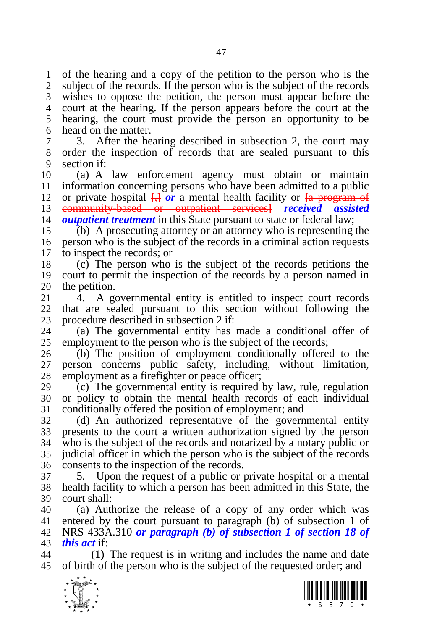of the hearing and a copy of the petition to the person who is the subject of the records. If the person who is the subject of the records wishes to oppose the petition, the person must appear before the court at the hearing. If the person appears before the court at the hearing, the court must provide the person an opportunity to be heard on the matter.

 3. After the hearing described in subsection 2, the court may order the inspection of records that are sealed pursuant to this section if:

 (a) A law enforcement agency must obtain or maintain information concerning persons who have been admitted to a public 12 or private hospital  $\frac{1}{2}$  *or* a mental health facility or  $\frac{1}{2}$  program of community-based or outpatient services**]** *received assisted outpatient treatment* in this State pursuant to state or federal law;

 (b) A prosecuting attorney or an attorney who is representing the person who is the subject of the records in a criminal action requests to inspect the records; or

 (c) The person who is the subject of the records petitions the court to permit the inspection of the records by a person named in 20 the petition.<br>21  $\overline{4}$ . A go

 4. A governmental entity is entitled to inspect court records that are sealed pursuant to this section without following the 23 procedure described in subsection 2 if:<br>24 (a) The governmental entity has

(a) The governmental entity has made a conditional offer of employment to the person who is the subject of the records;

 (b) The position of employment conditionally offered to the person concerns public safety, including, without limitation, employment as a firefighter or peace officer;

 (c) The governmental entity is required by law, rule, regulation or policy to obtain the mental health records of each individual conditionally offered the position of employment; and

 (d) An authorized representative of the governmental entity presents to the court a written authorization signed by the person who is the subject of the records and notarized by a notary public or judicial officer in which the person who is the subject of the records consents to the inspection of the records.

 5. Upon the request of a public or private hospital or a mental health facility to which a person has been admitted in this State, the court shall:

 (a) Authorize the release of a copy of any order which was entered by the court pursuant to paragraph (b) of subsection 1 of NRS 433A.310 *or paragraph (b) of subsection 1 of section [18](#page-13-0) of this act* if:

 (1) The request is in writing and includes the name and date of birth of the person who is the subject of the requested order; and



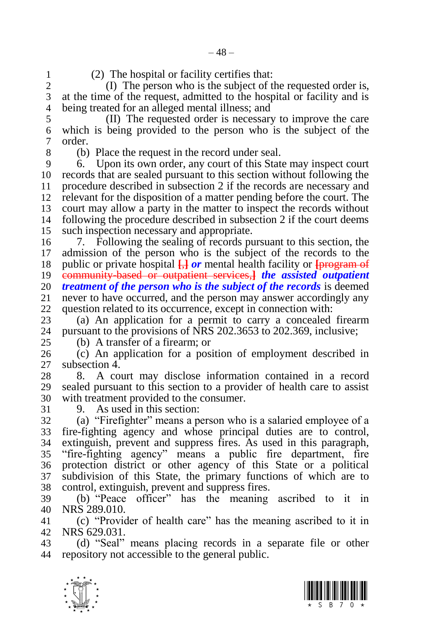$-48-$ 

- 
- 

1 (2) The hospital or facility certifies that:<br>2 (b) The person who is the subject of t (I) The person who is the subject of the requested order is, at the time of the request, admitted to the hospital or facility and is being treated for an alleged mental illness; and

 (II) The requested order is necessary to improve the care which is being provided to the person who is the subject of the order.

(b) Place the request in the record under seal.

 6. Upon its own order, any court of this State may inspect court records that are sealed pursuant to this section without following the procedure described in subsection 2 if the records are necessary and relevant for the disposition of a matter pending before the court. The court may allow a party in the matter to inspect the records without following the procedure described in subsection 2 if the court deems such inspection necessary and appropriate.

 7. Following the sealing of records pursuant to this section, the admission of the person who is the subject of the records to the public or private hospital **[**,**]** *or* mental health facility or **[**program of community-based or outpatient services,**]** *the assisted outpatient treatment of the person who is the subject of the records* is deemed 21 never to have occurred, and the person may answer accordingly any never to have occurred, and the person may answer accordingly any question related to its occurrence, except in connection with:

23 (a) An application for a permit to carry a concealed firearm 24 pursuant to the provisions of NRS 202.3653 to 202.369, inclusive: pursuant to the provisions of NRS 202.3653 to 202.369, inclusive;

(b) A transfer of a firearm; or

 (c) An application for a position of employment described in subsection 4.

 8. A court may disclose information contained in a record sealed pursuant to this section to a provider of health care to assist with treatment provided to the consumer.

9. As used in this section:

 (a) "Firefighter" means a person who is a salaried employee of a fire-fighting agency and whose principal duties are to control, extinguish, prevent and suppress fires. As used in this paragraph, "fire-fighting agency" means a public fire department, fire protection district or other agency of this State or a political subdivision of this State, the primary functions of which are to control, extinguish, prevent and suppress fires.

 (b) "Peace officer" has the meaning ascribed to it in NRS 289.010.

 (c) "Provider of health care" has the meaning ascribed to it in NRS 629.031.

 (d) "Seal" means placing records in a separate file or other repository not accessible to the general public.



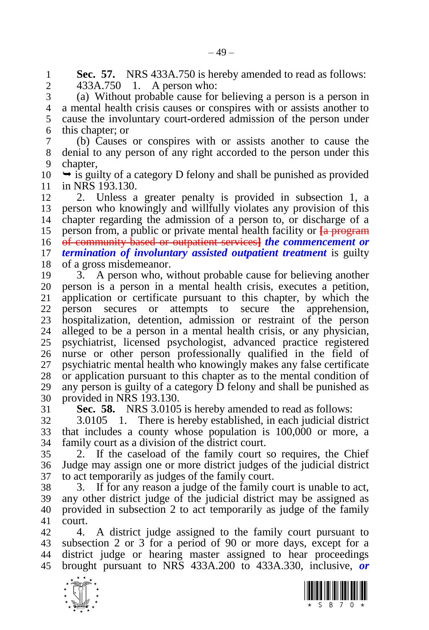**Sec. 57.** NRS 433A.750 is hereby amended to read as follows:<br>2 433A.750 1. A person who:

433A.750 1. A person who:

 (a) Without probable cause for believing a person is a person in a mental health crisis causes or conspires with or assists another to cause the involuntary court-ordered admission of the person under this chapter; or

 (b) Causes or conspires with or assists another to cause the denial to any person of any right accorded to the person under this chapter,

 $10 \rightarrow$  is guilty of a category D felony and shall be punished as provided in NRS 193.130.

 2. Unless a greater penalty is provided in subsection 1, a person who knowingly and willfully violates any provision of this chapter regarding the admission of a person to, or discharge of a person from, a public or private mental health facility or **[**a program of community-based or outpatient services**]** *the commencement or termination of involuntary assisted outpatient treatment* is guilty of a gross misdemeanor.

 3. A person who, without probable cause for believing another person is a person in a mental health crisis, executes a petition, application or certificate pursuant to this chapter, by which the person secures or attempts to secure the apprehension, 23 hospitalization, detention, admission or restraint of the person<br>24 alleged to be a person in a mental health crisis, or any physician. alleged to be a person in a mental health crisis, or any physician, psychiatrist, licensed psychologist, advanced practice registered nurse or other person professionally qualified in the field of psychiatric mental health who knowingly makes any false certificate or application pursuant to this chapter as to the mental condition of any person is guilty of a category D felony and shall be punished as provided in NRS 193.130.

**Sec. 58.** NRS 3.0105 is hereby amended to read as follows:

 3.0105 1. There is hereby established, in each judicial district that includes a county whose population is 100,000 or more, a family court as a division of the district court.

 2. If the caseload of the family court so requires, the Chief Judge may assign one or more district judges of the judicial district to act temporarily as judges of the family court.

 3. If for any reason a judge of the family court is unable to act, any other district judge of the judicial district may be assigned as provided in subsection 2 to act temporarily as judge of the family court.

 4. A district judge assigned to the family court pursuant to subsection 2 or 3 for a period of 90 or more days, except for a district judge or hearing master assigned to hear proceedings brought pursuant to NRS 433A.200 to 433A.330, inclusive, *or* 



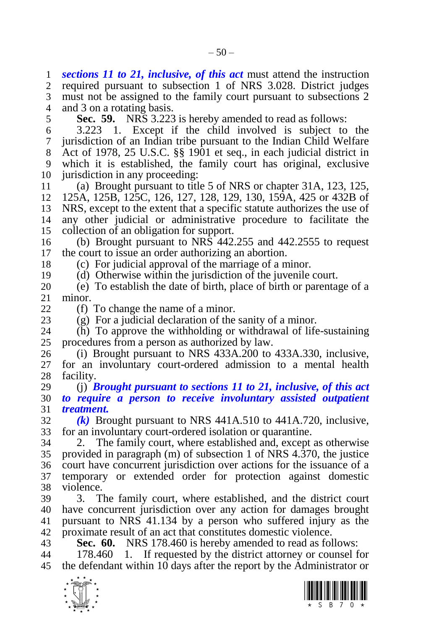*sections [11](#page-6-0) to [21,](#page-16-0) inclusive, of this act* must attend the instruction required pursuant to subsection 1 of NRS 3.028. District judges must not be assigned to the family court pursuant to subsections 2 and 3 on a rotating basis. **Sec. 59.** NRS 3.223 is hereby amended to read as follows: 3.223 1. Except if the child involved is subject to the jurisdiction of an Indian tribe pursuant to the Indian Child Welfare Act of 1978, 25 U.S.C. §§ 1901 et seq., in each judicial district in which it is established, the family court has original, exclusive 10 jurisdiction in any proceeding: (a) Brought pursuant to title 5 of NRS or chapter 31A, 123, 125, 125A, 125B, 125C, 126, 127, 128, 129, 130, 159A, 425 or 432B of NRS, except to the extent that a specific statute authorizes the use of any other judicial or administrative procedure to facilitate the collection of an obligation for support. 16 (b) Brought pursuant to  $NR\bar{S}$  442.255 and 442.2555 to request the court to issue an order authorizing an abortion. (c) For judicial approval of the marriage of a minor. (d) Otherwise within the jurisdiction of the juvenile court. (e) To establish the date of birth, place of birth or parentage of a minor. (f) To change the name of a minor. 23 (g) For a judicial declaration of the sanity of a minor.<br>24 (b) To approve the withholding or withdrawal of life (h) To approve the withholding or withdrawal of life-sustaining procedures from a person as authorized by law. (i) Brought pursuant to NRS 433A.200 to 433A.330, inclusive, for an involuntary court-ordered admission to a mental health facility. (j) *Brought pursuant to sections [11](#page-6-0) to [21,](#page-16-0) inclusive, of this act to require a person to receive involuntary assisted outpatient treatment. (k)* Brought pursuant to NRS 441A.510 to 441A.720, inclusive, for an involuntary court-ordered isolation or quarantine. 2. The family court, where established and, except as otherwise provided in paragraph (m) of subsection 1 of NRS 4.370, the justice court have concurrent jurisdiction over actions for the issuance of a temporary or extended order for protection against domestic violence. 3. The family court, where established, and the district court have concurrent jurisdiction over any action for damages brought pursuant to NRS 41.134 by a person who suffered injury as the proximate result of an act that constitutes domestic violence. **Sec. 60.** NRS 178.460 is hereby amended to read as follows: 178.460 1. If requested by the district attorney or counsel for the defendant within 10 days after the report by the Administrator or



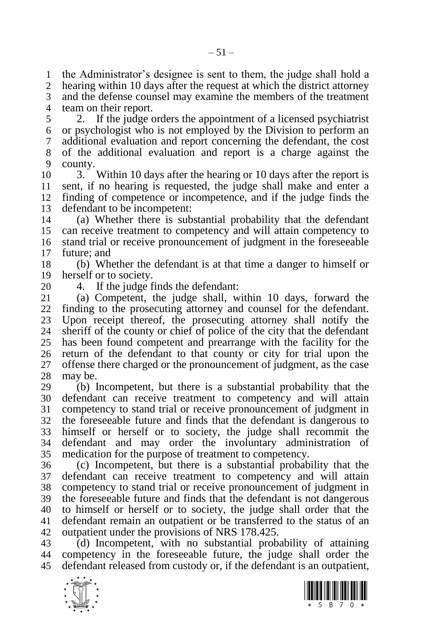the Administrator's designee is sent to them, the judge shall hold a hearing within 10 days after the request at which the district attorney and the defense counsel may examine the members of the treatment team on their report.

 2. If the judge orders the appointment of a licensed psychiatrist or psychologist who is not employed by the Division to perform an additional evaluation and report concerning the defendant, the cost of the additional evaluation and report is a charge against the county.

 3. Within 10 days after the hearing or 10 days after the report is sent, if no hearing is requested, the judge shall make and enter a finding of competence or incompetence, and if the judge finds the defendant to be incompetent:

 (a) Whether there is substantial probability that the defendant can receive treatment to competency and will attain competency to stand trial or receive pronouncement of judgment in the foreseeable future; and

 (b) Whether the defendant is at that time a danger to himself or herself or to society.

20 4. If the judge finds the defendant:<br>21 (a) Competent, the judge shall, w (a) Competent, the judge shall, within 10 days, forward the finding to the prosecuting attorney and counsel for the defendant. 23 Upon receipt thereof, the prosecuting attorney shall notify the sheriff of the county or chief of police of the city that the defendant sheriff of the county or chief of police of the city that the defendant has been found competent and prearrange with the facility for the return of the defendant to that county or city for trial upon the offense there charged or the pronouncement of judgment, as the case may be.

 (b) Incompetent, but there is a substantial probability that the defendant can receive treatment to competency and will attain competency to stand trial or receive pronouncement of judgment in the foreseeable future and finds that the defendant is dangerous to himself or herself or to society, the judge shall recommit the defendant and may order the involuntary administration of medication for the purpose of treatment to competency.

 (c) Incompetent, but there is a substantial probability that the defendant can receive treatment to competency and will attain competency to stand trial or receive pronouncement of judgment in the foreseeable future and finds that the defendant is not dangerous to himself or herself or to society, the judge shall order that the defendant remain an outpatient or be transferred to the status of an outpatient under the provisions of NRS 178.425.

 (d) Incompetent, with no substantial probability of attaining competency in the foreseeable future, the judge shall order the defendant released from custody or, if the defendant is an outpatient,



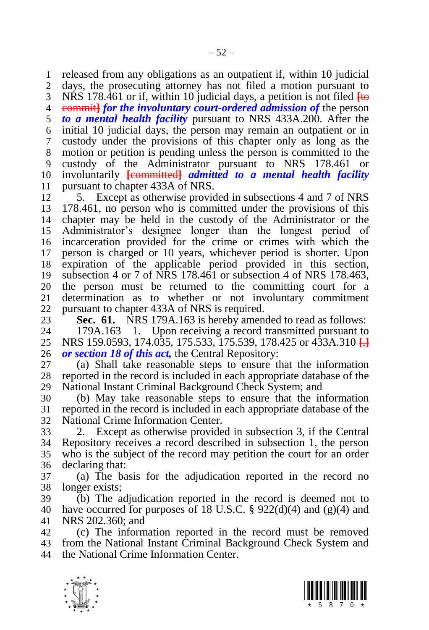released from any obligations as an outpatient if, within 10 judicial days, the prosecuting attorney has not filed a motion pursuant to NRS 178.461 or if, within 10 judicial days, a petition is not filed **[**to commit**]** *for the involuntary court-ordered admission of* the person *to a mental health facility* pursuant to NRS 433A.200. After the initial 10 judicial days, the person may remain an outpatient or in custody under the provisions of this chapter only as long as the motion or petition is pending unless the person is committed to the custody of the Administrator pursuant to NRS 178.461 or involuntarily **[**committed**]** *admitted to a mental health facility*  pursuant to chapter 433A of NRS.

 5. Except as otherwise provided in subsections 4 and 7 of NRS 178.461, no person who is committed under the provisions of this chapter may be held in the custody of the Administrator or the Administrator's designee longer than the longest period of incarceration provided for the crime or crimes with which the person is charged or 10 years, whichever period is shorter. Upon expiration of the applicable period provided in this section, subsection 4 or 7 of NRS 178.461 or subsection 4 of NRS 178.463, 20 the person must be returned to the committing court for a<br>21 determination as to whether or not involuntary commitment determination as to whether or not involuntary commitment pursuant to chapter 433A of NRS is required.

**Sec. 61.** NRS 179A.163 is hereby amended to read as follows:<br>24 179A.163 1. Upon receiving a record transmitted pursuant to 179A.163 1. Upon receiving a record transmitted pursuant to NRS 159.0593, 174.035, 175.533, 175.539, 178.425 or 433A.310 **[**,**]** *or section [18](#page-13-0) of this act,* the Central Repository:

 (a) Shall take reasonable steps to ensure that the information reported in the record is included in each appropriate database of the

National Instant Criminal Background Check System; and

 (b) May take reasonable steps to ensure that the information reported in the record is included in each appropriate database of the National Crime Information Center.

 2. Except as otherwise provided in subsection 3, if the Central Repository receives a record described in subsection 1, the person who is the subject of the record may petition the court for an order declaring that:

 (a) The basis for the adjudication reported in the record no longer exists;

 (b) The adjudication reported in the record is deemed not to 40 have occurred for purposes of 18 U.S.C. § 922(d)(4) and (g)(4) and NRS 202.360; and

 (c) The information reported in the record must be removed from the National Instant Criminal Background Check System and the National Crime Information Center.



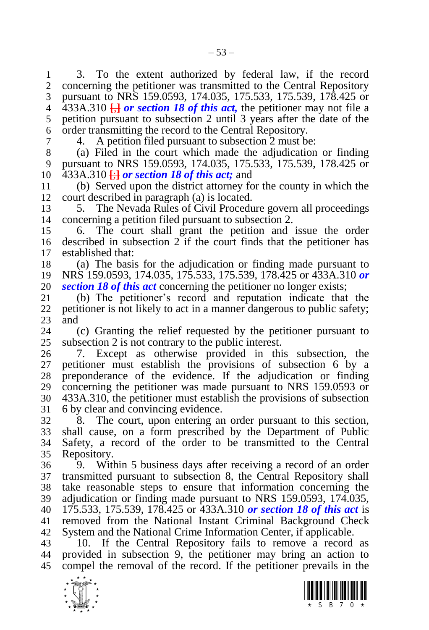3. To the extent authorized by federal law, if the record concerning the petitioner was transmitted to the Central Repository pursuant to NRS 159.0593, 174.035, 175.533, 175.539, 178.425 or

 433A.310 **[**,**]** *or section [18](#page-13-0) of this act,* the petitioner may not file a petition pursuant to subsection 2 until 3 years after the date of the order transmitting the record to the Central Repository.

4. A petition filed pursuant to subsection 2 must be:

 (a) Filed in the court which made the adjudication or finding pursuant to NRS 159.0593, 174.035, 175.533, 175.539, 178.425 or 433A.310 **[**;**]** *or section [18](#page-13-0) of this act;* and

 (b) Served upon the district attorney for the county in which the court described in paragraph (a) is located.

 5. The Nevada Rules of Civil Procedure govern all proceedings concerning a petition filed pursuant to subsection 2.

 6. The court shall grant the petition and issue the order described in subsection 2 if the court finds that the petitioner has established that:

 (a) The basis for the adjudication or finding made pursuant to NRS 159.0593, 174.035, 175.533, 175.539, 178.425 or 433A.310 *or* 

*sectio[n 18](#page-13-0) of this act* concerning the petitioner no longer exists;<br>21 (b) The petitioner's record and reputation indicate that (b) The petitioner's record and reputation indicate that the petitioner is not likely to act in a manner dangerous to public safety;  $\begin{bmatrix} 23 & \text{and} \\ 24 & \end{bmatrix}$ 

 (c) Granting the relief requested by the petitioner pursuant to subsection 2 is not contrary to the public interest.

 7. Except as otherwise provided in this subsection, the petitioner must establish the provisions of subsection 6 by a preponderance of the evidence. If the adjudication or finding concerning the petitioner was made pursuant to NRS 159.0593 or 433A.310, the petitioner must establish the provisions of subsection 6 by clear and convincing evidence.

 8. The court, upon entering an order pursuant to this section, shall cause, on a form prescribed by the Department of Public Safety, a record of the order to be transmitted to the Central Repository.

 9. Within 5 business days after receiving a record of an order transmitted pursuant to subsection 8, the Central Repository shall take reasonable steps to ensure that information concerning the adjudication or finding made pursuant to NRS 159.0593, 174.035, 175.533, 175.539, 178.425 or 433A.310 *or section [18](#page-13-0) of this act* is removed from the National Instant Criminal Background Check System and the National Crime Information Center, if applicable.

 10. If the Central Repository fails to remove a record as provided in subsection 9, the petitioner may bring an action to compel the removal of the record. If the petitioner prevails in the



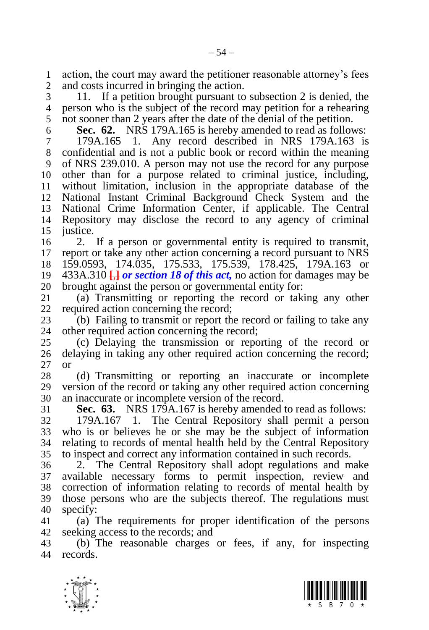action, the court may award the petitioner reasonable attorney's fees and costs incurred in bringing the action.

 11. If a petition brought pursuant to subsection 2 is denied, the person who is the subject of the record may petition for a rehearing not sooner than 2 years after the date of the denial of the petition.

 **Sec. 62.** NRS 179A.165 is hereby amended to read as follows: 179A.165 1. Any record described in NRS 179A.163 is confidential and is not a public book or record within the meaning of NRS 239.010. A person may not use the record for any purpose other than for a purpose related to criminal justice, including, without limitation, inclusion in the appropriate database of the National Instant Criminal Background Check System and the National Crime Information Center, if applicable. The Central Repository may disclose the record to any agency of criminal justice.

 2. If a person or governmental entity is required to transmit, report or take any other action concerning a record pursuant to NRS 159.0593, 174.035, 175.533, 175.539, 178.425, 179A.163 or 433A.310 **[**,**]** *or sectio[n 18](#page-13-0) of this act,* no action for damages may be 20 brought against the person or governmental entity for:<br>21 (a) Transmitting or reporting the record or take

(a) Transmitting or reporting the record or taking any other required action concerning the record;

23 (b) Failing to transmit or report the record or failing to take any other required action concerning the record: other required action concerning the record:

 (c) Delaying the transmission or reporting of the record or delaying in taking any other required action concerning the record; or

 (d) Transmitting or reporting an inaccurate or incomplete version of the record or taking any other required action concerning an inaccurate or incomplete version of the record.

<span id="page-53-0"></span>**Sec. 63.** NRS 179A.167 is hereby amended to read as follows:

 179A.167 1. The Central Repository shall permit a person who is or believes he or she may be the subject of information relating to records of mental health held by the Central Repository to inspect and correct any information contained in such records.

 2. The Central Repository shall adopt regulations and make available necessary forms to permit inspection, review and correction of information relating to records of mental health by those persons who are the subjects thereof. The regulations must specify:

 (a) The requirements for proper identification of the persons seeking access to the records; and

 (b) The reasonable charges or fees, if any, for inspecting records.



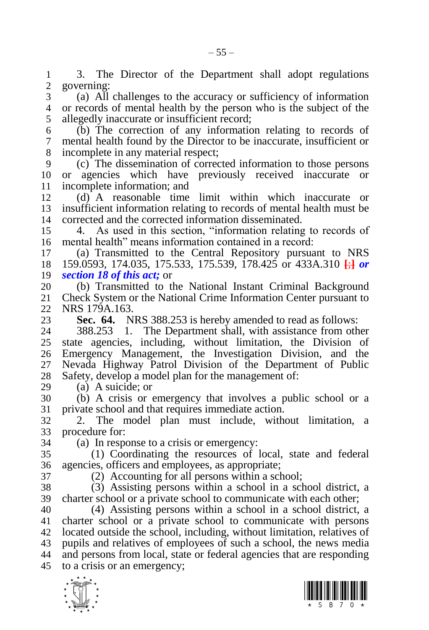1 3. The Director of the Department shall adopt regulations 2 governing: governing:

 (a) All challenges to the accuracy or sufficiency of information or records of mental health by the person who is the subject of the allegedly inaccurate or insufficient record;

 (b) The correction of any information relating to records of mental health found by the Director to be inaccurate, insufficient or incomplete in any material respect;

 (c) The dissemination of corrected information to those persons or agencies which have previously received inaccurate or incomplete information; and

 (d) A reasonable time limit within which inaccurate or insufficient information relating to records of mental health must be corrected and the corrected information disseminated.

 4. As used in this section, "information relating to records of mental health" means information contained in a record:

 (a) Transmitted to the Central Repository pursuant to NRS 159.0593, 174.035, 175.533, 175.539, 178.425 or 433A.310 **[**;**]** *or sectio[n 18](#page-13-0) of this act;* or

20 (b) Transmitted to the National Instant Criminal Background<br>21 Check System or the National Crime Information Center pursuant to Check System or the National Crime Information Center pursuant to NRS 179A.163.

<span id="page-54-0"></span>23 **Sec. 64.** NRS 388.253 is hereby amended to read as follows:<br>24 388.253 1. The Department shall, with assistance from oth

388.253 1. The Department shall, with assistance from other state agencies, including, without limitation, the Division of Emergency Management, the Investigation Division, and the Nevada Highway Patrol Division of the Department of Public Safety, develop a model plan for the management of:

(a) A suicide; or

 (b) A crisis or emergency that involves a public school or a private school and that requires immediate action.

 2. The model plan must include, without limitation, a procedure for:

(a) In response to a crisis or emergency:

 (1) Coordinating the resources of local, state and federal agencies, officers and employees, as appropriate;

(2) Accounting for all persons within a school;

 (3) Assisting persons within a school in a school district, a charter school or a private school to communicate with each other;

 (4) Assisting persons within a school in a school district, a charter school or a private school to communicate with persons located outside the school, including, without limitation, relatives of pupils and relatives of employees of such a school, the news media and persons from local, state or federal agencies that are responding to a crisis or an emergency;



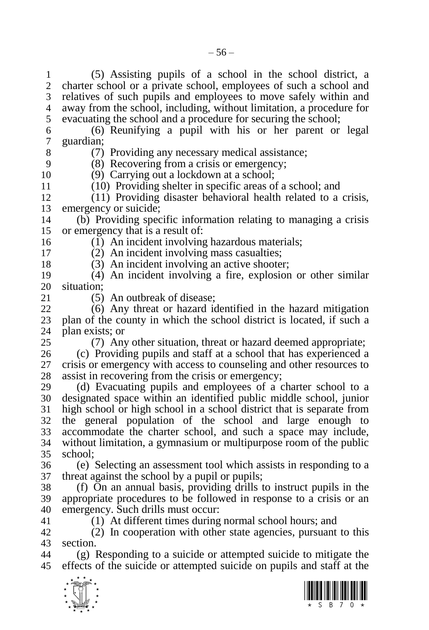(5) Assisting pupils of a school in the school district, a charter school or a private school, employees of such a school and relatives of such pupils and employees to move safely within and away from the school, including, without limitation, a procedure for evacuating the school and a procedure for securing the school;

 (6) Reunifying a pupil with his or her parent or legal guardian;

8 (7) Providing any necessary medical assistance;<br>9 (8) Recovering from a crisis or emergency:

 (8) Recovering from a crisis or emergency; (9) Carrying out a lockdown at a school;

11 (10) Providing shelter in specific areas of a school; and<br>12 (11) Providing disaster behavioral health related to a  $(11)$  Providing disaster behavioral health related to a crisis, emergency or suicide;

 (b) Providing specific information relating to managing a crisis or emergency that is a result of:

(1) An incident involving hazardous materials;

 (2) An incident involving mass casualties; (3) An incident involving an active shooter;

 (4) An incident involving a fire, explosion or other similar 20 situation;<br>21  $(5)$ 

 $(5)$  An outbreak of disease:

 (6) Any threat or hazard identified in the hazard mitigation plan of the county in which the school district is located, if such a 24 plan exists; or  $(7)$  Any

(7) Any other situation, threat or hazard deemed appropriate;

 (c) Providing pupils and staff at a school that has experienced a crisis or emergency with access to counseling and other resources to 28 assist in recovering from the crisis or emergency;<br>29 (d) Evacuating pupils and employees of a

(d) Evacuating pupils and employees of a charter school to a designated space within an identified public middle school, junior high school or high school in a school district that is separate from the general population of the school and large enough to accommodate the charter school, and such a space may include, without limitation, a gymnasium or multipurpose room of the public school;

 (e) Selecting an assessment tool which assists in responding to a threat against the school by a pupil or pupils;

 (f) On an annual basis, providing drills to instruct pupils in the appropriate procedures to be followed in response to a crisis or an emergency. Such drills must occur:

(1) At different times during normal school hours; and

 (2) In cooperation with other state agencies, pursuant to this section.

 (g) Responding to a suicide or attempted suicide to mitigate the effects of the suicide or attempted suicide on pupils and staff at the



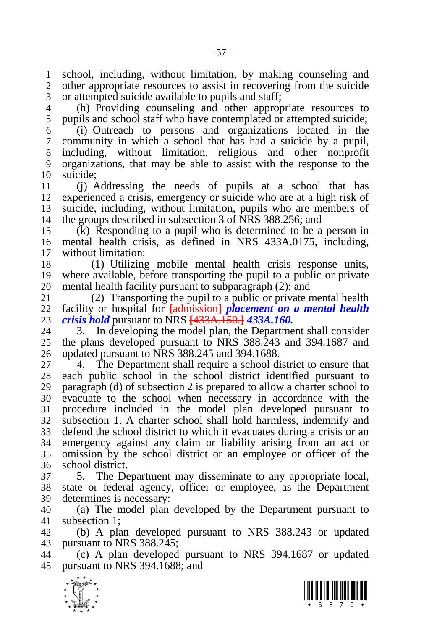school, including, without limitation, by making counseling and other appropriate resources to assist in recovering from the suicide or attempted suicide available to pupils and staff;

 (h) Providing counseling and other appropriate resources to pupils and school staff who have contemplated or attempted suicide;

 (i) Outreach to persons and organizations located in the community in which a school that has had a suicide by a pupil, including, without limitation, religious and other nonprofit organizations, that may be able to assist with the response to the suicide;

 (j) Addressing the needs of pupils at a school that has experienced a crisis, emergency or suicide who are at a high risk of suicide, including, without limitation, pupils who are members of the groups described in subsection 3 of NRS 388.256; and

 (k) Responding to a pupil who is determined to be a person in mental health crisis, as defined in NRS 433A.0175, including, without limitation:

 (1) Utilizing mobile mental health crisis response units, where available, before transporting the pupil to a public or private 20 mental health facility pursuant to subparagraph  $(2)$ ; and  $(2)$  Transporting the pupil to a public or private n

 (2) Transporting the pupil to a public or private mental health facility or hospital for **[**admission**]** *placement on a mental health crisis hold* pursuant to NRS **[**433A.150.**]** *433A.160.*

3. In developing the model plan, the Department shall consider the plans developed pursuant to NRS 388.243 and 394.1687 and updated pursuant to NRS 388.245 and 394.1688.

 4. The Department shall require a school district to ensure that each public school in the school district identified pursuant to paragraph (d) of subsection 2 is prepared to allow a charter school to evacuate to the school when necessary in accordance with the procedure included in the model plan developed pursuant to subsection 1. A charter school shall hold harmless, indemnify and defend the school district to which it evacuates during a crisis or an emergency against any claim or liability arising from an act or omission by the school district or an employee or officer of the school district.

 5. The Department may disseminate to any appropriate local, state or federal agency, officer or employee, as the Department determines is necessary:

 (a) The model plan developed by the Department pursuant to subsection 1;

 (b) A plan developed pursuant to NRS 388.243 or updated pursuant to NRS 388.245;

 (c) A plan developed pursuant to NRS 394.1687 or updated pursuant to NRS 394.1688; and



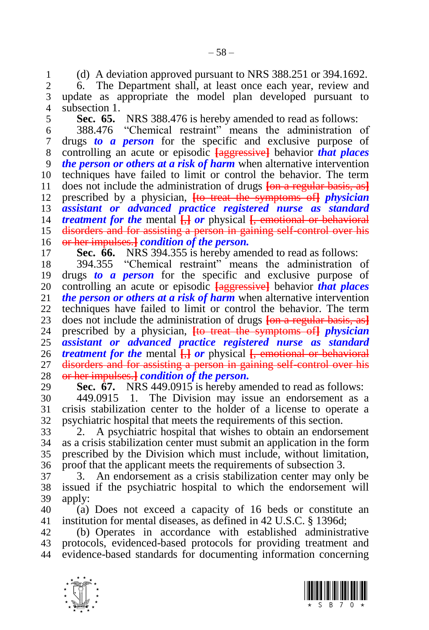(d) A deviation approved pursuant to NRS 388.251 or 394.1692.

2 6. The Department shall, at least once each year, review and 3 update as appropriate the model plan developed pursuant to update as appropriate the model plan developed pursuant to subsection 1.

<span id="page-57-0"></span>

5 **Sec. 65.** NRS 388.476 is hereby amended to read as follows:<br>6 388.476 "Chemical restraint" means the administration

 388.476 "Chemical restraint" means the administration of drugs *to a person* for the specific and exclusive purpose of controlling an acute or episodic **[**aggressive**]** behavior *that places the person or others at a risk of harm* when alternative intervention techniques have failed to limit or control the behavior. The term does not include the administration of drugs **[**on a regular basis, as**]** prescribed by a physician, **[**to treat the symptoms of**]** *physician assistant or advanced practice registered nurse as standard treatment for the* mental **[**,**]** *or* physical **[**, emotional or behavioral disorders and for assisting a person in gaining self-control over his or her impulses.**]** *condition of the person.*

<span id="page-57-1"></span>

**Sec. 66.** NRS 394.355 is hereby amended to read as follows:<br>18 394.355 "Chemical restraint" means the administration 394.355 "Chemical restraint" means the administration of drugs *to a person* for the specific and exclusive purpose of 20 controlling an acute or episodic **[aggressive]** behavior *that places* 21 *the person or others at a risk of harm* when alternative intervention *the person or others at a risk of harm* when alternative intervention techniques have failed to limit or control the behavior. The term 23 does not include the administration of drugs  $\frac{1}{2}$  <del>[on a regular basis, as]</del><br>24 prescribed by a physician. He treat the symptoms of *physician*  prescribed by a physician, **[**to treat the symptoms of**]** *physician assistant or advanced practice registered nurse as standard treatment for the* mental **[**,**]** *or* physical **[**, emotional or behavioral disorders and for assisting a person in gaining self-control over his or her impulses.**]** *condition of the person.*

<span id="page-57-2"></span>**Sec. 67.** NRS 449.0915 is hereby amended to read as follows:

 449.0915 1. The Division may issue an endorsement as a crisis stabilization center to the holder of a license to operate a psychiatric hospital that meets the requirements of this section.

 2. A psychiatric hospital that wishes to obtain an endorsement as a crisis stabilization center must submit an application in the form prescribed by the Division which must include, without limitation, proof that the applicant meets the requirements of subsection 3.

 3. An endorsement as a crisis stabilization center may only be issued if the psychiatric hospital to which the endorsement will apply:

 (a) Does not exceed a capacity of 16 beds or constitute an institution for mental diseases, as defined in 42 U.S.C. § 1396d;

 (b) Operates in accordance with established administrative protocols, evidenced-based protocols for providing treatment and evidence-based standards for documenting information concerning



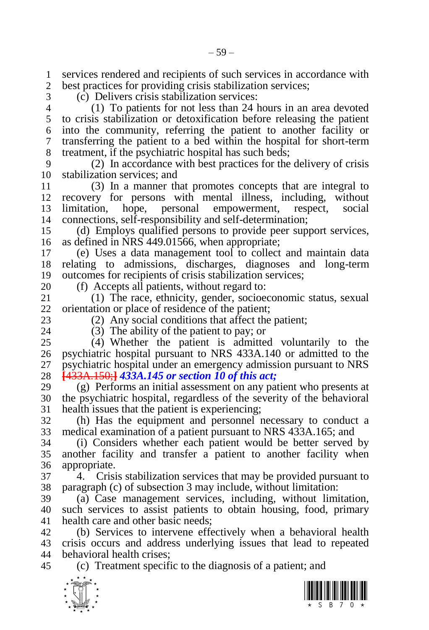1 services rendered and recipients of such services in accordance with<br>2 best practices for providing crisis stabilization services: best practices for providing crisis stabilization services;

(c) Delivers crisis stabilization services:

 (1) To patients for not less than 24 hours in an area devoted to crisis stabilization or detoxification before releasing the patient into the community, referring the patient to another facility or transferring the patient to a bed within the hospital for short-term treatment, if the psychiatric hospital has such beds;

 (2) In accordance with best practices for the delivery of crisis stabilization services; and

 (3) In a manner that promotes concepts that are integral to recovery for persons with mental illness, including, without limitation, hope, personal empowerment, respect, social connections, self-responsibility and self-determination;

 (d) Employs qualified persons to provide peer support services, as defined in NRS 449.01566, when appropriate;

 (e) Uses a data management tool to collect and maintain data relating to admissions, discharges, diagnoses and long-term outcomes for recipients of crisis stabilization services;

20 (f) Accepts all patients, without regard to:<br>21 (1) The race, ethnicity, gender, socioe (1) The race, ethnicity, gender, socioeconomic status, sexual orientation or place of residence of the patient;

23 (2) Any social conditions that affect the patient;<br>24 (3) The ability of the patient to pay: or  $(3)$  The ability of the patient to pay; or

 (4) Whether the patient is admitted voluntarily to the psychiatric hospital pursuant to NRS 433A.140 or admitted to the psychiatric hospital under an emergency admission pursuant to NRS **[**433A.150;**]** *433A.145 or section [10](#page-5-2) of this act;*

 (g) Performs an initial assessment on any patient who presents at the psychiatric hospital, regardless of the severity of the behavioral health issues that the patient is experiencing;

 (h) Has the equipment and personnel necessary to conduct a medical examination of a patient pursuant to NRS 433A.165; and

 (i) Considers whether each patient would be better served by another facility and transfer a patient to another facility when appropriate.

 4. Crisis stabilization services that may be provided pursuant to paragraph (c) of subsection 3 may include, without limitation:

 (a) Case management services, including, without limitation, such services to assist patients to obtain housing, food, primary health care and other basic needs;

 (b) Services to intervene effectively when a behavioral health crisis occurs and address underlying issues that lead to repeated behavioral health crises;

(c) Treatment specific to the diagnosis of a patient; and



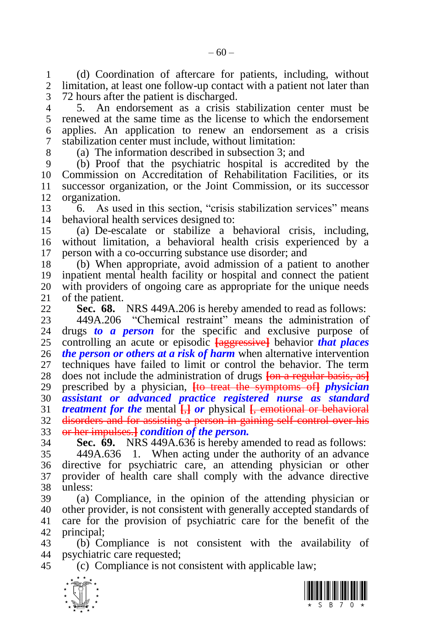(d) Coordination of aftercare for patients, including, without limitation, at least one follow-up contact with a patient not later than 72 hours after the patient is discharged.

 5. An endorsement as a crisis stabilization center must be renewed at the same time as the license to which the endorsement applies. An application to renew an endorsement as a crisis stabilization center must include, without limitation:

(a) The information described in subsection 3; and

 (b) Proof that the psychiatric hospital is accredited by the Commission on Accreditation of Rehabilitation Facilities, or its successor organization, or the Joint Commission, or its successor organization.

 6. As used in this section, "crisis stabilization services" means behavioral health services designed to:

 (a) De-escalate or stabilize a behavioral crisis, including, without limitation, a behavioral health crisis experienced by a person with a co-occurring substance use disorder; and

 (b) When appropriate, avoid admission of a patient to another inpatient mental health facility or hospital and connect the patient with providers of ongoing care as appropriate for the unique needs of the patient.

<span id="page-59-0"></span>

**Sec. 68.** NRS 449A.206 is hereby amended to read as follows:

23 449A.206 "Chemical restraint" means the administration of drugs to a person for the specific and exclusive purpose of drugs **to a person** for the specific and exclusive purpose of controlling an acute or episodic **[**aggressive**]** behavior *that places the person or others at a risk of harm* when alternative intervention techniques have failed to limit or control the behavior. The term does not include the administration of drugs **[**on a regular basis, as**]** prescribed by a physician, **[**to treat the symptoms of**]** *physician assistant or advanced practice registered nurse as standard treatment for the* mental **[**,**]** *or* physical **[**, emotional or behavioral disorders and for assisting a person in gaining self-control over his or her impulses.**]** *condition of the person.*

<span id="page-59-1"></span>**Sec. 69.** NRS 449A.636 is hereby amended to read as follows:

 449A.636 1. When acting under the authority of an advance directive for psychiatric care, an attending physician or other provider of health care shall comply with the advance directive unless:

 (a) Compliance, in the opinion of the attending physician or other provider, is not consistent with generally accepted standards of care for the provision of psychiatric care for the benefit of the principal;

 (b) Compliance is not consistent with the availability of psychiatric care requested;

(c) Compliance is not consistent with applicable law;



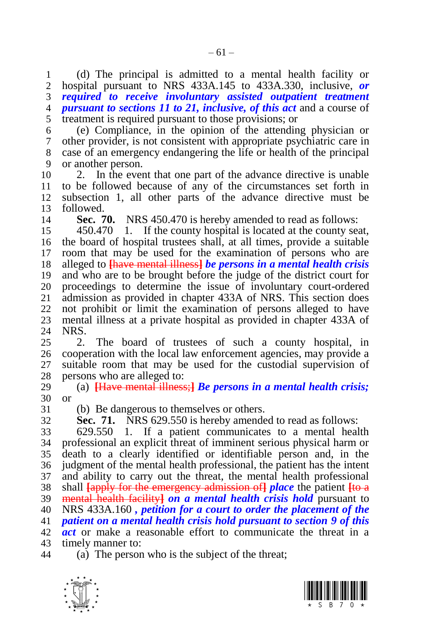1 (d) The principal is admitted to a mental health facility or 2 hospital pursuant to NRS 433A.145 to 433A.330, inclusive, or hospital pursuant to NRS 433A.145 to 433A.330, inclusive, *or required to receive involuntary assisted outpatient treatment pursuant to sections [11](#page-6-0) to [21,](#page-16-0) inclusive, of this act* and a course of treatment is required pursuant to those provisions; or

 (e) Compliance, in the opinion of the attending physician or other provider, is not consistent with appropriate psychiatric care in case of an emergency endangering the life or health of the principal or another person.

 2. In the event that one part of the advance directive is unable to be followed because of any of the circumstances set forth in subsection 1, all other parts of the advance directive must be followed.

<span id="page-60-0"></span>**Sec. 70.** NRS 450.470 is hereby amended to read as follows:

 450.470 1. If the county hospital is located at the county seat, the board of hospital trustees shall, at all times, provide a suitable room that may be used for the examination of persons who are alleged to **[**have mental illness**]** *be persons in a mental health crisis*  and who are to be brought before the judge of the district court for proceedings to determine the issue of involuntary court-ordered admission as provided in chapter 433A of NRS. This section does not prohibit or limit the examination of persons alleged to have mental illness at a private hospital as provided in chapter 433A of NRS.

 2. The board of trustees of such a county hospital, in cooperation with the local law enforcement agencies, may provide a suitable room that may be used for the custodial supervision of persons who are alleged to:

 (a) **[**Have mental illness;**]** *Be persons in a mental health crisis;*  or

(b) Be dangerous to themselves or others.

**Sec. 71.** NRS 629.550 is hereby amended to read as follows:

 629.550 1. If a patient communicates to a mental health professional an explicit threat of imminent serious physical harm or death to a clearly identified or identifiable person and, in the judgment of the mental health professional, the patient has the intent and ability to carry out the threat, the mental health professional shall **[**apply for the emergency admission of**]** *place* the patient **[**to a mental health facility**]** *on a mental health crisis hold* pursuant to NRS 433A.160 *, petition for a court to order the placement of the patient on a mental health crisis hold pursuant to section [9](#page-5-1) of this act* or make a reasonable effort to communicate the threat in a timely manner to:

(a) The person who is the subject of the threat;



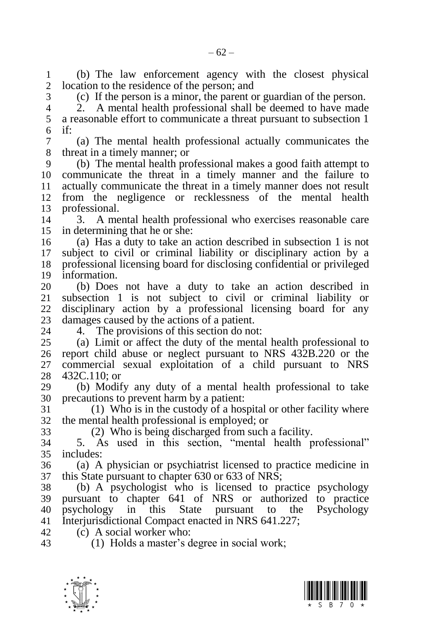(b) The law enforcement agency with the closest physical location to the residence of the person; and

(c) If the person is a minor, the parent or guardian of the person.

 2. A mental health professional shall be deemed to have made a reasonable effort to communicate a threat pursuant to subsection 1 if:

 (a) The mental health professional actually communicates the threat in a timely manner; or

 (b) The mental health professional makes a good faith attempt to communicate the threat in a timely manner and the failure to actually communicate the threat in a timely manner does not result from the negligence or recklessness of the mental health professional.

 3. A mental health professional who exercises reasonable care in determining that he or she:

 (a) Has a duty to take an action described in subsection 1 is not subject to civil or criminal liability or disciplinary action by a professional licensing board for disclosing confidential or privileged 19 information.<br>20 (b) Does

 (b) Does not have a duty to take an action described in subsection 1 is not subject to civil or criminal liability or disciplinary action by a professional licensing board for any 23 damages caused by the actions of a patient.<br>24 – 4. The provisions of this section do no

4. The provisions of this section do not:

 (a) Limit or affect the duty of the mental health professional to report child abuse or neglect pursuant to NRS 432B.220 or the commercial sexual exploitation of a child pursuant to NRS 432C.110; or

 (b) Modify any duty of a mental health professional to take precautions to prevent harm by a patient:

 (1) Who is in the custody of a hospital or other facility where the mental health professional is employed; or

(2) Who is being discharged from such a facility.

 5. As used in this section, "mental health professional" includes:

 (a) A physician or psychiatrist licensed to practice medicine in this State pursuant to chapter 630 or 633 of NRS;

 (b) A psychologist who is licensed to practice psychology pursuant to chapter 641 of NRS or authorized to practice psychology in this State pursuant to the Psychology Interjurisdictional Compact enacted in NRS 641.227;

(c) A social worker who:

(1) Holds a master's degree in social work;



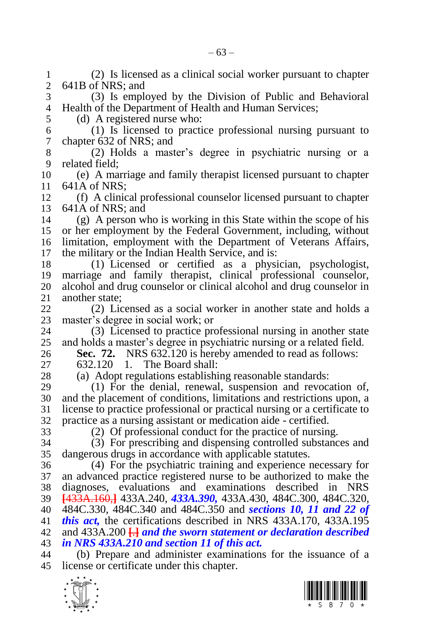$\frac{1}{\sqrt{2}}$  (2) Is licensed as a clinical social worker pursuant to chapter 641B of NRS; and (3) Is employed by the Division of Public and Behavioral Health of the Department of Health and Human Services; (d) A registered nurse who: (1) Is licensed to practice professional nursing pursuant to chapter 632 of NRS; and (2) Holds a master's degree in psychiatric nursing or a related field: (e) A marriage and family therapist licensed pursuant to chapter 641A of NRS; (f) A clinical professional counselor licensed pursuant to chapter 641A of NRS; and (g) A person who is working in this State within the scope of his or her employment by the Federal Government, including, without limitation, employment with the Department of Veterans Affairs, the military or the Indian Health Service, and is: (1) Licensed or certified as a physician, psychologist, marriage and family therapist, clinical professional counselor, alcohol and drug counselor or clinical alcohol and drug counselor in another state: (2) Licensed as a social worker in another state and holds a 23 master's degree in social work; or<br>24 (3) Licensed to practice pro 24 (3) Licensed to practice professional nursing in another state<br>25 and holds a master's degree in psychiatric nursing or a related field. and holds a master's degree in psychiatric nursing or a related field. **Sec. 72.** NRS 632.120 is hereby amended to read as follows: 632.120 1. The Board shall: (a) Adopt regulations establishing reasonable standards: (1) For the denial, renewal, suspension and revocation of, and the placement of conditions, limitations and restrictions upon, a license to practice professional or practical nursing or a certificate to practice as a nursing assistant or medication aide - certified. (2) Of professional conduct for the practice of nursing. (3) For prescribing and dispensing controlled substances and dangerous drugs in accordance with applicable statutes. (4) For the psychiatric training and experience necessary for an advanced practice registered nurse to be authorized to make the diagnoses, evaluations and examinations described in NRS **[**433A.160,**]** 433A.240, *433A.390,* 433A.430, 484C.300, 484C.320, 484C.330, 484C.340 and 484C.350 and *sections [10,](#page-5-2) [11](#page-6-0) and [22](#page-17-0) of this act,* the certifications described in NRS 433A.170, 433A.195 and 433A.200 **[**.**]** *and the sworn statement or declaration described in NRS 433A.210 and section [11](#page-6-0) of this act.* (b) Prepare and administer examinations for the issuance of a license or certificate under this chapter.

<span id="page-62-0"></span>

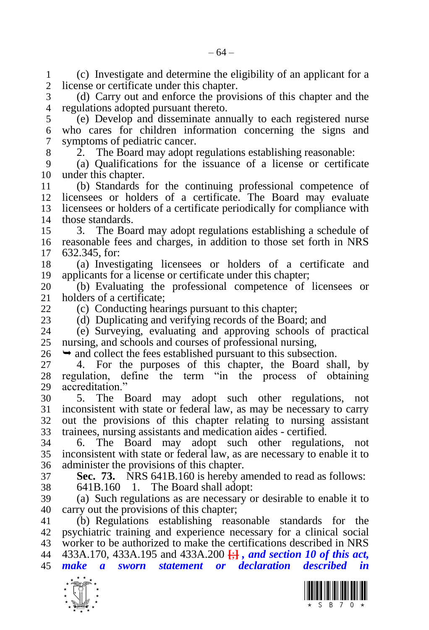(c) Investigate and determine the eligibility of an applicant for a license or certificate under this chapter.

 (d) Carry out and enforce the provisions of this chapter and the regulations adopted pursuant thereto.

 (e) Develop and disseminate annually to each registered nurse who cares for children information concerning the signs and symptoms of pediatric cancer.

2. The Board may adopt regulations establishing reasonable:

 (a) Qualifications for the issuance of a license or certificate under this chapter.

 (b) Standards for the continuing professional competence of licensees or holders of a certificate. The Board may evaluate licensees or holders of a certificate periodically for compliance with those standards.

 3. The Board may adopt regulations establishing a schedule of reasonable fees and charges, in addition to those set forth in NRS 632.345, for:

 (a) Investigating licensees or holders of a certificate and applicants for a license or certificate under this chapter;

 (b) Evaluating the professional competence of licensees or holders of a certificate:

(c) Conducting hearings pursuant to this chapter;

23 (d) Duplicating and verifying records of the Board; and 24 (e) Surveying, evaluating and approving schools of

 (e) Surveying, evaluating and approving schools of practical nursing, and schools and courses of professional nursing,

 $26 \rightarrow$  and collect the fees established pursuant to this subsection.

 4. For the purposes of this chapter, the Board shall, by regulation, define the term "in the process of obtaining accreditation."

 5. The Board may adopt such other regulations, not inconsistent with state or federal law, as may be necessary to carry out the provisions of this chapter relating to nursing assistant trainees, nursing assistants and medication aides - certified.

 6. The Board may adopt such other regulations, not inconsistent with state or federal law, as are necessary to enable it to administer the provisions of this chapter.

 **Sec. 73.** NRS 641B.160 is hereby amended to read as follows: 641B.160 1. The Board shall adopt:

 (a) Such regulations as are necessary or desirable to enable it to carry out the provisions of this chapter;

 (b) Regulations establishing reasonable standards for the psychiatric training and experience necessary for a clinical social worker to be authorized to make the certifications described in NRS 433A.170, 433A.195 and 433A.200 **[**;**]** *, and section [10](#page-5-2) of this act, make a sworn statement or declaration described in* 



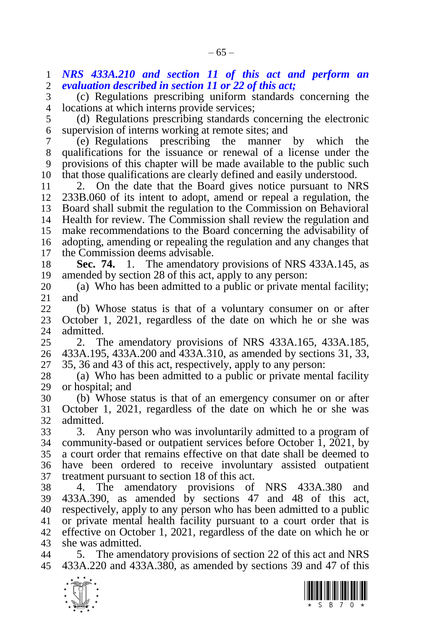*NRS 433A.210 and section [11](#page-6-0) of this act and perform an evaluation described in section [11](#page-6-0) or [22](#page-17-0) of this act;*

 (c) Regulations prescribing uniform standards concerning the locations at which interns provide services;

 (d) Regulations prescribing standards concerning the electronic supervision of interns working at remote sites; and

 (e) Regulations prescribing the manner by which the qualifications for the issuance or renewal of a license under the provisions of this chapter will be made available to the public such that those qualifications are clearly defined and easily understood.

 2. On the date that the Board gives notice pursuant to NRS 233B.060 of its intent to adopt, amend or repeal a regulation, the Board shall submit the regulation to the Commission on Behavioral Health for review. The Commission shall review the regulation and make recommendations to the Board concerning the advisability of adopting, amending or repealing the regulation and any changes that 17 the Commission deems advisable.<br>18 **Sec. 74.** 1. The amendator

 **Sec. 74.** 1. The amendatory provisions of NRS 433A.145, as amended by section [28](#page-20-0) of this act, apply to any person:

 (a) Who has been admitted to a public or private mental facility; and

 (b) Whose status is that of a voluntary consumer on or after October 1, 2021, regardless of the date on which he or she was admitted.

 2. The amendatory provisions of NRS 433A.165, 433A.185, 433A.195, 433A.200 and 433A.310, as amended by sections [31,](#page-24-0) [33,](#page-26-1) [35,](#page-28-0) [36](#page-28-1) and [43](#page-34-0) of this act, respectively, apply to any person:

 (a) Who has been admitted to a public or private mental facility or hospital; and

 (b) Whose status is that of an emergency consumer on or after October 1, 2021, regardless of the date on which he or she was admitted.

 3. Any person who was involuntarily admitted to a program of 34 community-based or outpatient services before October 1, 2021, by a court order that remains effective on that date shall be deemed to have been ordered to receive involuntary assisted outpatient treatment pursuant to section [18](#page-13-0) of this act.

 4. The amendatory provisions of NRS 433A.380 and 433A.390, as amended by sections [47](#page-39-0) and [48](#page-41-0) of this act, respectively, apply to any person who has been admitted to a public or private mental health facility pursuant to a court order that is effective on October 1, 2021, regardless of the date on which he or she was admitted.

 5. The amendatory provisions of section [22](#page-17-0) of this act and NRS 433A.220 and 433A.380, as amended by sections [39](#page-30-1) and [47](#page-39-0) of this



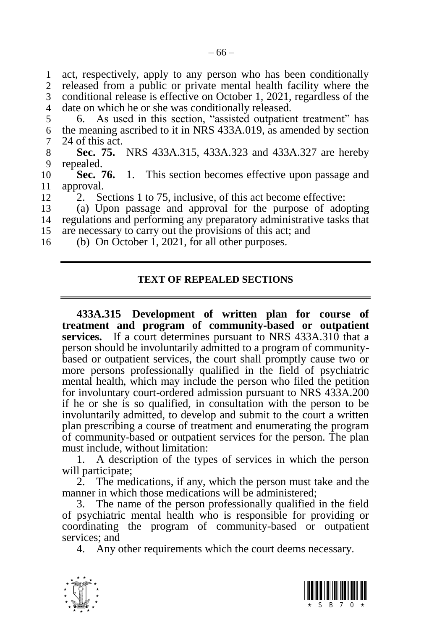act, respectively, apply to any person who has been conditionally released from a public or private mental health facility where the conditional release is effective on October 1, 2021, regardless of the date on which he or she was conditionally released.

5 6. As used in this section, "assisted outpatient treatment" has 6 the meaning ascribed to it in NRS 433A.019, as amended by section 7 [24](#page-18-1) of this act.

<span id="page-65-0"></span>8 **Sec. 75.** NRS 433A.315, 433A.323 and 433A.327 are hereby 9 repeated. repealed.

10 **Sec. 76.** 1. This section becomes effective upon passage and 11 approval.<br>12 2 Se

2. Sections [1](#page-2-0) to [75,](#page-65-0) inclusive, of this act become effective:

13 (a) Upon passage and approval for the purpose of adopting 14 regulations and performing any preparatory administrative tasks that 15 are necessary to carry out the provisions of this act; and

16 (b) On October 1, 2021, for all other purposes.

#### **TEXT OF REPEALED SECTIONS**

**433A.315 Development of written plan for course of treatment and program of community-based or outpatient services.** If a court determines pursuant to NRS 433A.310 that a person should be involuntarily admitted to a program of communitybased or outpatient services, the court shall promptly cause two or more persons professionally qualified in the field of psychiatric mental health, which may include the person who filed the petition for involuntary court-ordered admission pursuant to NRS 433A.200 if he or she is so qualified, in consultation with the person to be involuntarily admitted, to develop and submit to the court a written plan prescribing a course of treatment and enumerating the program of community-based or outpatient services for the person. The plan must include, without limitation:

1. A description of the types of services in which the person will participate;

2. The medications, if any, which the person must take and the manner in which those medications will be administered;

3. The name of the person professionally qualified in the field of psychiatric mental health who is responsible for providing or coordinating the program of community-based or outpatient services; and

4. Any other requirements which the court deems necessary.



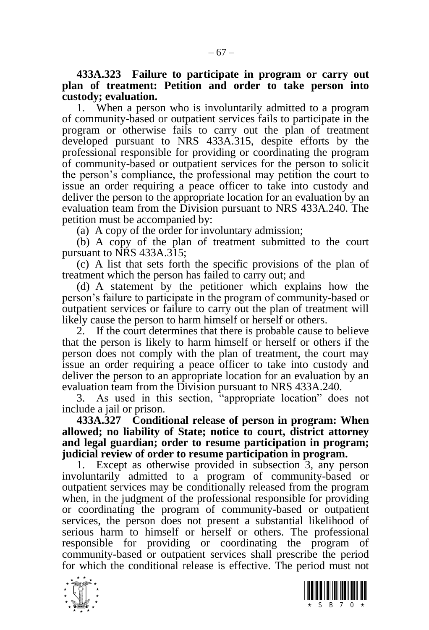**433A.323 Failure to participate in program or carry out plan of treatment: Petition and order to take person into custody; evaluation.**

1. When a person who is involuntarily admitted to a program of community-based or outpatient services fails to participate in the program or otherwise fails to carry out the plan of treatment developed pursuant to NRS 433A.315, despite efforts by the professional responsible for providing or coordinating the program of community-based or outpatient services for the person to solicit the person's compliance, the professional may petition the court to issue an order requiring a peace officer to take into custody and deliver the person to the appropriate location for an evaluation by an evaluation team from the Division pursuant to NRS 433A.240. The petition must be accompanied by:

(a) A copy of the order for involuntary admission;

(b) A copy of the plan of treatment submitted to the court pursuant to NRS 433A.315;

(c) A list that sets forth the specific provisions of the plan of treatment which the person has failed to carry out; and

(d) A statement by the petitioner which explains how the person's failure to participate in the program of community-based or outpatient services or failure to carry out the plan of treatment will likely cause the person to harm himself or herself or others.

2. If the court determines that there is probable cause to believe that the person is likely to harm himself or herself or others if the person does not comply with the plan of treatment, the court may issue an order requiring a peace officer to take into custody and deliver the person to an appropriate location for an evaluation by an evaluation team from the Division pursuant to NRS 433A.240.

As used in this section, "appropriate location" does not include a jail or prison.

**433A.327 Conditional release of person in program: When allowed; no liability of State; notice to court, district attorney and legal guardian; order to resume participation in program; judicial review of order to resume participation in program.**

Except as otherwise provided in subsection 3, any person involuntarily admitted to a program of community-based or outpatient services may be conditionally released from the program when, in the judgment of the professional responsible for providing or coordinating the program of community-based or outpatient services, the person does not present a substantial likelihood of serious harm to himself or herself or others. The professional responsible for providing or coordinating the program of community-based or outpatient services shall prescribe the period for which the conditional release is effective. The period must not

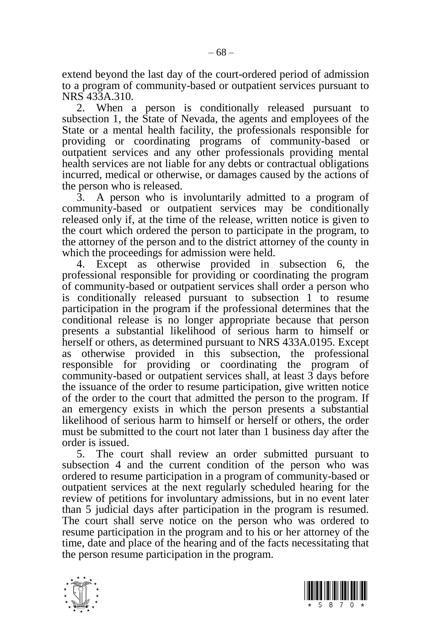extend beyond the last day of the court-ordered period of admission to a program of community-based or outpatient services pursuant to NRS 433A.310.

2. When a person is conditionally released pursuant to subsection 1, the State of Nevada, the agents and employees of the State or a mental health facility, the professionals responsible for providing or coordinating programs of community-based or outpatient services and any other professionals providing mental health services are not liable for any debts or contractual obligations incurred, medical or otherwise, or damages caused by the actions of the person who is released.

3. A person who is involuntarily admitted to a program of community-based or outpatient services may be conditionally released only if, at the time of the release, written notice is given to the court which ordered the person to participate in the program, to the attorney of the person and to the district attorney of the county in which the proceedings for admission were held.

4. Except as otherwise provided in subsection 6, the professional responsible for providing or coordinating the program of community-based or outpatient services shall order a person who is conditionally released pursuant to subsection 1 to resume participation in the program if the professional determines that the conditional release is no longer appropriate because that person presents a substantial likelihood of serious harm to himself or herself or others, as determined pursuant to NRS 433A.0195. Except as otherwise provided in this subsection, the professional responsible for providing or coordinating the program of community-based or outpatient services shall, at least 3 days before the issuance of the order to resume participation, give written notice of the order to the court that admitted the person to the program. If an emergency exists in which the person presents a substantial likelihood of serious harm to himself or herself or others, the order must be submitted to the court not later than 1 business day after the order is issued.

5. The court shall review an order submitted pursuant to subsection 4 and the current condition of the person who was ordered to resume participation in a program of community-based or outpatient services at the next regularly scheduled hearing for the review of petitions for involuntary admissions, but in no event later than 5 judicial days after participation in the program is resumed. The court shall serve notice on the person who was ordered to resume participation in the program and to his or her attorney of the time, date and place of the hearing and of the facts necessitating that the person resume participation in the program.